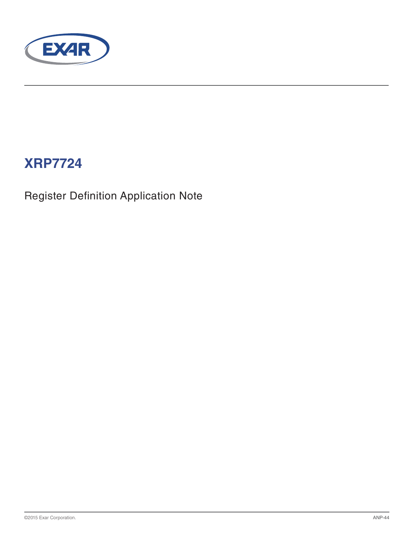

# **XRP7724**

Register Definition Application Note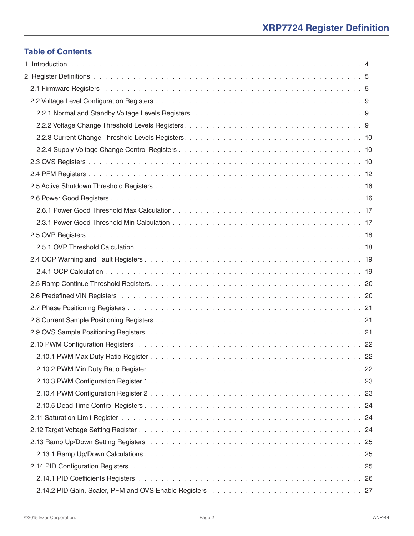#### **Table of Contents**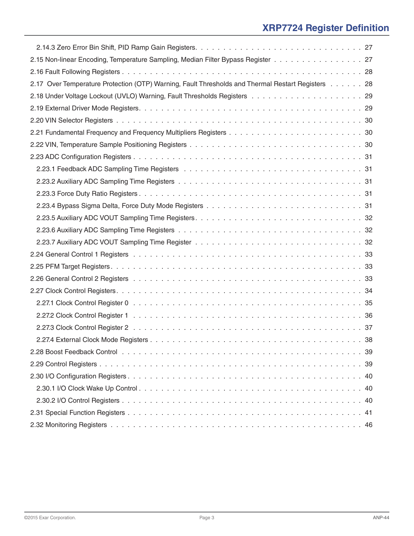| 2.15 Non-linear Encoding, Temperature Sampling, Median Filter Bypass Register 27                  |
|---------------------------------------------------------------------------------------------------|
|                                                                                                   |
| 2.17 Over Temperature Protection (OTP) Warning, Fault Thresholds and Thermal Restart Registers 28 |
|                                                                                                   |
|                                                                                                   |
|                                                                                                   |
|                                                                                                   |
|                                                                                                   |
|                                                                                                   |
|                                                                                                   |
|                                                                                                   |
|                                                                                                   |
|                                                                                                   |
|                                                                                                   |
|                                                                                                   |
|                                                                                                   |
|                                                                                                   |
|                                                                                                   |
|                                                                                                   |
|                                                                                                   |
|                                                                                                   |
|                                                                                                   |
|                                                                                                   |
|                                                                                                   |
|                                                                                                   |
|                                                                                                   |
|                                                                                                   |
|                                                                                                   |
|                                                                                                   |
|                                                                                                   |
|                                                                                                   |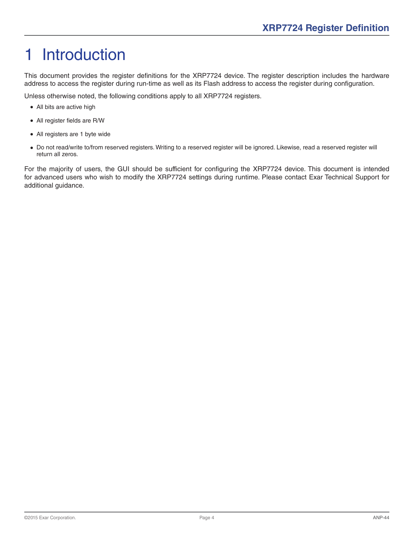# <span id="page-3-0"></span>1 Introduction

This document provides the register definitions for the XRP7724 device. The register description includes the hardware address to access the register during run-time as well as its Flash address to access the register during configuration.

Unless otherwise noted, the following conditions apply to all XRP7724 registers.

- All bits are active high
- All register fields are R/W
- All registers are 1 byte wide
- Do not read/write to/from reserved registers. Writing to a reserved register will be ignored. Likewise, read a reserved register will return all zeros.

For the majority of users, the GUI should be sufficient for configuring the XRP7724 device. This document is intended for advanced users who wish to modify the XRP7724 settings during runtime. Please contact Exar Technical Support for additional guidance.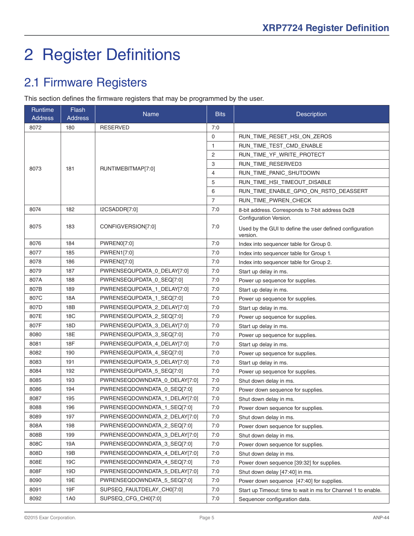# <span id="page-4-0"></span>2 Register Definitions

## 2.1 Firmware Registers

This section defines the firmware registers that may be programmed by the user.

| Runtime<br><b>Address</b> | Flash<br><b>Address</b> | <b>Name</b>                   | <b>Bits</b>    | <b>Description</b>                                                   |
|---------------------------|-------------------------|-------------------------------|----------------|----------------------------------------------------------------------|
| 8072                      | 180                     | <b>RESERVED</b>               | 7:0            |                                                                      |
|                           |                         |                               | 0              | RUN_TIME_RESET_HSI_ON_ZEROS                                          |
|                           |                         |                               | $\mathbf{1}$   | RUN_TIME_TEST_CMD_ENABLE                                             |
|                           |                         |                               | 2              | RUN TIME YF WRITE PROTECT                                            |
|                           |                         |                               | 3              | RUN_TIME_RESERVED3                                                   |
| 8073                      | 181                     | RUNTIMEBITMAP[7:0]            | 4              | RUN_TIME_PANIC_SHUTDOWN                                              |
|                           |                         |                               | 5              | RUN_TIME_HSI_TIMEOUT_DISABLE                                         |
|                           |                         |                               | 6              | RUN_TIME_ENABLE_GPIO_ON_RSTO_DEASSERT                                |
|                           |                         |                               | $\overline{7}$ | RUN_TIME_PWREN_CHECK                                                 |
| 8074                      | 182                     | I2CSADDR[7:0]                 | 7:0            | 8-bit address. Corresponds to 7-bit address 0x28                     |
|                           |                         |                               |                | Configuration Version.                                               |
| 8075                      | 183                     | CONFIGVERSION[7:0]            | 7:0            | Used by the GUI to define the user defined configuration<br>version. |
| 8076                      | 184                     | PWREN0[7:0]                   | 7:0            | Index into sequencer table for Group 0.                              |
| 8077                      | 185                     | <b>PWREN1[7:0]</b>            | 7:0            | Index into sequencer table for Group 1.                              |
| 8078                      | 186                     | PWREN2[7:0]                   | 7:0            | Index into sequencer table for Group 2.                              |
| 8079                      | 187                     | PWRENSEQUPDATA 0 DELAY[7:0]   | 7:0            | Start up delay in ms.                                                |
| 807A                      | 188                     | PWRENSEQUPDATA_0_SEQ[7:0]     | 7:0            | Power up sequence for supplies.                                      |
| 807B                      | 189                     | PWRENSEQUPDATA 1 DELAY[7:0]   | 7:0            | Start up delay in ms.                                                |
| 807C                      | 18A                     | PWRENSEQUPDATA_1_SEQ[7:0]     | 7:0            | Power up sequence for supplies.                                      |
| 807D                      | 18B                     | PWRENSEQUPDATA_2_DELAY[7:0]   | 7:0            | Start up delay in ms.                                                |
| 807E                      | <b>18C</b>              | PWRENSEQUPDATA_2_SEQ[7:0]     | 7:0            | Power up sequence for supplies.                                      |
| 807F                      | 18D                     | PWRENSEQUPDATA_3_DELAY[7:0]   | 7:0            | Start up delay in ms.                                                |
| 8080                      | 18E                     | PWRENSEQUPDATA_3_SEQ[7:0]     | 7:0            | Power up sequence for supplies.                                      |
| 8081                      | <b>18F</b>              | PWRENSEQUPDATA_4_DELAY[7:0]   | 7:0            | Start up delay in ms.                                                |
| 8082                      | 190                     | PWRENSEQUPDATA_4_SEQ[7:0]     | 7:0            | Power up sequence for supplies.                                      |
| 8083                      | 191                     | PWRENSEQUPDATA_5_DELAY[7:0]   | 7:0            | Start up delay in ms.                                                |
| 8084                      | 192                     | PWRENSEQUPDATA_5_SEQ[7:0]     | 7:0            | Power up sequence for supplies.                                      |
| 8085                      | 193                     | PWRENSEQDOWNDATA_0_DELAY[7:0] | 7:0            | Shut down delay in ms.                                               |
| 8086                      | 194                     | PWRENSEQDOWNDATA_0_SEQ[7:0]   | 7:0            | Power down sequence for supplies.                                    |
| 8087                      | 195                     | PWRENSEQDOWNDATA_1_DELAY[7:0] | 7:0            | Shut down delay in ms.                                               |
| 8088                      | 196                     | PWRENSEQDOWNDATA_1_SEQ[7:0]   | 7:0            | Power down sequence for supplies.                                    |
| 8089                      | 197                     | PWRENSEQDOWNDATA_2_DELAY[7:0] | 7:0            | Shut down delay in ms.                                               |
| 808A                      | 198                     | PWRENSEQDOWNDATA 2 SEQ[7:0]   | 7:0            | Power down sequence for supplies.                                    |
| 808B                      | 199                     | PWRENSEQDOWNDATA 3 DELAY[7:0] | 7:0            | Shut down delay in ms.                                               |
| 808C                      | 19A                     | PWRENSEQDOWNDATA_3_SEQ[7:0]   | 7:0            | Power down sequence for supplies.                                    |
| 808D                      | 19B                     | PWRENSEQDOWNDATA_4_DELAY[7:0] | 7:0            | Shut down delay in ms.                                               |
| 808E                      | 19C                     | PWRENSEQDOWNDATA_4_SEQ[7:0]   | 7:0            | Power down sequence [39:32] for supplies.                            |
| 808F                      | 19D                     | PWRENSEQDOWNDATA_5_DELAY[7:0] | 7:0            | Shut down delay [47:40] in ms.                                       |
| 8090                      | 19E                     | PWRENSEQDOWNDATA 5 SEQ[7:0]   | 7:0            | Power down sequence [47:40] for supplies.                            |
| 8091                      | 19F                     | SUPSEQ_FAULTDELAY_CH0[7:0]    | 7:0            | Start up Timeout: time to wait in ms for Channel 1 to enable.        |
| 8092                      | 1A0                     | SUPSEQ_CFG_CH0[7:0]           | 7:0            | Sequencer configuration data.                                        |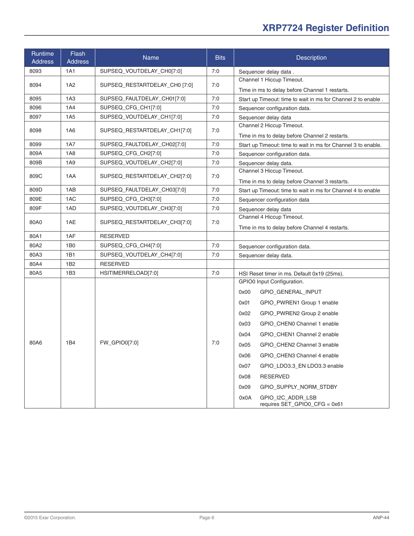| Runtime<br><b>Address</b> | Flash<br><b>Address</b> | Name                          | <b>Bits</b> | <b>Description</b>                                                          |
|---------------------------|-------------------------|-------------------------------|-------------|-----------------------------------------------------------------------------|
| 8093                      | 1A1                     | SUPSEQ_VOUTDELAY_CH0[7:0]     | 7:0         | Sequencer delay data.                                                       |
| 8094                      | 1A2                     | SUPSEQ RESTARTDELAY CH0 [7:0] | 7:0         | Channel 1 Hiccup Timeout.                                                   |
|                           |                         |                               |             | Time in ms to delay before Channel 1 restarts.                              |
| 8095                      | 1A3                     | SUPSEQ FAULTDELAY CH01[7:0]   | 7:0         | Start up Timeout: time to wait in ms for Channel 2 to enable.               |
| 8096                      | <b>1A4</b>              | SUPSEQ_CFG_CH1[7:0]           | 7:0         | Sequencer configuration data.                                               |
| 8097                      | 1A <sub>5</sub>         | SUPSEQ_VOUTDELAY_CH1[7:0]     | 7:0         | Sequencer delay data                                                        |
| 8098                      | 1A6                     | SUPSEQ_RESTARTDELAY_CH1[7:0]  | 7:0         | Channel 2 Hiccup Timeout.<br>Time in ms to delay before Channel 2 restarts. |
| 8099                      | <b>1A7</b>              | SUPSEQ_FAULTDELAY_CH02[7:0]   | 7:0         | Start up Timeout: time to wait in ms for Channel 3 to enable.               |
| 809A                      | <b>1A8</b>              | SUPSEQ_CFG_CH2[7:0]           | 7:0         | Sequencer configuration data.                                               |
| 809B                      | 1A9                     | SUPSEQ_VOUTDELAY_CH2[7:0]     | 7:0         | Sequencer delay data.                                                       |
| 809C                      | 1AA                     | SUPSEQ_RESTARTDELAY_CH2[7:0]  | 7:0         | Channel 3 Hiccup Timeout.<br>Time in ms to delay before Channel 3 restarts. |
| 809D                      | 1AB                     | SUPSEQ_FAULTDELAY_CH03[7:0]   | 7:0         | Start up Timeout: time to wait in ms for Channel 4 to enable                |
| 809E                      | 1AC                     | SUPSEQ_CFG_CH3[7:0]           | 7:0         | Sequencer configuration data                                                |
| 809F                      | 1AD                     | SUPSEQ_VOUTDELAY_CH3[7:0]     | 7:0         | Sequencer delay data                                                        |
| 80A0                      | 1AE                     | SUPSEQ_RESTARTDELAY_CH3[7:0]  | 7:0         | Channel 4 Hiccup Timeout.<br>Time in ms to delay before Channel 4 restarts. |
| 80A1                      | 1AF                     | <b>RESERVED</b>               |             |                                                                             |
| 80A2                      | 1B <sub>0</sub>         | SUPSEQ_CFG_CH4[7:0]           | 7:0         | Sequencer configuration data.                                               |
| 80A3                      | 1B1                     | SUPSEQ_VOUTDELAY_CH4[7:0]     | 7:0         | Sequencer delay data.                                                       |
| 80A4                      | 1B2                     | <b>RESERVED</b>               |             |                                                                             |
| 80A5                      | 1B3                     | HSITIMERRELOAD[7:0]           | 7:0         | HSI Reset timer in ms. Default 0x19 (25ms).                                 |
|                           |                         |                               |             | GPIO0 Input Configuration.                                                  |
|                           |                         |                               |             | 0x00<br>GPIO_GENERAL_INPUT                                                  |
|                           |                         |                               |             | 0x01<br>GPIO_PWREN1 Group 1 enable                                          |
|                           |                         |                               |             | 0x02<br>GPIO_PWREN2 Group 2 enable                                          |
|                           |                         |                               |             | 0x03<br>GPIO_CHEN0 Channel 1 enable                                         |
|                           |                         |                               |             | 0x04<br>GPIO_CHEN1 Channel 2 enable                                         |
| 80A6                      | 1B4                     | FW GPIO0[7:0]                 | 7:0         | 0x05<br>GPIO_CHEN2 Channel 3 enable                                         |
|                           |                         |                               |             | GPIO_CHEN3 Channel 4 enable<br>0x06                                         |
|                           |                         |                               |             | 0x07<br>GPIO_LDO3.3_EN LDO3.3 enable                                        |
|                           |                         |                               |             | 0x08<br><b>RESERVED</b>                                                     |
|                           |                         |                               |             | 0x09<br>GPIO_SUPPLY_NORM_STDBY                                              |
|                           |                         |                               |             | 0x0A<br>GPIO_I2C_ADDR_LSB<br>requires SET_GPIO0_CFG = 0x61                  |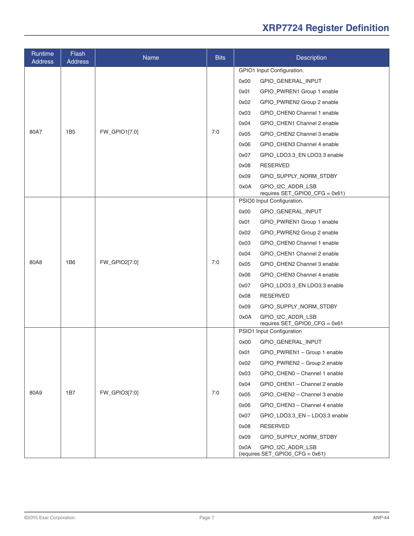| Runtime<br><b>Address</b> | <b>Flash</b><br><b>Address</b> | Name          | <b>Bits</b> | <b>Description</b>                                           |
|---------------------------|--------------------------------|---------------|-------------|--------------------------------------------------------------|
|                           |                                |               |             | GPIO1 Input Configuration.                                   |
|                           |                                |               |             | 0x00<br>GPIO_GENERAL_INPUT                                   |
|                           |                                |               |             | 0x01<br>GPIO_PWREN1 Group 1 enable                           |
|                           |                                |               |             | 0x02<br>GPIO_PWREN2 Group 2 enable                           |
|                           |                                |               |             | 0x03<br>GPIO_CHEN0 Channel 1 enable                          |
|                           |                                |               |             | GPIO_CHEN1 Channel 2 enable<br>0x04                          |
| 80A7                      | 1B5                            | FW_GPIO1[7:0] | 7:0         | 0x05<br>GPIO CHEN2 Channel 3 enable                          |
|                           |                                |               |             | 0x06<br>GPIO CHEN3 Channel 4 enable                          |
|                           |                                |               |             | 0x07<br>GPIO_LDO3.3_EN LDO3.3 enable                         |
|                           |                                |               |             | 0x08<br><b>RESERVED</b>                                      |
|                           |                                |               |             | 0x09<br>GPIO_SUPPLY_NORM_STDBY                               |
|                           |                                |               |             | 0x0A<br>GPIO I2C ADDR LSB<br>requires SET_GPIO0_CFG = 0x61)  |
|                           |                                |               |             | PSIO0 Input Configuration.                                   |
|                           |                                |               |             | 0x00<br>GPIO_GENERAL_INPUT                                   |
|                           |                                |               |             | 0x01<br>GPIO_PWREN1 Group 1 enable                           |
|                           |                                | FW_GPIO2[7:0] |             | 0x02<br>GPIO_PWREN2 Group 2 enable                           |
|                           |                                |               | 7:0         | GPIO_CHEN0 Channel 1 enable<br>0x03                          |
|                           |                                |               |             | GPIO_CHEN1 Channel 2 enable<br>0x04                          |
| 80A8                      | <b>1B6</b>                     |               |             | 0x05<br>GPIO_CHEN2 Channel 3 enable                          |
|                           |                                |               |             | 0x06<br>GPIO_CHEN3 Channel 4 enable                          |
|                           |                                |               |             | GPIO_LDO3.3_EN LDO3.3 enable<br>0x07                         |
|                           |                                |               |             | 0x08<br><b>RESERVED</b>                                      |
|                           |                                |               |             | 0x09<br>GPIO_SUPPLY_NORM_STDBY                               |
|                           |                                |               |             | 0x0A<br>GPIO_I2C_ADDR_LSB<br>requires SET_GPIO0_CFG = 0x61   |
|                           |                                |               |             | PSIO1 Input Configuration                                    |
|                           |                                |               |             | 0x00<br>GPIO_GENERAL_INPUT                                   |
|                           |                                |               |             | GPIO_PWREN1 - Group 1 enable<br>0x01                         |
|                           |                                |               |             | 0x02<br>GPIO_PWREN2 - Group 2 enable                         |
|                           |                                |               |             | 0x03<br>GPIO_CHEN0 - Channel 1 enable                        |
|                           |                                |               |             | 0x04<br>GPIO_CHEN1 - Channel 2 enable                        |
| 80A9                      | 1B7<br>FW_GPIO3[7:0]           |               | 7:0         | 0x05<br>GPIO_CHEN2 - Channel 3 enable                        |
|                           |                                |               |             | GPIO_CHEN3 - Channel 4 enable<br>0x06                        |
|                           |                                |               |             | GPIO_LDO3.3_EN - LDO3.3 enable<br>0x07                       |
|                           |                                |               |             | <b>RESERVED</b><br>0x08                                      |
|                           |                                |               |             | 0x09<br>GPIO_SUPPLY_NORM_STDBY                               |
|                           |                                |               |             | 0x0A<br>GPIO_I2C_ADDR_LSB<br>(requires SET_GPIO0_CFG = 0x61) |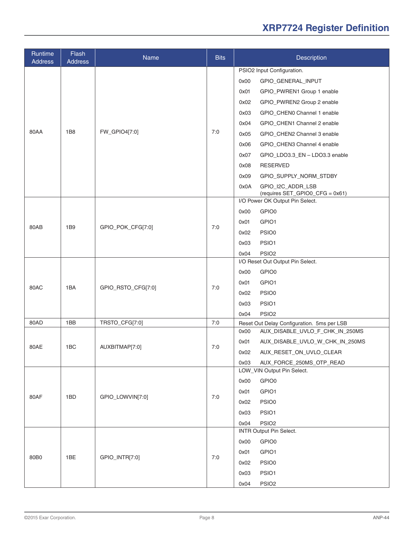| Runtime<br><b>Address</b> | Flash<br><b>Address</b> | Name               | <b>Bits</b> | Description                                                                                                                                                                                                                                                                                                                                                                                                                                                             |
|---------------------------|-------------------------|--------------------|-------------|-------------------------------------------------------------------------------------------------------------------------------------------------------------------------------------------------------------------------------------------------------------------------------------------------------------------------------------------------------------------------------------------------------------------------------------------------------------------------|
| 80AA                      | 1B <sub>8</sub>         | FW_GPIO4[7:0]      | 7:0         | PSIO2 Input Configuration.<br>0x00<br>GPIO_GENERAL_INPUT<br>0x01<br>GPIO_PWREN1 Group 1 enable<br>GPIO_PWREN2 Group 2 enable<br>0x02<br>GPIO_CHEN0 Channel 1 enable<br>0x03<br>GPIO_CHEN1 Channel 2 enable<br>0x04<br>0x05<br>GPIO CHEN2 Channel 3 enable<br>GPIO_CHEN3 Channel 4 enable<br>0x06<br>0x07<br>GPIO_LDO3.3_EN - LDO3.3 enable<br><b>RESERVED</b><br>0x08<br>0x09<br>GPIO_SUPPLY_NORM_STDBY<br>0x0A<br>GPIO_I2C_ADDR_LSB<br>(requires SET_GPIO0_CFG = 0x61) |
| 80AB                      | 1 <sub>B9</sub>         | GPIO_POK_CFG[7:0]  | 7:0         | I/O Power OK Output Pin Select.<br>GPIO0<br>0x00<br>0x01<br>GPIO1<br>0x02<br>PSIO0<br>PSIO1<br>0x03<br>0x04<br>PSIO <sub>2</sub>                                                                                                                                                                                                                                                                                                                                        |
| 80AC                      | 1BA                     | GPIO_RSTO_CFG[7:0] | 7:0         | I/O Reset Out Output Pin Select.<br>0x00<br>GPIO0<br>GPIO1<br>0x01<br>PSIO0<br>0x02<br>0x03<br>PSIO1<br>0x04<br>PSIO <sub>2</sub>                                                                                                                                                                                                                                                                                                                                       |
| 80AD                      | 1BB                     | TRSTO_CFG[7:0]     | 7:0         | Reset Out Delay Configuration. 5ms per LSB                                                                                                                                                                                                                                                                                                                                                                                                                              |
| 80AE                      | 1BC                     | AUXBITMAP[7:0]     | 7:0         | 0x00<br>AUX_DISABLE_UVLO_F_CHK_IN_250MS<br>AUX_DISABLE_UVLO_W_CHK_IN_250MS<br>0x01<br>AUX_RESET_ON_UVLO_CLEAR<br>0x02<br>0x03<br>AUX_FORCE_250MS_OTP_READ                                                                                                                                                                                                                                                                                                               |
| 80AF                      | 1BD                     | GPIO_LOWVIN[7:0]   | 7:0         | LOW_VIN Output Pin Select.<br>GPIO0<br>0x00<br>0x01<br>GPIO1<br>PSIO0<br>0x02<br>0x03<br>PSIO1<br>PSIO <sub>2</sub><br>0x04                                                                                                                                                                                                                                                                                                                                             |
| 80B0                      | 1BE                     | GPIO_INTR[7:0]     | 7:0         | INTR Output Pin Select.<br>0x00<br>GPIO0<br>GPIO1<br>0x01<br>PSIO0<br>0x02<br>PSIO1<br>0x03<br>PSIO <sub>2</sub><br>0x04                                                                                                                                                                                                                                                                                                                                                |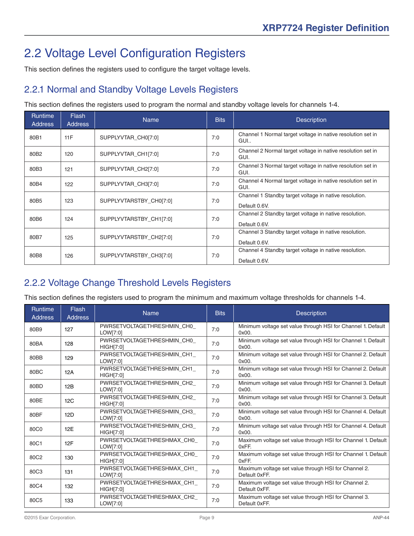## <span id="page-8-0"></span>2.2 Voltage Level Configuration Registers

This section defines the registers used to configure the target voltage levels.

#### 2.2.1 Normal and Standby Voltage Levels Registers

This section defines the registers used to program the normal and standby voltage levels for channels 1-4.

| <b>Runtime</b><br>Address | <b>Flash</b><br><b>Address</b> | <b>Name</b>             | <b>Bits</b> | <b>Description</b>                                                      |
|---------------------------|--------------------------------|-------------------------|-------------|-------------------------------------------------------------------------|
| 80B1                      | 11F                            | SUPPLYVTAR_CH0[7:0]     | 7:0         | Channel 1 Normal target voltage in native resolution set in<br>GUI      |
| 80B <sub>2</sub>          | 120                            | SUPPLYVTAR_CH1[7:0]     | 7:0         | Channel 2 Normal target voltage in native resolution set in<br>GUI.     |
| 80B3                      | 121                            | SUPPLYVTAR CH2[7:0]     | 7:0         | Channel 3 Normal target voltage in native resolution set in<br>GUI.     |
| 80B4                      | 122                            | SUPPLYVTAR CH3[7:0]     | 7:0         | Channel 4 Normal target voltage in native resolution set in<br>GUI.     |
| 80B5                      | 123                            | SUPPLYVTARSTBY CH0[7:0] | 7:0         | Channel 1 Standby target voltage in native resolution.<br>Default 0.6V. |
| 80B6                      | 124                            | SUPPLYVTARSTBY CH1[7:0] | 7:0         | Channel 2 Standby target voltage in native resolution.<br>Default 0.6V. |
| 80B7                      | 125                            | SUPPLYVTARSTBY_CH2[7:0] | 7:0         | Channel 3 Standby target voltage in native resolution.<br>Default 0.6V. |
| 80B8                      | 126                            | SUPPLYVTARSTBY CH3[7:0] | 7:0         | Channel 4 Standby target voltage in native resolution.<br>Default 0.6V. |

#### 2.2.2 Voltage Change Threshold Levels Registers

This section defines the registers used to program the minimum and maximum voltage thresholds for channels 1-4.

| Runtime<br><b>Address</b> | <b>Flash</b><br><b>Address</b> | <b>Name</b>                                     | <b>Bits</b> | <b>Description</b>                                                    |
|---------------------------|--------------------------------|-------------------------------------------------|-------------|-----------------------------------------------------------------------|
| 80B9                      | 127                            | PWRSETVOLTAGETHRESHMIN CHO<br>LOW[7:0]          | 7:0         | Minimum voltage set value through HSI for Channel 1. Default<br>0x00. |
| 80BA                      | 128                            | PWRSETVOLTAGETHRESHMIN CHO<br><b>HIGH[7:0]</b>  | 7:0         | Minimum voltage set value through HSI for Channel 1. Default<br>0x00. |
| 80BB                      | 129                            | PWRSETVOLTAGETHRESHMIN CH1<br>LOW[7:0]          | 7:0         | Minimum voltage set value through HSI for Channel 2. Default<br>0x00. |
| 80 <sub>BC</sub>          | 12A                            | PWRSETVOLTAGETHRESHMIN CH1<br>HIGH[7:0]         | 7:0         | Minimum voltage set value through HSI for Channel 2. Default<br>0x00. |
| 80BD                      | 12B                            | PWRSETVOLTAGETHRESHMIN_CH2_<br>LOW[7:0]         | 7:0         | Minimum voltage set value through HSI for Channel 3. Default<br>0x00  |
| 80BE                      | 12C                            | PWRSETVOLTAGETHRESHMIN CH2<br>HIGH[7:0]         | 7:0         | Minimum voltage set value through HSI for Channel 3. Default<br>0x00. |
| 80BF                      | 12D                            | PWRSETVOLTAGETHRESHMIN CH3<br>LOW[7:0]          | 7:0         | Minimum voltage set value through HSI for Channel 4. Default<br>0x00. |
| 80C0                      | 12E                            | PWRSETVOLTAGETHRESHMIN CH3<br>HIGH[7:0]         | 7:0         | Minimum voltage set value through HSI for Channel 4. Default<br>0x00. |
| 80C1                      | 12F                            | PWRSETVOLTAGETHRESHMAX CH0<br>LOW[7:0]          | 7:0         | Maximum voltage set value through HSI for Channel 1. Default<br>0xFF. |
| 80C2                      | 130                            | PWRSETVOLTAGETHRESHMAX_CH0_<br><b>HIGH[7:0]</b> | 7:0         | Maximum voltage set value through HSI for Channel 1. Default<br>0xFF. |
| 80C3                      | 131                            | PWRSETVOLTAGETHRESHMAX CH1<br>LOW[7:0]          | 7:0         | Maximum voltage set value through HSI for Channel 2.<br>Default 0xFF. |
| 80C4                      | 132                            | PWRSETVOLTAGETHRESHMAX CH1<br>HIGH[7:0]         | 7:0         | Maximum voltage set value through HSI for Channel 2.<br>Default 0xFF. |
| 80C5                      | 133                            | PWRSETVOLTAGETHRESHMAX CH2<br>LOW[7:0]          | 7:0         | Maximum voltage set value through HSI for Channel 3.<br>Default 0xFF. |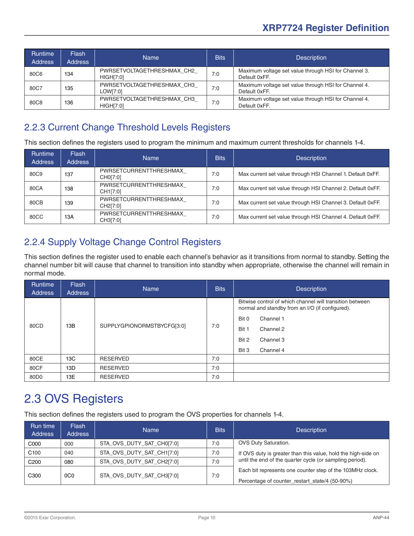<span id="page-9-0"></span>

| Runtime<br><b>Address</b> | Flash<br><b>Address</b> | <b>Name</b>                                    | <b>Bits</b> | <b>Description</b>                                                    |
|---------------------------|-------------------------|------------------------------------------------|-------------|-----------------------------------------------------------------------|
| 80C6                      | 134                     | PWRSETVOLTAGETHRESHMAX CH2<br><b>HIGH[7:0]</b> | 7:0         | Maximum voltage set value through HSI for Channel 3.<br>Default 0xFF. |
| 80C7                      | 135                     | PWRSETVOLTAGETHRESHMAX CH3<br>LOW[7:0]         | 7:0         | Maximum voltage set value through HSI for Channel 4.<br>Default 0xFF. |
| 80C8                      | 136                     | PWRSETVOLTAGETHRESHMAX CH3<br><b>HIGH[7:0]</b> | 7:0         | Maximum voltage set value through HSI for Channel 4.<br>Default 0xFF. |

#### 2.2.3 Current Change Threshold Levels Registers

This section defines the registers used to program the minimum and maximum current thresholds for channels 1-4.

| <b>Runtime</b><br><b>Address</b> | <b>Flash</b><br><b>Address</b> | <b>Name</b>                        | <b>Bits</b> | <b>Description</b>                                         |
|----------------------------------|--------------------------------|------------------------------------|-------------|------------------------------------------------------------|
| 80C9                             | 137                            | PWRSETCURRENTTHRESHMAX<br>CH0[7:0] | 7:0         | Max current set value through HSI Channel 1. Default 0xFF. |
| 80CA                             | 138                            | PWRSETCURRENTTHRESHMAX<br>CH1[7:0] | 7:0         | Max current set value through HSI Channel 2. Default 0xFF. |
| 80CB                             | 139                            | PWRSETCURRENTTHRESHMAX<br>CH2[7:0] | 7:0         | Max current set value through HSI Channel 3. Default 0xFF. |
| 80CC                             | 13A                            | PWRSETCURRENTTHRESHMAX<br>CH3[7:0] | 7:0         | Max current set value through HSI Channel 4. Default 0xFF. |

#### 2.2.4 Supply Voltage Change Control Registers

This section defines the register used to enable each channel's behavior as it transitions from normal to standby. Setting the channel number bit will cause that channel to transition into standby when appropriate, otherwise the channel will remain in normal mode.

| <b>Runtime</b><br><b>Address</b> | <b>Flash</b><br><b>Address</b>    | <b>Name</b>     | <b>Bits</b>        | <b>Description</b>                                                                                          |
|----------------------------------|-----------------------------------|-----------------|--------------------|-------------------------------------------------------------------------------------------------------------|
|                                  |                                   |                 |                    | Bitwise control of which channel will transition between<br>normal and standby from an I/O (if configured). |
|                                  | 13B<br>SUPPLYGPIONORMSTBYCFG[3:0] |                 | Bit 0<br>Channel 1 |                                                                                                             |
| 80CD                             |                                   |                 | 7:0                | Bit 1<br>Channel 2                                                                                          |
|                                  |                                   |                 |                    | Bit 2<br>Channel 3                                                                                          |
|                                  |                                   |                 |                    | Bit 3<br>Channel 4                                                                                          |
| 80CE                             | 13C                               | <b>RESERVED</b> | 7:0                |                                                                                                             |
| 80CF                             | 13D                               | <b>RESERVED</b> | 7:0                |                                                                                                             |
| 80 <sub>D</sub> 0                | 13E                               | <b>RESERVED</b> | 7:0                |                                                                                                             |

## 2.3 OVS Registers

This section defines the registers used to program the OVS properties for channels 1-4.

| Run time<br><b>Address</b> | <b>Flash</b><br><b>Address</b> | <b>Name</b>               | <b>Bits</b> | <b>Description</b>                                            |
|----------------------------|--------------------------------|---------------------------|-------------|---------------------------------------------------------------|
| C000                       | 000                            | STA OVS DUTY SAT CH0[7:0] | 7:0         | <b>OVS Duty Saturation.</b>                                   |
| C <sub>100</sub>           | 040                            | STA OVS DUTY SAT CH1[7:0] | 7:0         | If OVS duty is greater than this value, hold the high-side on |
| C <sub>200</sub>           | 080                            | STA OVS DUTY SAT CH2[7:0] | 7:0         | until the end of the quarter cycle (or sampling period).      |
| C <sub>300</sub>           | 0C <sub>0</sub>                | STA OVS DUTY SAT CH3[7:0] | 7:0         | Each bit represents one counter step of the 103MHz clock.     |
|                            |                                |                           |             | Percentage of counter_restart_state/4 (50-90%)                |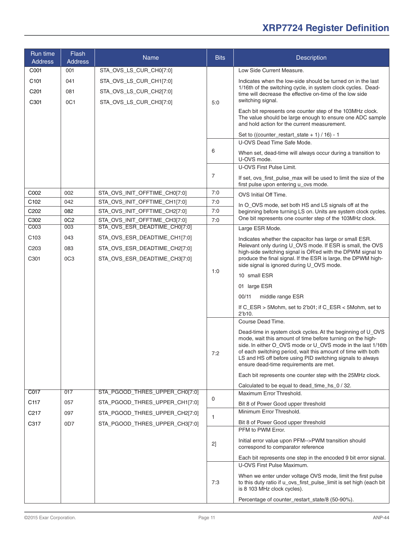| Run time<br><b>Address</b> | Flash<br><b>Address</b> | <b>Name</b>                                                    | <b>Bits</b>  | <b>Description</b>                                                                                                                                                                                                                                                                                                                                               |
|----------------------------|-------------------------|----------------------------------------------------------------|--------------|------------------------------------------------------------------------------------------------------------------------------------------------------------------------------------------------------------------------------------------------------------------------------------------------------------------------------------------------------------------|
| C001                       | 001                     | STA_OVS_LS_CUR_CH0[7:0]                                        |              | Low Side Current Measure.                                                                                                                                                                                                                                                                                                                                        |
| C <sub>101</sub>           | 041                     | STA_OVS_LS_CUR_CH1[7:0]                                        | 5:0          | Indicates when the low-side should be turned on in the last                                                                                                                                                                                                                                                                                                      |
| C201                       | 081                     | STA_OVS_LS_CUR_CH2[7:0]                                        |              | 1/16th of the switching cycle, in system clock cycles. Dead-<br>time will decrease the effective on-time of the low side                                                                                                                                                                                                                                         |
| C301                       | 0C1                     | STA_OVS_LS_CUR_CH3[7:0]                                        |              | switching signal.                                                                                                                                                                                                                                                                                                                                                |
|                            |                         |                                                                |              | Each bit represents one counter step of the 103MHz clock.<br>The value should be large enough to ensure one ADC sample<br>and hold action for the current measurement.                                                                                                                                                                                           |
|                            |                         |                                                                |              | Set to ((counter_restart_state + $1$ ) / 16) - 1                                                                                                                                                                                                                                                                                                                 |
|                            |                         |                                                                |              | U-OVS Dead Time Safe Mode.                                                                                                                                                                                                                                                                                                                                       |
|                            |                         |                                                                | 6            | When set, dead-time will always occur during a transition to<br>U-OVS mode.                                                                                                                                                                                                                                                                                      |
|                            |                         |                                                                |              | U-OVS First Pulse Limit.                                                                                                                                                                                                                                                                                                                                         |
|                            |                         |                                                                | 7            | If set, ovs_first_pulse_max will be used to limit the size of the<br>first pulse upon entering u_ovs mode.                                                                                                                                                                                                                                                       |
| C002                       | 002                     | STA_OVS_INIT_OFFTIME_CH0[7:0]                                  | 7:0          | OVS Initial Off Time.                                                                                                                                                                                                                                                                                                                                            |
| C102                       | 042                     | STA_OVS_INIT_OFFTIME_CH1[7:0]                                  | 7:0          | In O_OVS mode, set both HS and LS signals off at the                                                                                                                                                                                                                                                                                                             |
| C202<br>C302               | 082<br>OC <sub>2</sub>  | STA_OVS_INIT_OFFTIME_CH2[7:0]                                  | 7:0<br>7:0   | beginning before turning LS on. Units are system clock cycles.<br>One bit represents one counter step of the 103MHz clock.                                                                                                                                                                                                                                       |
| COO3                       | 003                     | STA_OVS_INIT_OFFTIME_CH3[7:0]<br>STA_OVS_ESR_DEADTIME_CH0[7:0] |              | Large ESR Mode.                                                                                                                                                                                                                                                                                                                                                  |
| C <sub>103</sub>           | 043                     | STA_OVS_ESR_DEADTIME_CH1[7:0]                                  |              | Indicates whether the capacitor has large or small ESR.                                                                                                                                                                                                                                                                                                          |
| C <sub>203</sub>           | 083                     | STA_OVS_ESR_DEADTIME_CH2[7:0]                                  | 1:0          | Relevant only during U_OVS mode. If ESR is small, the OVS                                                                                                                                                                                                                                                                                                        |
| C301                       | OC <sub>3</sub>         | STA_OVS_ESR_DEADTIME_CH3[7:0]                                  |              | high-side switching signal is OR'ed with the DPWM signal to<br>produce the final signal. If the ESR is large, the DPWM high-<br>side signal is ignored during U_OVS mode.                                                                                                                                                                                        |
|                            |                         |                                                                |              | 10 small ESR                                                                                                                                                                                                                                                                                                                                                     |
|                            |                         |                                                                |              | 01 large ESR                                                                                                                                                                                                                                                                                                                                                     |
|                            |                         |                                                                |              | middle range ESR<br>00/11                                                                                                                                                                                                                                                                                                                                        |
|                            |                         |                                                                |              | If C_ESR > 5Mohm, set to 2'b01; if C_ESR < 5Mohm, set to                                                                                                                                                                                                                                                                                                         |
|                            |                         |                                                                |              | $22$ b <sub>10</sub> .                                                                                                                                                                                                                                                                                                                                           |
|                            |                         |                                                                |              | Course Dead Time.                                                                                                                                                                                                                                                                                                                                                |
|                            |                         |                                                                | 7:2          | Dead-time in system clock cycles. At the beginning of U_OVS<br>mode, wait this amount of time before turning on the high-<br>side. In either O_OVS mode or U_OVS mode in the last 1/16th<br>of each switching period, wait this amount of time with both<br>LS and HS off before using PID switching signals to always<br>ensure dead-time requirements are met. |
|                            |                         |                                                                |              | Each bit represents one counter step with the 25MHz clock.                                                                                                                                                                                                                                                                                                       |
|                            |                         |                                                                |              | Calculated to be equal to dead_time_hs_0 / 32.                                                                                                                                                                                                                                                                                                                   |
| C017                       | 017                     | STA_PGOOD_THRES_UPPER_CH0[7:0]                                 | 0            | Maximum Error Threshold.                                                                                                                                                                                                                                                                                                                                         |
| C117                       | 057                     | STA PGOOD THRES UPPER CH1[7:0]                                 |              | Bit 8 of Power Good upper threshold                                                                                                                                                                                                                                                                                                                              |
| C <sub>217</sub>           | 097                     | STA_PGOOD_THRES_UPPER_CH2[7:0]                                 | $\mathbf{1}$ | Minimum Error Threshold.                                                                                                                                                                                                                                                                                                                                         |
| C317                       | 0D7                     | STA_PGOOD_THRES_UPPER_CH3[7:0]                                 |              | Bit 8 of Power Good upper threshold<br>PFM to PWM Error.                                                                                                                                                                                                                                                                                                         |
|                            |                         |                                                                | 2]           | Initial error value upon PFM-->PWM transition should                                                                                                                                                                                                                                                                                                             |
|                            |                         |                                                                |              | correspond to comparator reference                                                                                                                                                                                                                                                                                                                               |
|                            |                         |                                                                |              | Each bit represents one step in the encoded 9 bit error signal.<br>U-OVS First Pulse Maximum.                                                                                                                                                                                                                                                                    |
|                            |                         |                                                                | 7:3          | When we enter under voltage OVS mode, limit the first pulse<br>to this duty ratio if u_ovs_first_pulse_limit is set high (each bit<br>is 8 103 MHz clock cycles).                                                                                                                                                                                                |
|                            |                         |                                                                |              | Percentage of counter_restart_state/8 (50-90%).                                                                                                                                                                                                                                                                                                                  |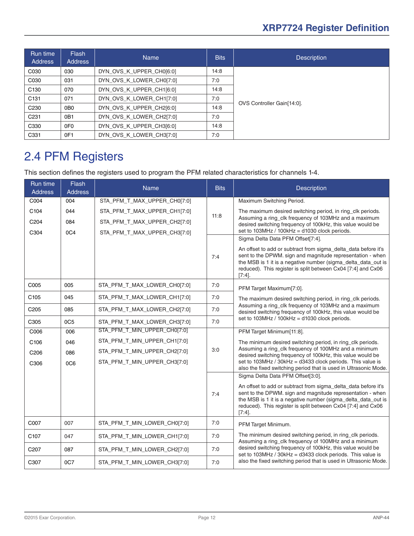<span id="page-11-0"></span>

| Run time<br>Address | <b>Flash</b><br><b>Address</b> | <b>Name</b>              | <b>Bits</b> | <b>Description</b>         |
|---------------------|--------------------------------|--------------------------|-------------|----------------------------|
| C030                | 030                            | DYN_OVS_K_UPPER_CH0[6:0] | 14:8        |                            |
| C030                | 031                            | DYN_OVS_K_LOWER_CH0[7:0] | 7:0         |                            |
| C <sub>130</sub>    | 070                            | DYN_OVS_K_UPPER_CH1[6:0] | 14:8        |                            |
| C <sub>131</sub>    | 071                            | DYN_OVS_K_LOWER_CH1[7:0] | 7:0         | OVS Controller Gain[14:0]. |
| C <sub>230</sub>    | 0B <sub>0</sub>                | DYN_OVS_K_UPPER_CH2[6:0] | 14:8        |                            |
| C <sub>231</sub>    | 0 <sub>B</sub> 1               | DYN_OVS_K_LOWER_CH2[7:0] | 7:0         |                            |
| C330                | 0F <sub>0</sub>                | DYN OVS K UPPER CH3[6:0] | 14:8        |                            |
| C331                | OF <sub>1</sub>                | DYN_OVS_K_LOWER_CH3[7:0] | 7:0         |                            |

## 2.4 PFM Registers

This section defines the registers used to program the PFM related characteristics for channels 1-4.

| <b>Run time</b><br><b>Address</b> | <b>Flash</b><br><b>Address</b> | <b>Name</b>                  | <b>Bits</b> | <b>Description</b>                                                                                                                                                                                                                                                         |
|-----------------------------------|--------------------------------|------------------------------|-------------|----------------------------------------------------------------------------------------------------------------------------------------------------------------------------------------------------------------------------------------------------------------------------|
| C004                              | 004                            | STA_PFM_T_MAX_UPPER_CH0[7:0] |             | Maximum Switching Period.                                                                                                                                                                                                                                                  |
| C104                              | 044                            | STA_PFM_T_MAX_UPPER_CH1[7:0] | 11:8        | The maximum desired switching period, in ring_clk periods.                                                                                                                                                                                                                 |
| C204                              | 084                            | STA_PFM_T_MAX_UPPER_CH2[7:0] |             | Assuming a ring_clk frequency of 103MHz and a maximum<br>desired switching frequency of 100kHz, this value would be                                                                                                                                                        |
| C304                              | 0C4                            | STA_PFM_T_MAX_UPPER_CH3[7:0] |             | set to 103MHz / 100kHz = d1030 clock periods.<br>Sigma Delta Data PFM Offset[7:4].                                                                                                                                                                                         |
|                                   |                                |                              | 7:4         | An offset to add or subtract from sigma_delta_data before it's<br>sent to the DPWM. sign and magnitude representation - when<br>the MSB is 1 it is a negative number (sigma_delta_data_out is<br>reduced). This register is split between Cx04 [7:4] and Cx06<br>$[7:4]$ . |
| C005                              | 005                            | STA_PFM_T_MAX_LOWER_CH0[7:0] | 7:0         | PFM Target Maximum[7:0].                                                                                                                                                                                                                                                   |
| C <sub>105</sub>                  | 045                            | STA_PFM_T_MAX_LOWER_CH1[7:0] | 7:0         | The maximum desired switching period, in ring_clk periods.                                                                                                                                                                                                                 |
| C205                              | 085                            | STA_PFM_T_MAX_LOWER_CH2[7:0] | 7:0         | Assuming a ring_clk frequency of 103MHz and a maximum<br>desired switching frequency of 100kHz, this value would be                                                                                                                                                        |
| C305                              | OC <sub>5</sub>                | STA_PFM_T_MAX_LOWER_CH3[7:0] | 7:0         | set to $103MHz / 100kHz = d1030$ clock periods.                                                                                                                                                                                                                            |
| C006                              | 006                            | STA_PFM_T_MIN_UPPER_CH0[7:0] |             | PFM Target Minimum[11:8].                                                                                                                                                                                                                                                  |
| C <sub>106</sub>                  | 046                            | STA_PFM_T_MIN_UPPER_CH1[7:0] |             | The minimum desired switching period, in ring_clk periods.                                                                                                                                                                                                                 |
| C206                              | 086                            | STA_PFM_T_MIN_UPPER_CH2[7:0] | 3:0         | Assuming a ring clk frequency of 100MHz and a minimum<br>desired switching frequency of 100kHz, this value would be                                                                                                                                                        |
| C306                              | 0C6                            | STA_PFM_T_MIN_UPPER_CH3[7:0] |             | set to 103MHz / 30kHz = d3433 clock periods. This value is<br>also the fixed switching period that is used in Ultrasonic Mode.                                                                                                                                             |
|                                   |                                |                              |             | Sigma Delta Data PFM Offset[3:0].                                                                                                                                                                                                                                          |
|                                   |                                |                              | 7:4         | An offset to add or subtract from sigma_delta_data before it's<br>sent to the DPWM. sign and magnitude representation - when<br>the MSB is 1 it is a negative number (sigma_delta_data_out is<br>reduced). This register is split between Cx04 [7:4] and Cx06<br>$[7:4]$ . |
| C007                              | 007                            | STA_PFM_T_MIN_LOWER_CH0[7:0] | 7:0         | PFM Target Minimum.                                                                                                                                                                                                                                                        |
| C <sub>107</sub>                  | 047                            | STA_PFM_T_MIN_LOWER_CH1[7:0] | 7:0         | The minimum desired switching period, in ring_clk periods.<br>Assuming a ring_clk frequency of 100MHz and a minimum                                                                                                                                                        |
| C <sub>207</sub>                  | 087                            | STA_PFM_T_MIN_LOWER_CH2[7:0] | 7:0         | desired switching frequency of 100kHz, this value would be<br>set to 103MHz / 30kHz = d3433 clock periods. This value is                                                                                                                                                   |
| C307                              | 0C7                            | STA PFM T MIN LOWER CH3[7:0] | 7:0         | also the fixed switching period that is used in Ultrasonic Mode.                                                                                                                                                                                                           |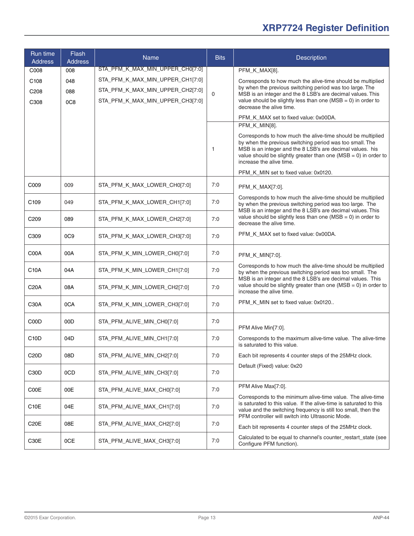| Run time<br><b>Address</b> | Flash<br><b>Address</b>     | <b>Name</b>                      | <b>Bits</b>  | Description                                                                                                                                                                                                                                                                             |
|----------------------------|-----------------------------|----------------------------------|--------------|-----------------------------------------------------------------------------------------------------------------------------------------------------------------------------------------------------------------------------------------------------------------------------------------|
| C008                       | 008                         | STA_PFM_K_MAX_MIN_UPPER_CH0[7:0] |              | PFM_K_MAX[8].                                                                                                                                                                                                                                                                           |
| C <sub>108</sub>           | 048                         | STA_PFM_K_MAX_MIN_UPPER_CH1[7:0] |              | Corresponds to how much the alive-time should be multiplied                                                                                                                                                                                                                             |
| C <sub>208</sub>           | 088                         | STA_PFM_K_MAX_MIN_UPPER_CH2[7:0] | $\mathbf 0$  | by when the previous switching period was too large. The<br>MSB is an integer and the 8 LSB's are decimal values. This                                                                                                                                                                  |
| C <sub>308</sub>           | 0C <sub>8</sub>             | STA_PFM_K_MAX_MIN_UPPER_CH3[7:0] |              | value should be slightly less than one ( $MSB = 0$ ) in order to<br>decrease the alive time.                                                                                                                                                                                            |
|                            |                             |                                  |              | PFM K MAX set to fixed value: 0x00DA.                                                                                                                                                                                                                                                   |
|                            |                             |                                  |              | PFM_K_MIN[8].                                                                                                                                                                                                                                                                           |
|                            |                             |                                  | $\mathbf{1}$ | Corresponds to how much the alive-time should be multiplied<br>by when the previous switching period was too small. The<br>MSB is an integer and the 8 LSB's are decimal values. his<br>value should be slightly greater than one ( $MSB = 0$ ) in order to<br>increase the alive time. |
|                            |                             |                                  |              | PFM_K_MIN set to fixed value: 0x0120.                                                                                                                                                                                                                                                   |
| C009                       | 009                         | STA_PFM_K_MAX_LOWER_CH0[7:0]     | 7:0          | PFM_K_MAX[7:0].                                                                                                                                                                                                                                                                         |
| C <sub>109</sub>           | 049                         | STA_PFM_K_MAX_LOWER_CH1[7:0]     | 7:0          | Corresponds to how much the alive-time should be multiplied<br>by when the previous switching period was too large. The<br>MSB is an integer and the 8 LSB's are decimal values. This                                                                                                   |
| C <sub>209</sub>           | 089                         | STA_PFM_K_MAX_LOWER_CH2[7:0]     | 7:0          | value should be slightly less than one ( $MSB = 0$ ) in order to<br>decrease the alive time.                                                                                                                                                                                            |
| C309                       | <sub>0</sub> C <sub>9</sub> | STA_PFM_K_MAX_LOWER_CH3[7:0]     | 7:0          | PFM_K_MAX set to fixed value: 0x00DA.                                                                                                                                                                                                                                                   |
| C00A                       | 00A                         | STA_PFM_K_MIN_LOWER_CH0[7:0]     | 7:0          | $PFM_K_MIN[7:0].$                                                                                                                                                                                                                                                                       |
| C10A                       | 04A                         | STA_PFM_K_MIN_LOWER_CH1[7:0]     | 7:0          | Corresponds to how much the alive-time should be multiplied<br>by when the previous switching period was too small. The<br>MSB is an integer and the 8 LSB's are decimal values. This                                                                                                   |
| C20A                       | 08A                         | STA_PFM_K_MIN_LOWER_CH2[7:0]     | 7:0          | value should be slightly greater than one ( $MSB = 0$ ) in order to<br>increase the alive time.                                                                                                                                                                                         |
| C30A                       | 0CA                         | STA_PFM_K_MIN_LOWER_CH3[7:0]     | 7:0          | PFM_K_MIN set to fixed value: 0x0120                                                                                                                                                                                                                                                    |
| C00D                       | 00D                         | STA_PFM_ALIVE_MIN_CH0[7:0]       | 7:0          | PFM Alive Min[7:0].                                                                                                                                                                                                                                                                     |
| C <sub>10</sub> D          | 04D                         | STA_PFM_ALIVE_MIN_CH1[7:0]       | 7:0          | Corresponds to the maximum alive-time value. The alive-time<br>is saturated to this value.                                                                                                                                                                                              |
| C <sub>20</sub> D          | 08D                         | STA_PFM_ALIVE_MIN_CH2[7:0]       | 7:0          | Each bit represents 4 counter steps of the 25MHz clock.                                                                                                                                                                                                                                 |
| C <sub>30</sub> D          | 0CD                         | STA_PFM_ALIVE_MIN_CH3[7:0]       | 7:0          | Default (Fixed) value: 0x20                                                                                                                                                                                                                                                             |
| C00E                       | 00E                         | STA_PFM_ALIVE_MAX_CH0[7:0]       | 7:0          | PFM Alive Max[7:0].<br>Corresponds to the minimum alive-time value. The alive-time                                                                                                                                                                                                      |
| C <sub>10</sub> E          | 04E                         | STA_PFM_ALIVE_MAX_CH1[7:0]       | 7:0          | is saturated to this value. If the alive-time is saturated to this<br>value and the switching frequency is still too small, then the<br>PFM controller will switch into Ultrasonic Mode.                                                                                                |
| C <sub>20</sub> E          | 08E                         | STA_PFM_ALIVE_MAX_CH2[7:0]       | 7:0          | Each bit represents 4 counter steps of the 25MHz clock.                                                                                                                                                                                                                                 |
| C30E                       | 0CE                         | STA_PFM_ALIVE_MAX_CH3[7:0]       | 7:0          | Calculated to be equal to channel's counter_restart_state (see<br>Configure PFM function).                                                                                                                                                                                              |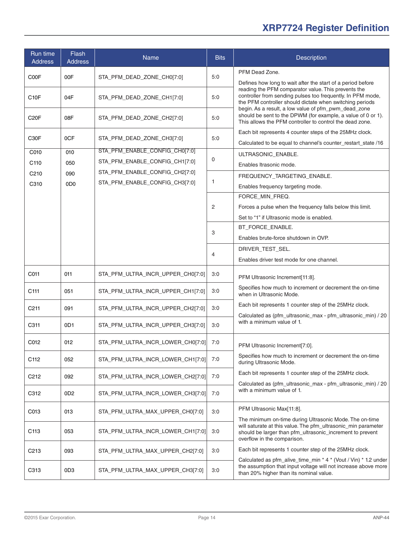| Run time<br><b>Address</b> | <b>Flash</b><br><b>Address</b> | <b>Name</b>                       | <b>Bits</b> | Description                                                                                                                                                                                                                            |
|----------------------------|--------------------------------|-----------------------------------|-------------|----------------------------------------------------------------------------------------------------------------------------------------------------------------------------------------------------------------------------------------|
| C00F                       | 00F                            | STA_PFM_DEAD_ZONE_CH0[7:0]        | 5:0         | PFM Dead Zone.                                                                                                                                                                                                                         |
|                            |                                |                                   |             | Defines how long to wait after the start of a period before                                                                                                                                                                            |
| C <sub>10</sub> F          | 04F                            | STA_PFM_DEAD_ZONE_CH1[7:0]        | 5:0         | reading the PFM comparator value. This prevents the<br>controller from sending pulses too frequently. In PFM mode,<br>the PFM controller should dictate when switching periods<br>begin. As a result, a low value of pfm_pwm_dead_zone |
| C <sub>20</sub> F          | 08F                            | STA_PFM_DEAD_ZONE_CH2[7:0]        | 5:0         | should be sent to the DPWM (for example, a value of 0 or 1).<br>This allows the PFM controller to control the dead zone.                                                                                                               |
| C <sub>30</sub> F          | 0CF                            | STA_PFM_DEAD_ZONE_CH3[7:0]        | 5:0         | Each bit represents 4 counter steps of the 25MHz clock.                                                                                                                                                                                |
|                            |                                |                                   |             | Calculated to be equal to channel's counter restart state /16                                                                                                                                                                          |
| C010                       | 010                            | STA_PFM_ENABLE_CONFIG_CH0[7:0]    |             | ULTRASONIC_ENABLE.                                                                                                                                                                                                                     |
| C <sub>110</sub>           | 050                            | STA_PFM_ENABLE_CONFIG_CH1[7:0]    | 0           | Enables Itrasonic mode.                                                                                                                                                                                                                |
| C <sub>210</sub>           | 090                            | STA_PFM_ENABLE_CONFIG_CH2[7:0]    |             | FREQUENCY_TARGETING_ENABLE.                                                                                                                                                                                                            |
| C310                       | 0D <sub>0</sub>                | STA_PFM_ENABLE_CONFIG_CH3[7:0]    | 1           | Enables frequency targeting mode.                                                                                                                                                                                                      |
|                            |                                |                                   |             | FORCE_MIN_FREQ.                                                                                                                                                                                                                        |
|                            |                                |                                   | 2           | Forces a pulse when the frequency falls below this limit.                                                                                                                                                                              |
|                            |                                |                                   |             |                                                                                                                                                                                                                                        |
|                            |                                |                                   |             | Set to "1" if Ultrasonic mode is enabled.                                                                                                                                                                                              |
|                            |                                |                                   | 3           | BT_FORCE_ENABLE.                                                                                                                                                                                                                       |
|                            |                                |                                   |             | Enables brute-force shutdown in OVP.                                                                                                                                                                                                   |
|                            |                                |                                   | 4           | DRIVER_TEST_SEL.                                                                                                                                                                                                                       |
|                            |                                |                                   |             | Enables driver test mode for one channel.                                                                                                                                                                                              |
| C011                       | 011                            | STA_PFM_ULTRA_INCR_UPPER_CH0[7:0] | 3:0         | PFM Ultrasonic Increment[11:8].                                                                                                                                                                                                        |
| C <sub>111</sub>           | 051                            | STA_PFM_ULTRA_INCR_UPPER_CH1[7:0] | 3:0         | Specifies how much to increment or decrement the on-time<br>when in Ultrasonic Mode.                                                                                                                                                   |
| C <sub>211</sub>           | 091                            | STA_PFM_ULTRA_INCR_UPPER_CH2[7:0] | 3:0         | Each bit represents 1 counter step of the 25MHz clock.<br>Calculated as (pfm ultrasonic max - pfm ultrasonic min) / 20                                                                                                                 |
| C311                       | 0D <sub>1</sub>                | STA PFM ULTRA INCR UPPER CH3[7:0] | 3:0         | with a minimum value of 1.                                                                                                                                                                                                             |
| C012                       | 012                            | STA_PFM_ULTRA_INCR_LOWER_CH0[7:0] | 7:0         | PFM Ultrasonic Increment[7:0].                                                                                                                                                                                                         |
| C112                       | 052                            | STA_PFM_ULTRA_INCR_LOWER_CH1[7:0] | 7:0         | Specifies how much to increment or decrement the on-time<br>during Ultrasonic Mode.                                                                                                                                                    |
| C <sub>2</sub> 12          | 092                            | STA_PFM_ULTRA_INCR_LOWER_CH2[7:0] | 7:0         | Each bit represents 1 counter step of the 25MHz clock.<br>Calculated as (pfm_ultrasonic_max - pfm_ultrasonic_min) / 20                                                                                                                 |
| C312                       | 0D <sub>2</sub>                | STA_PFM_ULTRA_INCR_LOWER_CH3[7:0] | 7:0         | with a minimum value of 1.                                                                                                                                                                                                             |
| C013                       | 013                            | STA_PFM_ULTRA_MAX_UPPER_CH0[7:0]  | 3:0         | PFM Ultrasonic Max[11:8].                                                                                                                                                                                                              |
| C <sub>113</sub>           | 053                            | STA_PFM_ULTRA_INCR_LOWER_CH1[7:0] | 3:0         | The minimum on-time during Ultrasonic Mode. The on-time<br>will saturate at this value. The pfm ultrasonic min parameter<br>should be larger than pfm_ultrasonic_increment to prevent<br>overflow in the comparison.                   |
| C <sub>213</sub>           | 093                            | STA_PFM_ULTRA_MAX_UPPER_CH2[7:0]  | 3:0         | Each bit represents 1 counter step of the 25MHz clock.                                                                                                                                                                                 |
| C313                       | 0D <sub>3</sub>                | STA_PFM_ULTRA_MAX_UPPER_CH3[7:0]  | 3:0         | Calculated as pfm_alive_time_min * 4 * (Vout / Vin) * 1.2 under<br>the assumption that input voltage will not increase above more<br>than 20% higher than its nominal value.                                                           |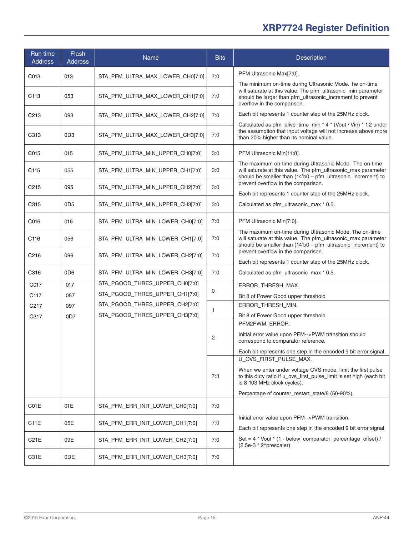| Run time<br><b>Address</b> | Flash<br><b>Address</b> | <b>Name</b>                      | <b>Bits</b>    | Description                                                                                                                                                                              |
|----------------------------|-------------------------|----------------------------------|----------------|------------------------------------------------------------------------------------------------------------------------------------------------------------------------------------------|
| C013                       | 013                     | STA_PFM_ULTRA_MAX_LOWER_CH0[7:0] | 7:0            | PFM Ultrasonic Max[7:0].                                                                                                                                                                 |
|                            |                         |                                  |                | The minimum on-time during Ultrasonic Mode. he on-time                                                                                                                                   |
| C <sub>113</sub>           | 053                     | STA PFM ULTRA MAX LOWER CH1[7:0] | 7:0            | will saturate at this value. The pfm_ultrasonic_min parameter<br>should be larger than pfm_ultrasonic_increment to prevent<br>overflow in the comparison.                                |
| C <sub>2</sub> 13          | 093                     | STA PFM ULTRA MAX LOWER CH2[7:0] | 7:0            | Each bit represents 1 counter step of the 25MHz clock.                                                                                                                                   |
| C313                       | 0D <sub>3</sub>         | STA_PFM_ULTRA_MAX_LOWER_CH3[7:0] | 7:0            | Calculated as pfm_alive_time_min * 4 * (Vout / Vin) * 1.2 under<br>the assumption that input voltage will not increase above more<br>than 20% higher than its nominal value.             |
| C015                       | 015                     | STA_PFM_ULTRA_MIN_UPPER_CH0[7:0] | 3:0            | PFM Ultrasonic Min[11:8].                                                                                                                                                                |
| C <sub>115</sub>           | 055                     | STA_PFM_ULTRA_MIN_UPPER_CH1[7:0] | 3:0            | The maximum on-time during Ultrasonic Mode. The on-time<br>will saturate at this value. The pfm_ultrasonic_max parameter<br>should be smaller than (14'b0 - pfm_ultrasonic_increment) to |
| C <sub>215</sub>           | 095                     | STA_PFM_ULTRA_MIN_UPPER_CH2[7:0] | 3:0            | prevent overflow in the comparison.<br>Each bit represents 1 counter step of the 25MHz clock.                                                                                            |
| C315                       | 0D <sub>5</sub>         | STA_PFM_ULTRA_MIN_UPPER_CH3[7:0] | 3:0            | Calculated as pfm_ultrasonic_max * 0.5.                                                                                                                                                  |
| C016                       | 016                     | STA_PFM_ULTRA_MIN_LOWER_CH0[7:0] | 7:0            | PFM Ultrasonic Min[7:0].                                                                                                                                                                 |
| C116                       | 056                     | STA_PFM_ULTRA_MIN_LOWER_CH1[7:0] | 7:0            | The maximum on-time during Ultrasonic Mode. The on-time<br>will saturate at this value. The pfm_ultrasonic_max parameter<br>should be smaller than (14'b0 - pfm_ultrasonic_increment) to |
| C <sub>216</sub>           | 096                     | STA_PFM_ULTRA_MIN_LOWER_CH2[7:0] | 7:0            | prevent overflow in the comparison.<br>Each bit represents 1 counter step of the 25MHz clock.                                                                                            |
| C316                       | 0D <sub>6</sub>         | STA_PFM_ULTRA_MIN_LOWER_CH3[7:0] | 7:0            | Calculated as pfm_ultrasonic_max * 0.5.                                                                                                                                                  |
| C017                       | 017                     | STA_PGOOD_THRES_UPPER_CH0[7:0]   |                | ERROR_THRESH_MAX.                                                                                                                                                                        |
| C117                       | 057                     | STA_PGOOD_THRES_UPPER_CH1[7:0]   | 0              | Bit 8 of Power Good upper threshold                                                                                                                                                      |
| C <sub>217</sub>           | 097                     | STA_PGOOD_THRES_UPPER_CH2[7:0]   | 1              | ERROR_THRESH_MIN.                                                                                                                                                                        |
| C317                       | 0D7                     | STA_PGOOD_THRES_UPPER_CH3[7:0]   |                | Bit 8 of Power Good upper threshold                                                                                                                                                      |
|                            |                         |                                  |                | PFM2PWM_ERROR.                                                                                                                                                                           |
|                            |                         |                                  | $\overline{c}$ | Initial error value upon PFM-->PWM transition should<br>correspond to comparator reference.                                                                                              |
|                            |                         |                                  |                | Each bit represents one step in the encoded 9 bit error signal.                                                                                                                          |
|                            |                         |                                  |                | U_OVS_FIRST_PULSE_MAX.                                                                                                                                                                   |
|                            |                         |                                  | 7:3            | When we enter under voltage OVS mode, limit the first pulse<br>to this duty ratio if u_ovs_first_pulse_limit is set high (each bit<br>is 8 103 MHz clock cycles).                        |
|                            |                         |                                  |                | Percentage of counter restart state/8 (50-90%).                                                                                                                                          |
| C01E                       | 01E                     | STA_PFM_ERR_INIT_LOWER_CH0[7:0]  | 7:0            |                                                                                                                                                                                          |
| C11E                       | 05E                     | STA_PFM_ERR_INIT_LOWER_CH1[7:0]  | 7:0            | Initial error value upon PFM-->PWM transition.<br>Each bit represents one step in the encoded 9 bit error signal.                                                                        |
| C21E                       | 09E                     | STA_PFM_ERR_INIT_LOWER_CH2[7:0]  | 7:0            | Set = $4 *$ Vout $*$ (1 - below comparator percentage offset) /<br>$(2.5e-3 * 2o)$ prescaler)                                                                                            |
| C31E                       | 0DE                     | STA_PFM_ERR_INIT_LOWER_CH3[7:0]  | 7:0            |                                                                                                                                                                                          |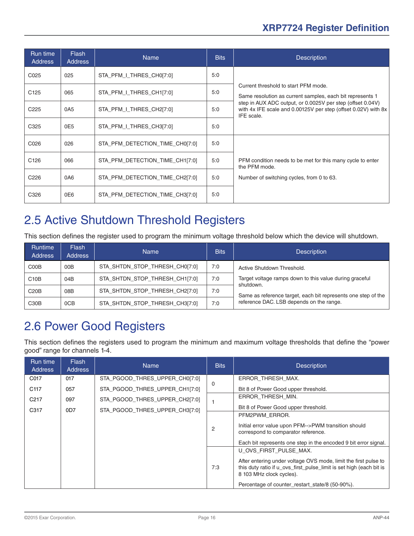<span id="page-15-0"></span>

| Run time<br><b>Address</b> | <b>Flash</b><br><b>Address</b> | <b>Name</b>                     | <b>Bits</b> | <b>Description</b>                                                                                                                         |
|----------------------------|--------------------------------|---------------------------------|-------------|--------------------------------------------------------------------------------------------------------------------------------------------|
| C025                       | 025                            | STA_PFM_I_THRES_CH0[7:0]        | 5:0         |                                                                                                                                            |
| C <sub>125</sub>           | 065                            | STA PFM I THRES CH1[7:0]        | 5:0         | Current threshold to start PFM mode.<br>Same resolution as current samples, each bit represents 1                                          |
| C <sub>225</sub>           | 0A5                            | STA_PFM_I_THRES_CH2[7:0]        | 5:0         | step in AUX ADC output, or 0.0025V per step (offset 0.04V)<br>with 4x IFE scale and 0.00125V per step (offset 0.02V) with 8x<br>IFE scale. |
| C <sub>325</sub>           | 0E5                            | STA PFM I THRES CH3[7:0]        | 5:0         |                                                                                                                                            |
| C026                       | 026                            | STA PFM DETECTION TIME CH0[7:0] | 5:0         |                                                                                                                                            |
| C <sub>126</sub>           | 066                            | STA PFM_DETECTION_TIME_CH1[7:0] | 5:0         | PFM condition needs to be met for this many cycle to enter<br>the PFM mode.                                                                |
| C <sub>226</sub>           | 0A6                            | STA_PFM_DETECTION_TIME_CH2[7:0] | 5:0         | Number of switching cycles, from 0 to 63.                                                                                                  |
| C326                       | 0E6                            | STA PFM DETECTION TIME CH3[7:0] | 5:0         |                                                                                                                                            |

## 2.5 Active Shutdown Threshold Registers

This section defines the register used to program the minimum voltage threshold below which the device will shutdown.

| <b>Runtime</b><br><b>Address</b> | <b>Flash</b><br><b>Address</b> | <b>Name</b>                    | <b>Bits</b> | <b>Description</b>                                                   |
|----------------------------------|--------------------------------|--------------------------------|-------------|----------------------------------------------------------------------|
| C <sub>0</sub> O <sub>B</sub>    | 00B                            | STA SHTDN STOP THRESH CH0[7:0] | 7:0         | Active Shutdown Threshold.                                           |
| C10B                             | 04B                            | STA_SHTDN_STOP_THRESH_CH1[7:0] | 7:0         | Target voltage ramps down to this value during graceful<br>shutdown. |
| C20B                             | 08B                            | STA_SHTDN_STOP_THRESH_CH2[7:0] | 7:0         | Same as reference target, each bit represents one step of the        |
| C <sub>30</sub> B                | 0CB                            | STA SHTDN STOP THRESH CH3[7:0] | 7:0         | reference DAC. LSB depends on the range.                             |

## 2.6 Power Good Registers

This section defines the registers used to program the minimum and maximum voltage thresholds that define the "power good" range for channels 1-4.

| Run time<br>Address | Flash<br><b>Address</b> | <b>Name</b>                    | <b>Bits</b> | <b>Description</b>                                                                                                                                                                                                                              |
|---------------------|-------------------------|--------------------------------|-------------|-------------------------------------------------------------------------------------------------------------------------------------------------------------------------------------------------------------------------------------------------|
| C017                | 017                     | STA_PGOOD_THRES_UPPER_CH0[7:0] |             | ERROR THRESH MAX.                                                                                                                                                                                                                               |
| C <sub>117</sub>    | 057                     | STA PGOOD THRES UPPER CH1[7:0] | 0           | Bit 8 of Power Good upper threshold.                                                                                                                                                                                                            |
| C <sub>217</sub>    | 097                     | STA_PGOOD_THRES_UPPER_CH2[7:0] |             | ERROR THRESH MIN.                                                                                                                                                                                                                               |
| C317                | 0D7                     | STA_PGOOD_THRES_UPPER_CH3[7:0] |             | Bit 8 of Power Good upper threshold.                                                                                                                                                                                                            |
|                     |                         |                                | 2           | PFM2PWM ERROR.<br>Initial error value upon PFM-->PWM transition should<br>correspond to comparator reference.<br>Each bit represents one step in the encoded 9 bit error signal.                                                                |
|                     |                         |                                | 7:3         | U OVS FIRST PULSE MAX.<br>After entering under voltage OVS mode, limit the first pulse to<br>this duty ratio if u ovs first pulse limit is set high (each bit is<br>8 103 MHz clock cycles).<br>Percentage of counter restart state/8 (50-90%). |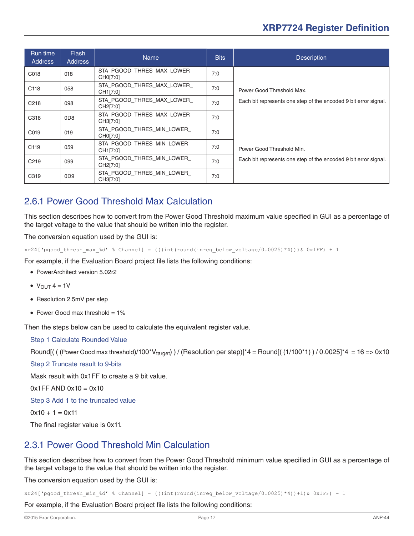<span id="page-16-0"></span>

| Run time<br><b>Address</b> | <b>Flash</b><br><b>Address</b> | <b>Name</b>                            | <b>Bits</b> | <b>Description</b>                                              |
|----------------------------|--------------------------------|----------------------------------------|-------------|-----------------------------------------------------------------|
| C018                       | 018                            | STA PGOOD THRES MAX LOWER<br>CH0[7:0]  | 7:0         |                                                                 |
| C <sub>118</sub>           | 058                            | STA PGOOD_THRES_MAX_LOWER_<br>CH1[7:0] | 7:0         | Power Good Threshold Max.                                       |
| C <sub>218</sub>           | 098                            | STA PGOOD_THRES_MAX_LOWER_<br>CH2[7:0] | 7:0         | Each bit represents one step of the encoded 9 bit error signal. |
| C318                       | 0 <sub>D</sub> 8               | STA PGOOD THRES MAX LOWER<br>CH3[7:0]  | 7:0         |                                                                 |
| C019                       | 019                            | STA PGOOD THRES MIN LOWER<br>CH0[7:0]  | 7:0         |                                                                 |
| C <sub>119</sub>           | 059                            | STA PGOOD THRES MIN LOWER<br>CH1[7:0]  | 7:0         | Power Good Threshold Min.                                       |
| C <sub>219</sub>           | 099                            | STA PGOOD THRES MIN LOWER<br>CH2[7:0]  | 7:0         | Each bit represents one step of the encoded 9 bit error signal. |
| C319                       | 0 <sub>D</sub> <sub>9</sub>    | STA PGOOD THRES MIN LOWER<br>CH3[7:0]  | 7:0         |                                                                 |

#### 2.6.1 Power Good Threshold Max Calculation

This section describes how to convert from the Power Good Threshold maximum value specified in GUI as a percentage of the target voltage to the value that should be written into the register.

The conversion equation used by the GUI is:

```
xr24['pgood_thresh_max_%d' % Channel] = (((int(round(inreg_below_voltage/0.0025)*4)))& 0x1FF) + 1
```
For example, if the Evaluation Board project file lists the following conditions:

- PowerArchitect version 5.02r2
- $\bullet$  V<sub>OUT</sub> 4 = 1V
- Resolution 2.5mV per step
- Power Good max threshold  $= 1\%$

Then the steps below can be used to calculate the equivalent register value.

#### Step 1 Calculate Rounded Value

Round[(  $($  (Power Good max threshold)/100\*V $_{\text{target}}$ ) / (Resolution per step)]\*4 = Round[( $(1/100*1)$ ) / 0.0025]\*4 = 16 => 0x10

Step 2 Truncate result to 9-bits

Mask result with 0x1FF to create a 9 bit value.

 $0x1FF$  AND  $0x10 = 0x10$ 

Step 3 Add 1 to the truncated value

 $0x10 + 1 = 0x11$ 

The final register value is 0x11.

#### 2.3.1 Power Good Threshold Min Calculation

This section describes how to convert from the Power Good Threshold minimum value specified in GUI as a percentage of the target voltage to the value that should be written into the register.

The conversion equation used by the GUI is:

 $xr24['pgood thresh min %d' % channel] = (((int(round(inner below voltage/0.0025)*4))+1)& 0x1FF) - 1$ 

For example, if the Evaluation Board project file lists the following conditions: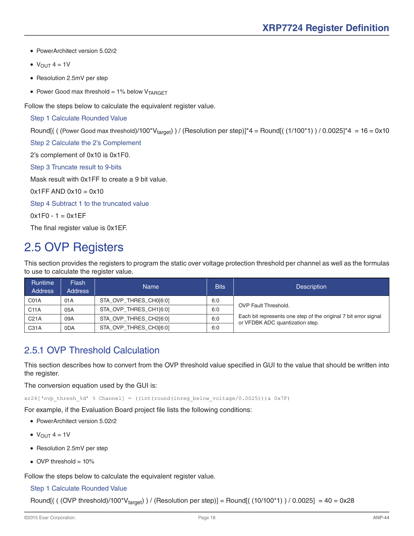- <span id="page-17-0"></span>● PowerArchitect version 5.02r2
- $\bullet$  V<sub>OUT</sub> 4 = 1V
- Resolution 2.5mV per step
- Power Good max threshold = 1% below  $V_{TARGET}$

Follow the steps below to calculate the equivalent register value.

#### Step 1 Calculate Rounded Value

Round[( ( (Power Good max threshold)/100\*V<sub>target</sub>) ) / (Resolution per step)]\*4 = Round[(  $(1/100*1)$  ) / 0.0025]\*4 = 16 = 0x10

Step 2 Calculate the 2's Complement

2's complement of 0x10 is 0x1F0.

Step 3 Truncate result to 9-bits

Mask result with 0x1FF to create a 9 bit value.

 $0x1FF AND 0x10 = 0x10$ 

Step 4 Subtract 1 to the truncated value

 $0x1F0 - 1 = 0x1EF$ 

The final register value is 0x1EF.

## 2.5 OVP Registers

This section provides the registers to program the static over voltage protection threshold per channel as well as the formulas to use to calculate the register value.

| <b>Runtime</b><br><b>Address</b> | <b>Flash</b><br><b>Address</b> | Name                   | <b>Bits</b> | <b>Description</b>                                                                                 |
|----------------------------------|--------------------------------|------------------------|-------------|----------------------------------------------------------------------------------------------------|
| CO1A                             | 01A                            | STA OVP THRES CH0[6:0] | 6:0         |                                                                                                    |
| C <sub>11A</sub>                 | 05A                            | STA OVP THRES CH1[6:0] | 6:0         | <b>OVP Fault Threshold.</b>                                                                        |
| C <sub>21A</sub>                 | 09A                            | STA OVP THRES CH2[6:0] | 6:0         | Each bit represents one step of the original 7 bit error signal<br>or VFDBK ADC quantization step. |
| C31A                             | 0 <sub>D</sub> A               | STA OVP THRES CH3[6:0] | 6:0         |                                                                                                    |

#### 2.5.1 OVP Threshold Calculation

This section describes how to convert from the OVP threshold value specified in GUI to the value that should be written into the register.

The conversion equation used by the GUI is:

xr24['ovp\_thresh\_%d' % Channel] = ((int(round(inreg\_below\_voltage/0.0025)))& 0x7F)

For example, if the Evaluation Board project file lists the following conditions:

- PowerArchitect version 5.02r2
- $\bullet$  V<sub>OUT</sub> 4 = 1V
- Resolution 2.5mV per step
- $\bullet$  OVP threshold = 10%

Follow the steps below to calculate the equivalent register value.

#### Step 1 Calculate Rounded Value

Round[(  $($  (OVP threshold)/100\*V<sub>target</sub>) ) / (Resolution per step)] = Round[( $(10/100*1)$ ) / 0.0025] = 40 = 0x28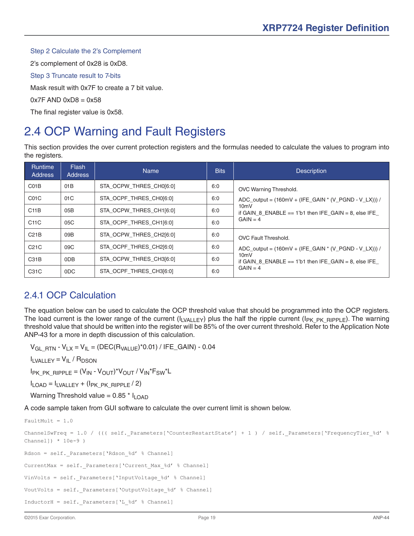#### <span id="page-18-0"></span>Step 2 Calculate the 2's Complement

2's complement of 0x28 is 0xD8.

Step 3 Truncate result to 7-bits

Mask result with 0x7F to create a 7 bit value.

#### $0x7F$  AND  $0xD8 = 0x58$

The final register value is 0x58.

## 2.4 OCP Warning and Fault Registers

This section provides the over current protection registers and the formulas needed to calculate the values to program into the registers.

| <b>Runtime</b><br><b>Address</b> | <b>Flash</b><br><b>Address</b> | <b>Name</b>             | <b>Bits</b> | <b>Description</b>                                                    |
|----------------------------------|--------------------------------|-------------------------|-------------|-----------------------------------------------------------------------|
| C01B                             | 01 <sub>B</sub>                | STA OCPW THRES CHO[6:0] | 6:0         | OVC Warning Threshold.                                                |
| C <sub>01</sub> C                | 01 <sub>C</sub>                | STA OCPF THRES CH0[6:0] | 6:0         | ADC_output = $(160mV + (IFE_GAIN * (V_PGND - V_LX)))$ /               |
| C11B                             | 05B                            | STA OCPW THRES CH1[6:0] | 6:0         | $10m$ V<br>if GAIN 8 ENABLE $== 1$ 'b1 then IFE GAIN $= 8$ , else IFE |
| C <sub>11</sub> C                | 05C                            | STA OCPF THRES CH1[6:0] | 6:0         | $GAIN = 4$                                                            |
| C21B                             | 09B                            | STA OCPW THRES CH2[6:0] | 6:0         | <b>OVC Fault Threshold.</b>                                           |
| C <sub>21</sub> C                | 09 <sub>C</sub>                | STA OCPF_THRES_CH2[6:0] | 6:0         | $ADC\_output = (160mV + (IFE_GAIN * (V_PGND - V_LX)))$ /              |
| C <sub>31</sub> B                | 0DB                            | STA OCPW THRES CH3[6:0] | 6:0         | $10m$ V<br>if GAIN 8 ENABLE $== 1$ 'b1 then IFE GAIN $= 8$ , else IFE |
| C31C                             | 0DC                            | STA OCPF THRES CH3[6:0] | 6:0         | $GAIN = 4$                                                            |

#### 2.4.1 OCP Calculation

The equation below can be used to calculate the OCP threshold value that should be programmed into the OCP registers. The load current is the lower range of the current ( $I_{LVALLEY}$ ) plus the half the ripple current ( $I_{PK-RK-RIPPLE}$ ). The warning threshold value that should be written into the register will be 85% of the over current threshold. Refer to the Application Note ANP-43 for a more in depth discussion of this calculation.

 $V_{GL RTN}$  -  $V_{LX} = V_{IL} = (DEC(R<sub>VALUE</sub>)$ <sup>\*</sup>0.01) / IFE\_GAIN) - 0.04

 $I_{LVALLEY} = V_{IL} / R_{DSON}$ 

 $I_{PK}$  PK\_RIPPLE =  $(V_{IN} - V_{OUT})*V_{OUT} / V_{IN}*F_{SW}*L$ 

 $I_{LOAD} = I_{LVALLEY} + (I_{PK.PK.RIPPLE} / 2)$ 

Warning Threshold value =  $0.85 * I<sub>L</sub>$ 

A code sample taken from GUI software to calculate the over current limit is shown below.

```
FaultMult = 1.0ChannelSwFreq = 1.0 / ((( self. Parameters['CounterRestartState'] + 1 ) / self. Parameters['FrequencyTier %d' %
Channel]) * 10e-9 )
Rdson = self. Parameters['Rdson %d' % Channel]
CurrentMax = self. Parameters['Current Max %d' % Channel]
VinVolts = self. Parameters['InputVoltage %d' % Channel]
VoutVolts = self. Parameters['OutputVoltage %d' % Channel]
InductorH = self._Parameters['L_%d' % Channel]
```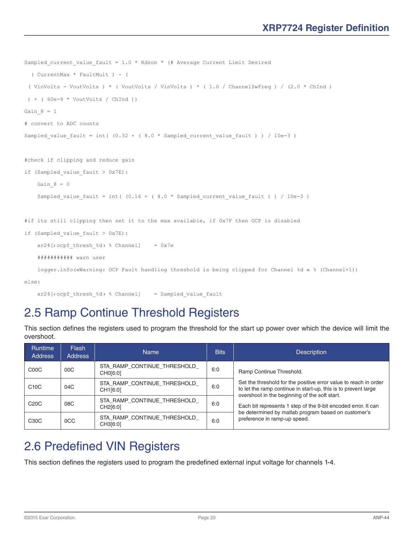```
Sampled current value fault = 1.0 * Rdson * (# Average Current Limit Desired
   ( CurrentMax * FaultMult ) - (
 ( VinVolts - VoutVolts ) * ( VoutVolts / VinVolts ) * ( 1.0 / ChannelSwFreq ) / (2.0 * ChInd )
  ) + ( 60e-9 * VoutVolts / ChInd ))
Gain 8 = 1# convert to ADC counts
Sampled value fault = int( (0.32 + ( 8.0 *  Sampled current value fault ) ) / 10e-3 )
#check if clipping and reduce gain
if (Sampled_value_fault > 0x7E):
    Gain 8 = 0Sampled value fault = int( (0.16 + (4.0 * Sampled current value fault ) ) / 10e-3 )
#if its still clipping then set it to the max available, if 0x7F then OCP is disabled
if (Sampled_value_fault > 0x7E):
    xr24[\text{coeff\_thresh\_ & d> % Channel] = 0x7e
     ########### warn user
    logger.info(«Warning: OCP Fault handling threshold is being clipped for Channel %d « % (Channel+1))
else:
```
xr24[‹ocpf\_thresh\_%d› % Channel] = Sampled\_value\_fault

## 2.5 Ramp Continue Threshold Registers

| <b>Runtime</b><br><b>Address</b> | <b>Flash</b><br><b>Address</b> | <b>Name</b>                              | <b>Bits</b> | <b>Description</b>                                                                                                                 |
|----------------------------------|--------------------------------|------------------------------------------|-------------|------------------------------------------------------------------------------------------------------------------------------------|
| C <sub>0</sub> OC                | 00C                            | STA RAMP CONTINUE THRESHOLD<br>CH0[6:0]  | 6:0         | Ramp Continue Threshold.                                                                                                           |
| C10C                             | 04C                            | STA_RAMP_CONTINUE_THRESHOLD_<br>CH1[6:0] | 6:0         | Set the threshold for the positive error value to reach in order<br>to let the ramp continue in start-up, this is to prevent large |
| C <sub>20</sub> C                | 08C                            | STA RAMP CONTINUE THRESHOLD<br>CH2[6:0]  | 6:0         | overshoot in the beginning of the soft start.<br>Each bit represents 1 step of the 9-bit encoded error. It can                     |
| C30C                             | 0CC                            | STA RAMP_CONTINUE_THRESHOLD_<br>CH3[6:0] | 6:0         | be determined by matlab program based on customer's<br>preference in ramp-up speed.                                                |

This section defines the registers used to program the threshold for the start up power over which the device will limit the overshoot.

## 2.6 Predefined VIN Registers

This section defines the registers used to program the predefined external input voltage for channels 1-4.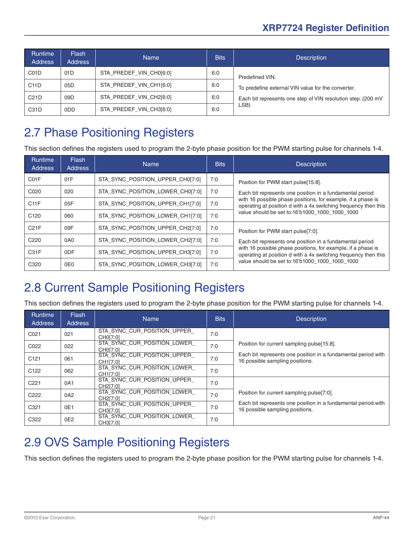<span id="page-20-0"></span>

| <b>Runtime</b><br><b>Address</b> | <b>Flash</b><br><b>Address</b> | <b>Name</b>             | <b>Bits</b> | <b>Description</b>                                           |
|----------------------------------|--------------------------------|-------------------------|-------------|--------------------------------------------------------------|
| C <sub>01</sub> D                | 01 <sub>D</sub>                | STA PREDEF VIN CH0[6:0] | 6:0         | Predefined VIN.                                              |
| C <sub>11</sub> D                | 05D                            | STA_PREDEF_VIN_CH1[6:0] | 6:0         | To predefine external VIN value for the converter.           |
| C21D                             | 09D                            | STA PREDEF_VIN_CH2[6:0] | 6:0         | Each bit represents one step of VIN resolution step. (200 mV |
| C31D                             | 0 <sub>D</sub> D               | STA PREDEF VIN CH3[6:0] | 6:0         | LSB)                                                         |

## 2.7 Phase Positioning Registers

This section defines the registers used to program the 2-byte phase position for the PWM starting pulse for channels 1-4.

| <b>Runtime</b><br><b>Address</b> | <b>Flash</b><br><b>Address</b> | Name                             | <b>Bits</b> | <b>Description</b>                                                                                                              |
|----------------------------------|--------------------------------|----------------------------------|-------------|---------------------------------------------------------------------------------------------------------------------------------|
| C01F                             | 01F                            | STA SYNC_POSITION_UPPER_CH0[7:0] | 7:0         | Position for PWM start pulse[15:8].                                                                                             |
| C020                             | 020                            | STA SYNC_POSITION_LOWER_CH0[7:0] | 7:0         | Each bit represents one position in a fundamental period                                                                        |
| C11F                             | 05F                            | STA SYNC_POSITION_UPPER_CH1[7:0] | 7:0         | with 16 possible phase positions, for example, if a phase is<br>operating at position d with a 4x switching frequency then this |
| C <sub>120</sub>                 | 060                            | STA SYNC_POSITION_LOWER_CH1[7:0] | 7:0         | value should be set to:16'b1000 1000 1000 1000                                                                                  |
| C21F                             | 09F                            | STA SYNC_POSITION_UPPER_CH2[7:0] | 7:0         | Position for PWM start pulse[7:0].                                                                                              |
| C <sub>220</sub>                 | 0A <sub>0</sub>                | STA SYNC POSITION LOWER CH2[7:0] | 7:0         | Each bit represents one position in a fundamental period                                                                        |
| C <sub>31</sub> F                | 0 <sub>DF</sub>                | STA SYNC_POSITION_UPPER_CH3[7:0] | 7:0         | with 16 possible phase positions, for example, if a phase is<br>operating at position d with a 4x switching frequency then this |
| C <sub>320</sub>                 | 0E0                            | STA SYNC POSITION LOWER CH3[7:0] | 7:0         | value should be set to:16'b1000 1000 1000 1000                                                                                  |

## 2.8 Current Sample Positioning Registers

This section defines the registers used to program the 2-byte phase position for the PWM starting pulse for channels 1-4.

| <b>Runtime</b><br><b>Address</b> | Flash<br>Address | <b>Name</b>                                          | <b>Bits</b> | <b>Description</b>                                                                               |
|----------------------------------|------------------|------------------------------------------------------|-------------|--------------------------------------------------------------------------------------------------|
| C <sub>021</sub>                 | 021              | STA SYNC CUR POSITION UPPER<br>CH0[7:0]              | 7:0         |                                                                                                  |
| C022                             | 022              | STA SYNC CUR POSITION LOWER<br>CH0[7:0]              | 7:0         | Position for current sampling pulse[15:8].                                                       |
| C <sub>121</sub>                 | 061              | STA SYNC CUR POSITION UPPER<br>CH1[7:0]              | 7:0         | Each bit represents one position in a fundamental period with<br>16 possible sampling positions. |
| C <sub>122</sub>                 | 062              | STA SYNC CUR POSITION LOWER<br>CH1[7:0]              | 7:0         |                                                                                                  |
| C <sub>221</sub>                 | 0A1              | STA SYNC CUR POSITION UPPER<br>CH <sub>2</sub> [7:0] | 7:0         |                                                                                                  |
| C <sub>222</sub>                 | 0A2              | STA SYNC CUR POSITION LOWER<br>CH <sub>2</sub> [7:0] | 7:0         | Position for current sampling pulse[7:0].                                                        |
| C <sub>321</sub>                 | 0E1              | STA SYNC CUR POSITION UPPER<br>CH3[7:0]              | 7:0         | Each bit represents one position in a fundamental period with<br>16 possible sampling positions. |
| C322                             | 0E <sub>2</sub>  | STA SYNC CUR POSITION LOWER<br>CH3[7:0]              | 7:0         |                                                                                                  |

## 2.9 OVS Sample Positioning Registers

This section defines the registers used to program the 2-byte phase position for the PWM starting pulse for channels 1-4.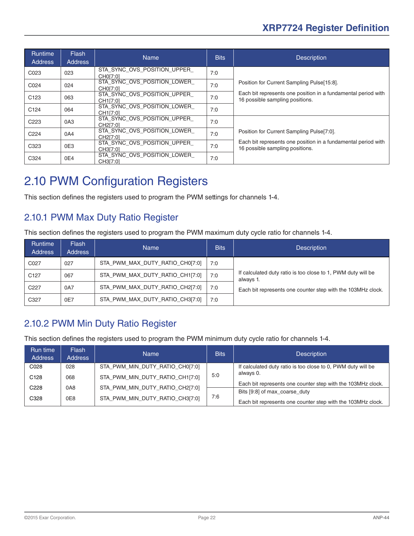<span id="page-21-0"></span>

| <b>Runtime</b><br><b>Address</b> | <b>Flash</b><br><b>Address</b> | <b>Name</b>                             | <b>Bits</b> | <b>Description</b>                                                                               |
|----------------------------------|--------------------------------|-----------------------------------------|-------------|--------------------------------------------------------------------------------------------------|
| C023                             | 023                            | STA SYNC OVS POSITION UPPER<br>CH0[7:0] | 7:0         |                                                                                                  |
| C024                             | 024                            | STA SYNC OVS POSITION LOWER<br>CH0[7:0] | 7:0         | Position for Current Sampling Pulse[15:8].                                                       |
| C <sub>123</sub>                 | 063                            | STA SYNC OVS POSITION UPPER<br>CH1[7:0] | 7:0         | Each bit represents one position in a fundamental period with<br>16 possible sampling positions. |
| C <sub>124</sub>                 | 064                            | STA SYNC OVS POSITION LOWER<br>CH1[7:0] | 7:0         |                                                                                                  |
| C <sub>223</sub>                 | 0A <sub>3</sub>                | STA_SYNC_OVS_POSITION_UPPER<br>CH2[7:0] | 7:0         |                                                                                                  |
| C <sub>224</sub>                 | 0A4                            | STA SYNC OVS POSITION LOWER<br>CH2[7:0] | 7:0         | Position for Current Sampling Pulse[7:0].                                                        |
| C323                             | 0E3                            | STA SYNC OVS POSITION UPPER<br>CH3[7:0] | 7:0         | Each bit represents one position in a fundamental period with<br>16 possible sampling positions. |
| C324                             | 0E4                            | STA SYNC OVS POSITION LOWER<br>CH3[7:0] | 7:0         |                                                                                                  |

## 2.10 PWM Configuration Registers

This section defines the registers used to program the PWM settings for channels 1-4.

#### 2.10.1 PWM Max Duty Ratio Register

This section defines the registers used to program the PWM maximum duty cycle ratio for channels 1-4.

| <b>Runtime</b><br><b>Address</b> | <b>Flash</b><br><b>Address</b> | <b>Name</b>                     | <b>Bits</b> | <b>Description</b>                                                        |
|----------------------------------|--------------------------------|---------------------------------|-------------|---------------------------------------------------------------------------|
| C027                             | 027                            | STA PWM MAX DUTY RATIO CH0[7:0] | 7:0         |                                                                           |
| C <sub>127</sub>                 | 067                            | STA_PWM_MAX_DUTY_RATIO_CH1[7:0] | 7:0         | If calculated duty ratio is too close to 1, PWM duty will be<br>always 1. |
| C <sub>227</sub>                 | 0A7                            | STA PWM MAX DUTY RATIO CH2[7:0] | 7:0         | Each bit represents one counter step with the 103MHz clock.               |
| C327                             | 0E7                            | STA PWM MAX DUTY RATIO CH3[7:0] | 7:0         |                                                                           |

#### 2.10.2 PWM Min Duty Ratio Register

This section defines the registers used to program the PWM minimum duty cycle ratio for channels 1-4.

| Run time<br><b>Address</b> | Flash<br><b>Address</b> | <b>Name</b>                     | <b>Bits</b> | <b>Description</b>                                           |
|----------------------------|-------------------------|---------------------------------|-------------|--------------------------------------------------------------|
| C028                       | 028                     | STA PWM MIN DUTY RATIO CH0[7:0] |             | If calculated duty ratio is too close to 0, PWM duty will be |
| C <sub>128</sub>           | 068                     | STA_PWM_MIN_DUTY_RATIO_CH1[7:0] | 5:0         | always 0.                                                    |
| C228                       | 0A8                     | STA_PWM_MIN_DUTY_RATIO_CH2[7:0] |             | Each bit represents one counter step with the 103MHz clock.  |
|                            |                         |                                 |             | Bits [9:8] of max_coarse_duty                                |
| C328                       | 0E8                     | STA PWM MIN DUTY RATIO CH3[7:0] | 7:6         | Each bit represents one counter step with the 103MHz clock.  |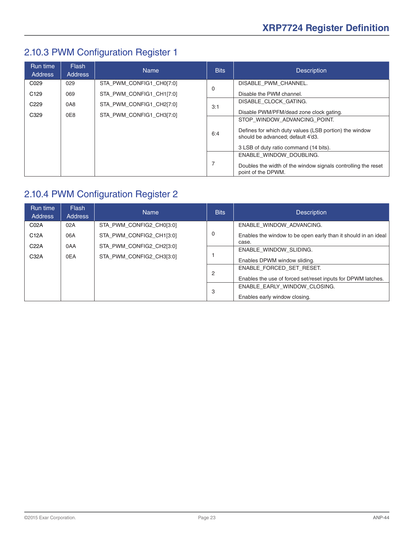## <span id="page-22-0"></span>2.10.3 PWM Configuration Register 1

| Run time<br><b>Address</b> | <b>Flash</b><br>Address | <b>Name</b>              | <b>Bits</b> | <b>Description</b>                                                                                                                                                    |
|----------------------------|-------------------------|--------------------------|-------------|-----------------------------------------------------------------------------------------------------------------------------------------------------------------------|
| C <sub>029</sub>           | 029                     | STA PWM CONFIG1 CH0[7:0] |             | DISABLE_PWM_CHANNEL.                                                                                                                                                  |
| C <sub>129</sub>           | 069                     | STA PWM CONFIG1 CH1[7:0] | 0           | Disable the PWM channel.                                                                                                                                              |
| C <sub>229</sub>           | 0A8                     | STA PWM CONFIG1 CH2[7:0] | 3:1         | DISABLE CLOCK GATING.                                                                                                                                                 |
| C329                       | 0E8                     | STA PWM CONFIG1 CH3[7:0] |             | Disable PWM/PFM/dead zone clock gating.                                                                                                                               |
|                            |                         |                          | 6:4         | STOP WINDOW ADVANCING POINT.<br>Defines for which duty values (LSB portion) the window<br>should be advanced; default 4'd3.<br>3 LSB of duty ratio command (14 bits). |
|                            |                         |                          | 7           | ENABLE WINDOW DOUBLING.<br>Doubles the width of the window signals controlling the reset<br>point of the DPWM.                                                        |

## 2.10.4 PWM Configuration Register 2

| Run time<br>Address | <b>Flash</b><br><b>Address</b> | <b>Name</b>              | <b>Bits</b>    | <b>Description</b>                                                      |
|---------------------|--------------------------------|--------------------------|----------------|-------------------------------------------------------------------------|
| C <sub>02</sub> A   | 02A                            | STA_PWM_CONFIG2_CH0[3:0] |                | ENABLE WINDOW ADVANCING.                                                |
| C <sub>12</sub> A   | 06A                            | STA PWM CONFIG2 CH1[3:0] | 0              | Enables the window to be open early than it should in an ideal<br>case. |
| C <sub>22A</sub>    | 0AA                            | STA PWM CONFIG2 CH2[3:0] |                | ENABLE WINDOW SLIDING.                                                  |
| C32A                | 0EA                            | STA PWM CONFIG2 CH3[3:0] |                | Enables DPWM window sliding.                                            |
|                     |                                |                          | $\overline{2}$ | ENABLE FORCED SET RESET.                                                |
|                     |                                |                          |                | Enables the use of forced set/reset inputs for DPWM latches.            |
|                     |                                |                          |                | ENABLE EARLY WINDOW CLOSING.                                            |
|                     |                                |                          | 3              | Enables early window closing.                                           |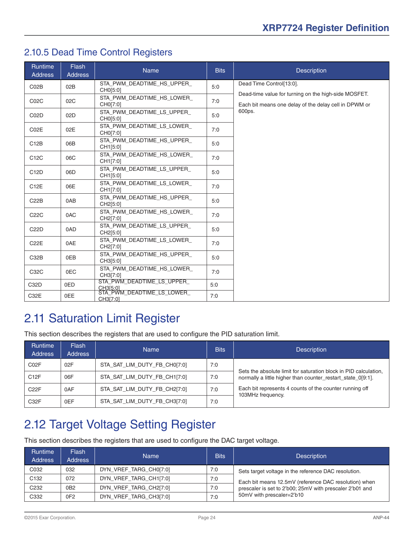#### <span id="page-23-0"></span>2.10.5 Dead Time Control Registers

| <b>Runtime</b><br><b>Address</b> | <b>Flash</b><br><b>Address</b> | <b>Name</b>                                        | <b>Bits</b> | <b>Description</b>                                                                                            |
|----------------------------------|--------------------------------|----------------------------------------------------|-------------|---------------------------------------------------------------------------------------------------------------|
| CO2B                             | 02B                            | STA_PWM_DEADTIME_HS_UPPER_<br>CH0[5:0]             | 5:0         | Dead Time Control[13:0].                                                                                      |
| CO2C                             | 02C                            | STA PWM DEADTIME HS LOWER<br>CH0[7:0]              | 7:0         | Dead-time value for turning on the high-side MOSFET.<br>Each bit means one delay of the delay cell in DPWM or |
| C02D                             | 02D                            | STA PWM DEADTIME LS UPPER<br>CH0[5:0]              | 5:0         | 600ps.                                                                                                        |
| C02E                             | 02E                            | STA PWM DEADTIME LS LOWER<br>CH0[7:0]              | 7:0         |                                                                                                               |
| C12B                             | 06B                            | STA PWM DEADTIME HS UPPER<br>CH1[5:0]              | 5:0         |                                                                                                               |
| C12C                             | 06C                            | STA PWM DEADTIME HS LOWER<br>CH1[7:0]              | 7:0         |                                                                                                               |
| C <sub>12</sub> D                | 06D                            | STA PWM DEADTIME LS UPPER<br>CH1[5:0]              | 5:0         |                                                                                                               |
| C12E                             | 06E                            | STA_PWM_DEADTIME_LS_LOWER_<br>CH1[7:0]             | 7:0         |                                                                                                               |
| C22B                             | 0AB                            | STA PWM DEADTIME HS UPPER<br>CH2[5:0]              | 5:0         |                                                                                                               |
| C22C                             | 0AC                            | STA PWM DEADTIME HS LOWER<br>CH2[7:0]              | 7:0         |                                                                                                               |
| C22D                             | 0AD                            | STA PWM DEADTIME LS UPPER<br>CH2[5:0]              | 5:0         |                                                                                                               |
| C22E                             | 0AE                            | STA PWM DEADTIME LS LOWER<br>CH2[7:0]              | 7:0         |                                                                                                               |
| C32B                             | 0EB                            | STA PWM DEADTIME HS UPPER<br>CH3[5:0]              | 5:0         |                                                                                                               |
| C32C                             | 0EC                            | STA PWM DEADTIME HS LOWER<br>CH3[7:0]              | 7:0         |                                                                                                               |
| C32D                             | 0ED                            | STA PWM DEADTIME LS UPPER                          | 5:0         |                                                                                                               |
| C32E                             | 0EE                            | CH3[5:0]<br>STA_PWM_DEADTIME_LS_LOWER_<br>CH3[7:0] | 7:0         |                                                                                                               |

## 2.11 Saturation Limit Register

This section describes the registers that are used to configure the PID saturation limit.

| Runtime<br><b>Address</b> | Flash<br><b>Address</b> | <b>Name</b>                  | <b>Bits</b> | <b>Description</b>                                                                                                              |
|---------------------------|-------------------------|------------------------------|-------------|---------------------------------------------------------------------------------------------------------------------------------|
| C <sub>02</sub> F         | 02F                     | STA SAT LIM DUTY FB CH0[7:0] | 7:0         |                                                                                                                                 |
| C12F                      | 06F                     | STA_SAT_LIM_DUTY_FB_CH1[7:0] | 7:0         | Sets the absolute limit for saturation block in PID calculation,<br>normally a little higher than counter_restart_state_0[9:1]. |
| C <sub>22</sub> F         | 0AF                     | STA SAT LIM DUTY FB CH2[7:0] | 7:0         | Each bit represents 4 counts of the counter running off<br>103MHz frequency.                                                    |
| C <sub>32</sub> F         | 0EF                     | STA_SAT_LIM_DUTY_FB_CH3[7:0] | 7:0         |                                                                                                                                 |

## 2.12 Target Voltage Setting Register

This section describes the registers that are used to configure the DAC target voltage.

| <b>Runtime</b><br><b>Address</b> | <b>Flash</b><br><b>Address</b> | Name                   | <b>Bits</b> | <b>Description</b>                                       |
|----------------------------------|--------------------------------|------------------------|-------------|----------------------------------------------------------|
| C032                             | 032                            | DYN VREF TARG CH0[7:0] | 7:0         | Sets target voltage in the reference DAC resolution.     |
| C <sub>132</sub>                 | 072                            | DYN VREF TARG CH1[7:0] | 7:0         | Each bit means 12.5mV (reference DAC resolution) when    |
| C <sub>232</sub>                 | 0B2                            | DYN VREF TARG CH2[7:0] | 7:0         | prescaler is set to 2'b00; 25mV with prescaler 2'b01 and |
| C332                             | 0F <sub>2</sub>                | DYN VREF TARG CH3[7:0] | 7:0         | 50mV with prescaler=2'b10                                |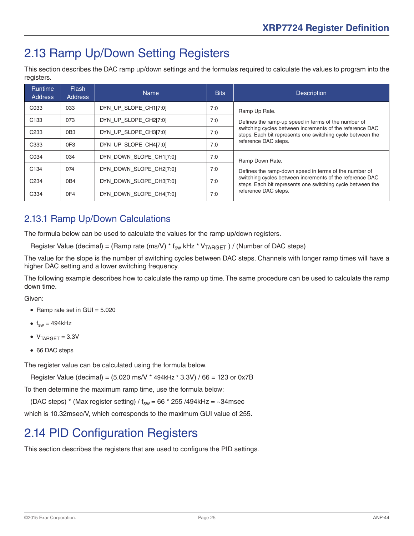## <span id="page-24-0"></span>2.13 Ramp Up/Down Setting Registers

This section describes the DAC ramp up/down settings and the formulas required to calculate the values to program into the registers.

| Runtime<br><b>Address</b> | <b>Flash</b><br>Address | <b>Name</b>             | <b>Bits</b> | <b>Description</b>                                                                                                     |
|---------------------------|-------------------------|-------------------------|-------------|------------------------------------------------------------------------------------------------------------------------|
| C033                      | 033                     | DYN UP SLOPE CH1[7:0]   | 7:0         | Ramp Up Rate.                                                                                                          |
| C <sub>133</sub>          | 073                     | DYN UP SLOPE CH2[7:0]   | 7:0         | Defines the ramp-up speed in terms of the number of                                                                    |
| C <sub>233</sub>          | 0B <sub>3</sub>         | DYN UP SLOPE CH3[7:0]   | 7:0         | switching cycles between increments of the reference DAC<br>steps. Each bit represents one switching cycle between the |
| C <sub>333</sub>          | 0F3                     | DYN UP SLOPE CH4[7:0]   | 7:0         | reference DAC steps.                                                                                                   |
| C034                      | 034                     | DYN DOWN SLOPE CH1[7:0] | 7:0         | Ramp Down Rate.                                                                                                        |
| C <sub>134</sub>          | 074                     | DYN DOWN SLOPE CH2[7:0] | 7:0         | Defines the ramp-down speed in terms of the number of                                                                  |
| C <sub>234</sub>          | 0B4                     | DYN DOWN SLOPE CH3[7:0] | 7:0         | switching cycles between increments of the reference DAC<br>steps. Each bit represents one switching cycle between the |
| C334                      | 0F4                     | DYN DOWN SLOPE CH4[7:0] | 7:0         | reference DAC steps.                                                                                                   |

#### 2.13.1 Ramp Up/Down Calculations

The formula below can be used to calculate the values for the ramp up/down registers.

Register Value (decimal) = (Ramp rate (ms/V) \*  $f_{sw}$  kHz \*  $V_{TARGET}$ ) / (Number of DAC steps)

The value for the slope is the number of switching cycles between DAC steps. Channels with longer ramp times will have a higher DAC setting and a lower switching frequency.

The following example describes how to calculate the ramp up time. The same procedure can be used to calculate the ramp down time.

#### Given:

- Ramp rate set in GUI =  $5.020$
- $\bullet$  f<sub>sw</sub> = 494kHz
- $\bullet$  V<sub>TARGET</sub> = 3.3V
- 66 DAC steps

The register value can be calculated using the formula below.

Register Value (decimal) = (5.020 ms/V \* 494kHz \* 3.3V) / 66 = 123 or 0x7B

To then determine the maximum ramp time, use the formula below:

(DAC steps) \* (Max register setting) /  $f_{sw}$  = 66 \* 255 /494kHz = ~34msec

which is 10.32msec/V, which corresponds to the maximum GUI value of 255.

## 2.14 PID Configuration Registers

This section describes the registers that are used to configure the PID settings.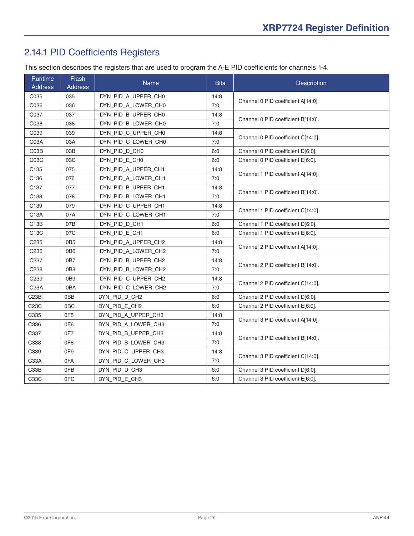#### <span id="page-25-0"></span>2.14.1 PID Coefficients Registers

This section describes the registers that are used to program the A-E PID coefficients for channels 1-4.

| Runtime<br><b>Address</b> | <b>Flash</b><br><b>Address</b> | Name                | <b>Bits</b> | <b>Description</b>                 |
|---------------------------|--------------------------------|---------------------|-------------|------------------------------------|
| C035                      | 035                            | DYN_PID_A_UPPER_CH0 | 14:8        | Channel 0 PID coefficient A[14:0]. |
| C036                      | 036                            | DYN_PID_A_LOWER_CH0 | 7:0         |                                    |
| C037                      | 037                            | DYN_PID_B_UPPER_CH0 | 14:8        | Channel 0 PID coefficient B[14:0]. |
| C038                      | 038                            | DYN_PID_B_LOWER_CH0 | 7:0         |                                    |
| C039                      | 039                            | DYN PID C UPPER CHO | 14:8        | Channel 0 PID coefficient C[14:0]. |
| C03A                      | 03A                            | DYN_PID_C_LOWER_CH0 | 7:0         |                                    |
| C03B                      | 03B                            | DYN PID D CH0       | 6:0         | Channel 0 PID coefficient D[6:0].  |
| C03C                      | 03C                            | DYN PID E CHO       | 6:0         | Channel 0 PID coefficient E[6:0].  |
| C135                      | 075                            | DYN_PID_A_UPPER_CH1 | 14:8        |                                    |
| C136                      | 076                            | DYN_PID_A_LOWER_CH1 | 7:0         | Channel 1 PID coefficient A[14:0]. |
| C137                      | 077                            | DYN_PID_B_UPPER_CH1 | 14:8        |                                    |
| C138                      | 078                            | DYN PID B LOWER CH1 | 7:0         | Channel 1 PID coefficient B[14:0]. |
| C139                      | 079                            | DYN_PID_C_UPPER_CH1 | 14:8        |                                    |
| C13A                      | 07A                            | DYN_PID_C_LOWER_CH1 | 7:0         | Channel 1 PID coefficient C[14:0]. |
| C <sub>13</sub> B         | 07B                            | DYN_PID_D_CH1       | 6:0         | Channel 1 PID coefficient D[6:0].  |
| C <sub>13</sub> C         | 07C                            | DYN PID E CH1       | 6:0         | Channel 1 PID coefficient E[6:0].  |
| C <sub>235</sub>          | 0B <sub>5</sub>                | DYN_PID_A_UPPER_CH2 | 14:8        |                                    |
| C236                      | 0B <sub>6</sub>                | DYN_PID_A_LOWER_CH2 | 7:0         | Channel 2 PID coefficient A[14:0]. |
| C237                      | 0B7                            | DYN_PID_B_UPPER_CH2 | 14:8        |                                    |
| C238                      | 0B8                            | DYN_PID_B_LOWER_CH2 | 7:0         | Channel 2 PID coefficient B[14:0]. |
| C239                      | 0B <sub>9</sub>                | DYN_PID_C_UPPER_CH2 | 14:8        |                                    |
| C23A                      | 0BA                            | DYN_PID_C_LOWER_CH2 | 7:0         | Channel 2 PID coefficient C[14:0]. |
| C <sub>23</sub> B         | 0BB                            | DYN_PID_D_CH2       | 6:0         | Channel 2 PID coefficient D[6:0].  |
| C23C                      | 0 <sub>BC</sub>                | DYN_PID_E_CH2       | 6:0         | Channel 2 PID coefficient E[6:0].  |
| C335                      | 0F <sub>5</sub>                | DYN PID A UPPER CH3 | 14:8        |                                    |
| C336                      | 0F6                            | DYN_PID_A_LOWER_CH3 | 7:0         | Channel 3 PID coefficient A[14:0]. |
| C337                      | 0F7                            | DYN_PID_B_UPPER_CH3 | 14:8        |                                    |
| C338                      | 0F <sub>8</sub>                | DYN_PID_B_LOWER_CH3 | 7:0         | Channel 3 PID coefficient B[14:0]. |
| C339                      | 0F9                            | DYN_PID_C_UPPER_CH3 | 14:8        |                                    |
| C33A                      | 0FA                            | DYN_PID_C_LOWER_CH3 | 7:0         | Channel 3 PID coefficient C[14:0]. |
| C33B                      | 0FB                            | DYN_PID_D_CH3       | 6:0         | Channel 3 PID coefficient D[6:0].  |
| C33C                      | 0FC                            | DYN PID E CH3       | 6:0         | Channel 3 PID coefficient E[6:0].  |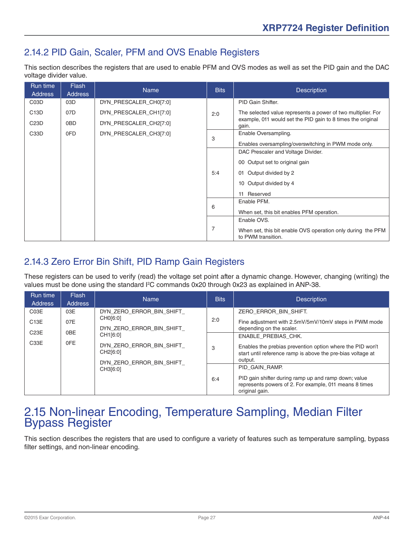#### <span id="page-26-0"></span>2.14.2 PID Gain, Scaler, PFM and OVS Enable Registers

This section describes the registers that are used to enable PFM and OVS modes as well as set the PID gain and the DAC voltage divider value.

| Run time<br>Address | <b>Flash</b><br><b>Address</b> | <b>Name</b>            | <b>Bits</b>    | <b>Description</b>                                                                |
|---------------------|--------------------------------|------------------------|----------------|-----------------------------------------------------------------------------------|
| C <sub>0</sub> 3D   | 03D                            | DYN_PRESCALER_CH0[7:0] |                | PID Gain Shifter.                                                                 |
| C <sub>13</sub> D   | 07D                            | DYN_PRESCALER_CH1[7:0] | 2:0            | The selected value represents a power of two multiplier. For                      |
| C <sub>23</sub> D   | 0BD                            | DYN_PRESCALER_CH2[7:0] |                | example, 011 would set the PID gain to 8 times the original<br>gain.              |
| C <sub>3</sub> 3D   | 0FD                            | DYN_PRESCALER_CH3[7:0] | 3              | Enable Oversampling.                                                              |
|                     |                                |                        |                | Enables oversampling/overswitching in PWM mode only.                              |
|                     |                                |                        |                | DAC Prescaler and Voltage Divider.                                                |
|                     |                                |                        |                | 00 Output set to original gain                                                    |
|                     |                                |                        | 5:4            | Output divided by 2<br>01                                                         |
|                     |                                |                        |                | 10 Output divided by 4                                                            |
|                     |                                |                        |                | 11 Reserved                                                                       |
|                     |                                |                        | 6              | Enable PFM.                                                                       |
|                     |                                |                        |                | When set, this bit enables PFM operation.                                         |
|                     |                                |                        |                | Enable OVS.                                                                       |
|                     |                                |                        | $\overline{7}$ | When set, this bit enable OVS operation only during the PFM<br>to PWM transition. |

#### 2.14.3 Zero Error Bin Shift, PID Ramp Gain Registers

These registers can be used to verify (read) the voltage set point after a dynamic change. However, changing (writing) the values must be done using the standard I<sup>2</sup>C commands 0x20 through 0x23 as explained in ANP-38.

| Run time<br><b>Address</b> | <b>Flash</b><br><b>Address</b> | <b>Name</b>                          | <b>Bits</b> | <b>Description</b>                                                                                                               |
|----------------------------|--------------------------------|--------------------------------------|-------------|----------------------------------------------------------------------------------------------------------------------------------|
| C03E                       | 03E                            | DYN ZERO ERROR BIN SHIFT             |             | ZERO ERROR BIN SHIFT.                                                                                                            |
| C13E                       | 07E                            | CH0[6:0]                             | 2:0         | Fine adjustment with 2.5mV/5mV/10mV steps in PWM mode                                                                            |
| C <sub>23</sub> E          | 0BE                            | DYN ZERO ERROR BIN SHIFT             |             | depending on the scaler.                                                                                                         |
| C33E                       | 0FE                            | CH1[6:0]                             |             | <b>ENABLE PREBIAS CHK.</b>                                                                                                       |
|                            |                                | DYN ZERO ERROR BIN SHIFT<br>CH2[6:0] | 3           | Enables the prebias prevention option where the PID won't<br>start until reference ramp is above the pre-bias voltage at         |
|                            |                                | DYN_ZERO_ERROR_BIN_SHIFT             |             | output.                                                                                                                          |
|                            |                                | CH3[6:0]                             |             | PID GAIN RAMP.                                                                                                                   |
|                            |                                |                                      | 6:4         | PID gain shifter during ramp up and ramp down; value<br>represents powers of 2. For example, 011 means 8 times<br>original gain. |

# 2.15 Non-linear Encoding, Temperature Sampling, Median Filter Bypass Register

This section describes the registers that are used to configure a variety of features such as temperature sampling, bypass filter settings, and non-linear encoding.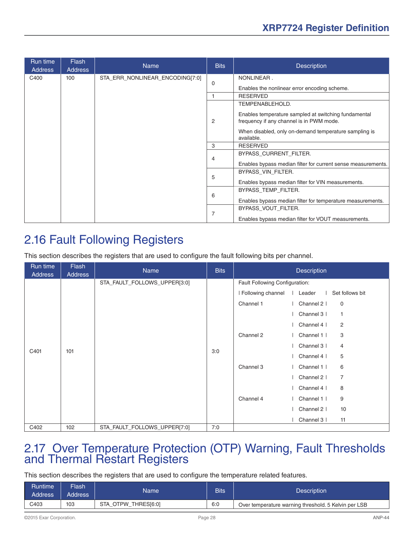<span id="page-27-0"></span>

| Run time<br><b>Address</b> | <b>Flash</b><br><b>Address</b> | <b>Name</b>                     | <b>Bits</b>    | <b>Description</b>                                                                               |
|----------------------------|--------------------------------|---------------------------------|----------------|--------------------------------------------------------------------------------------------------|
| C400                       | 100                            | STA_ERR_NONLINEAR_ENCODING[7:0] |                | NONLINEAR.                                                                                       |
|                            |                                |                                 | 0              | Enables the nonlinear error encoding scheme.                                                     |
|                            |                                |                                 |                | <b>RESERVED</b>                                                                                  |
|                            |                                |                                 |                | TEMPENABLEHOLD.                                                                                  |
|                            |                                |                                 | $\overline{2}$ | Enables temperature sampled at switching fundamental<br>frequency if any channel is in PWM mode. |
|                            |                                |                                 |                | When disabled, only on-demand temperature sampling is<br>available.                              |
|                            |                                |                                 | 3              | <b>RESERVED</b>                                                                                  |
|                            |                                |                                 | 4              | BYPASS CURRENT FILTER.                                                                           |
|                            |                                |                                 |                | Enables bypass median filter for current sense measurements.                                     |
|                            |                                |                                 |                | BYPASS VIN FILTER.                                                                               |
|                            |                                |                                 | 5              | Enables bypass median filter for VIN measurements.                                               |
|                            |                                |                                 |                | BYPASS TEMP FILTER.                                                                              |
|                            |                                |                                 | 6              | Enables bypass median filter for temperature measurements.                                       |
|                            |                                |                                 |                | BYPASS VOUT FILTER.                                                                              |
|                            |                                |                                 | 7              | Enables bypass median filter for VOUT measurements.                                              |

## 2.16 Fault Following Registers

This section describes the registers that are used to configure the fault following bits per channel.

| Run time<br><b>Address</b> | Flash<br><b>Address</b> | Name                         | <b>Bits</b> |                                | <b>Description</b>            |
|----------------------------|-------------------------|------------------------------|-------------|--------------------------------|-------------------------------|
|                            |                         | STA_FAULT_FOLLOWS_UPPER[3:0] |             | Fault Following Configuration: |                               |
|                            |                         |                              |             | I Following channel            | Set follows bit<br>Leader     |
|                            |                         |                              |             | Channel 1                      | Channel 2  <br>$\mathbf 0$    |
|                            |                         |                              | 3:0         |                                | Channel 3  <br>$\mathbf{1}$   |
|                            |                         |                              |             |                                | 2<br>Channel 4                |
|                            | 101                     |                              |             | Channel 2                      | 3<br>Channel 1                |
|                            |                         |                              |             |                                | Channel 3  <br>4              |
| C401                       |                         |                              |             |                                | 5<br>Channel 4                |
|                            |                         |                              |             | Channel 3                      | Channel 1  <br>6              |
|                            |                         |                              |             |                                | Channel 2  <br>$\overline{7}$ |
|                            |                         |                              |             |                                | 8<br>Channel 4                |
|                            |                         |                              |             | Channel 4                      | Channel 1  <br>9              |
|                            |                         |                              |             |                                | Channel 2  <br>10             |
|                            |                         |                              |             |                                | Channel 3  <br>11             |
| C402                       | 102                     | STA_FAULT_FOLLOWS_UPPER[7:0] | 7:0         |                                |                               |

# 2.17 Over Temperature Protection (OTP) Warning, Fault Thresholds and Thermal Restart Registers

This section describes the registers that are used to configure the temperature related features.

| <b>Runtime</b><br>Address | Flash'<br><b>Address</b> | Name                | <b>Bits</b> | <b>Description</b>                                   |
|---------------------------|--------------------------|---------------------|-------------|------------------------------------------------------|
| C403                      | 103                      | STA OTPW THRESI6:01 | 6:0         | Over temperature warning threshold. 5 Kelvin per LSB |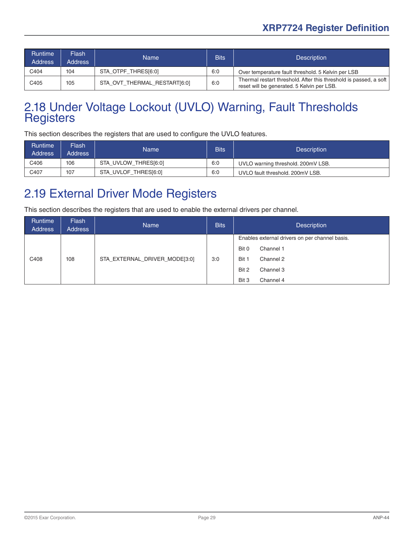<span id="page-28-0"></span>

| <b>Runtime</b><br>Address | Flash<br><b>Address</b> | 'Name                        | <b>Bits</b> | <b>Description</b>                                                                                              |
|---------------------------|-------------------------|------------------------------|-------------|-----------------------------------------------------------------------------------------------------------------|
| C404                      | 104                     | STA_OTPF_THRES[6:0]          | 6:0         | Over temperature fault threshold. 5 Kelvin per LSB                                                              |
| C405                      | 105                     | STA OVT THERMAL RESTART[6:0] | 6:0         | Thermal restart threshold. After this threshold is passed, a soft<br>reset will be generated. 5 Kelvin per LSB. |

# 2.18 Under Voltage Lockout (UVLO) Warning, Fault Thresholds Registers

This section describes the registers that are used to configure the UVLO features.

| <b>Runtime</b><br><b>Address</b> | Flash<br><b>Address</b> | Name                 | <b>Bits</b> | <b>Description</b>                 |
|----------------------------------|-------------------------|----------------------|-------------|------------------------------------|
| C406                             | 106                     | STA_UVLOW_THRES[6:0] | 6:0         | UVLO warning threshold. 200mV LSB. |
| C407                             | 107                     | STA_UVLOF_THRES[6:0] | 6:0         | UVLO fault threshold, 200mV LSB.   |

## 2.19 External Driver Mode Registers

This section describes the registers that are used to enable the external drivers per channel.

| Runtime<br>Address | <b>Flash</b><br>Address | <b>Name</b>                   | <b>Bits</b> | <b>Description</b>                             |
|--------------------|-------------------------|-------------------------------|-------------|------------------------------------------------|
|                    |                         |                               |             | Enables external drivers on per channel basis. |
|                    |                         |                               |             | Bit 0<br>Channel 1                             |
| C408               | 108                     | STA_EXTERNAL_DRIVER_MODE[3:0] | 3:0         | Bit 1<br>Channel 2                             |
|                    |                         |                               |             | Bit 2<br>Channel 3                             |
|                    |                         |                               |             | Bit 3<br>Channel 4                             |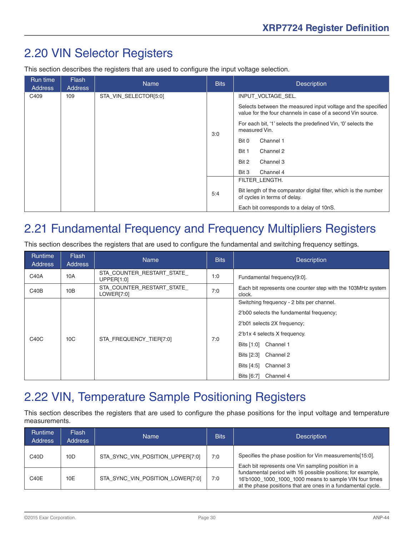## <span id="page-29-0"></span>2.20 VIN Selector Registers

This section describes the registers that are used to configure the input voltage selection.

| Run time<br><b>Address</b> | Flash<br><b>Address</b> | <b>Name</b>           | <b>Bits</b> | <b>Description</b>                                                                                                          |
|----------------------------|-------------------------|-----------------------|-------------|-----------------------------------------------------------------------------------------------------------------------------|
| C409                       | 109                     | STA VIN SELECTOR[5:0] |             | INPUT VOLTAGE SEL.                                                                                                          |
|                            |                         |                       | 3:0         | Selects between the measured input voltage and the specified<br>value for the four channels in case of a second Vin source. |
|                            |                         |                       |             | For each bit, '1' selects the predefined Vin, '0' selects the<br>measured Vin.                                              |
|                            |                         |                       |             | Channel 1<br>Bit 0                                                                                                          |
|                            |                         |                       |             | Bit 1<br>Channel 2                                                                                                          |
|                            |                         |                       |             | Bit 2<br>Channel 3                                                                                                          |
|                            |                         |                       |             | Bit 3<br>Channel 4                                                                                                          |
|                            |                         |                       |             | FILTER LENGTH.                                                                                                              |
|                            |                         |                       | 5:4         | Bit length of the comparator digital filter, which is the number<br>of cycles in terms of delay.                            |
|                            |                         |                       |             | Each bit corresponds to a delay of 10nS.                                                                                    |

## 2.21 Fundamental Frequency and Frequency Multipliers Registers

This section describes the registers that are used to configure the fundamental and switching frequency settings.

| Runtime<br><b>Address</b>     | <b>Flash</b><br>Address | <b>Name</b>                              | <b>Bits</b> | <b>Description</b>                                                                                                                                                                                                                                         |
|-------------------------------|-------------------------|------------------------------------------|-------------|------------------------------------------------------------------------------------------------------------------------------------------------------------------------------------------------------------------------------------------------------------|
| C40A                          | 10A                     | STA_COUNTER_RESTART_STATE_<br>UPPER[1:0] | 1:0         | Fundamental frequency[9:0].                                                                                                                                                                                                                                |
| C40B                          | 10B                     | STA_COUNTER_RESTART_STATE_<br>LOWER[7:0] | 7:0         | Each bit represents one counter step with the 103MHz system<br>clock.                                                                                                                                                                                      |
| C <sub>4</sub> 0 <sub>C</sub> | 10C                     | STA FREQUENCY TIER[7:0]                  | 7:0         | Switching frequency - 2 bits per channel.<br>2'b00 selects the fundamental frequency;<br>2'b01 selects 2X frequency;<br>2'b1x 4 selects X frequency.<br>Bits [1:0] Channel 1<br>Bits [2:3] Channel 2<br>Bits [4:5]<br>Channel 3<br>Bits [6:7]<br>Channel 4 |

## 2.22 VIN, Temperature Sample Positioning Registers

This section describes the registers that are used to configure the phase positions for the input voltage and temperature measurements.

| <b>Runtime</b><br><b>Address</b> | <b>Flash</b><br><b>Address</b> | <b>Name</b>                      | <b>Bits</b> | <b>Description</b>                                                                                                                                                                    |
|----------------------------------|--------------------------------|----------------------------------|-------------|---------------------------------------------------------------------------------------------------------------------------------------------------------------------------------------|
| C40D                             | 10D                            | STA SYNC VIN POSITION UPPER[7:0] | 7:0         | Specifies the phase position for Vin measurements[15:0].<br>Each bit represents one Vin sampling position in a                                                                        |
| C40E                             | 10E                            | STA SYNC VIN POSITION LOWER[7:0] | 7:0         | fundamental period with 16 possible positions; for example,<br>16'b1000_1000_1000_1000 means to sample VIN four times<br>at the phase positions that are ones in a fundamental cycle. |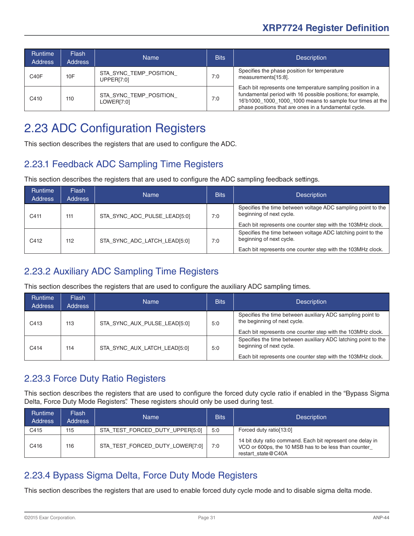<span id="page-30-0"></span>

| Runtime<br>Address | <b>Flash</b><br><b>Address</b> | <b>Name</b>                                      | <b>Bits</b> | <b>Description</b>                                                                                                                                                                                                                              |
|--------------------|--------------------------------|--------------------------------------------------|-------------|-------------------------------------------------------------------------------------------------------------------------------------------------------------------------------------------------------------------------------------------------|
| C <sub>40</sub> F  | 10F                            | STA SYNC TEMP POSITION<br>UPPER <sub>[7:0]</sub> | 7:0         | Specifies the phase position for temperature<br>measurements[15:8].                                                                                                                                                                             |
| C410               | 110                            | STA SYNC TEMP POSITION<br>LOWER[7:0]             | 7:0         | Each bit represents one temperature sampling position in a<br>fundamental period with 16 possible positions; for example,<br>16'b1000_1000_1000_1000 means to sample four times at the<br>phase positions that are ones in a fundamental cycle. |

## 2.23 ADC Configuration Registers

This section describes the registers that are used to configure the ADC.

#### 2.23.1 Feedback ADC Sampling Time Registers

This section describes the registers that are used to configure the ADC sampling feedback settings.

| <b>Runtime</b><br><b>Address</b> | <b>Flash</b><br><b>Address</b> | <b>Name</b>                  | <b>Bits</b> | <b>Description</b>                                                                                                                                      |
|----------------------------------|--------------------------------|------------------------------|-------------|---------------------------------------------------------------------------------------------------------------------------------------------------------|
| C411                             | 111                            | STA SYNC ADC PULSE LEAD[5:0] | 7:0         | Specifies the time between voltage ADC sampling point to the<br>beginning of next cycle.                                                                |
|                                  |                                |                              |             | Each bit represents one counter step with the 103MHz clock.                                                                                             |
| C412                             | 112                            | STA SYNC ADC LATCH LEAD[5:0] | 7:0         | Specifies the time between voltage ADC latching point to the<br>beginning of next cycle.<br>Each bit represents one counter step with the 103MHz clock. |

#### 2.23.2 Auxiliary ADC Sampling Time Registers

This section describes the registers that are used to configure the auxiliary ADC sampling times.

| <b>Runtime</b><br><b>Address</b> | <b>Flash</b><br><b>Address</b> | <b>Name</b>                  | <b>Bits</b> | <b>Description</b>                                                                         |
|----------------------------------|--------------------------------|------------------------------|-------------|--------------------------------------------------------------------------------------------|
| C413                             | 113                            | STA SYNC AUX PULSE LEAD[5:0] | 5:0         | Specifies the time between auxiliary ADC sampling point to<br>the beginning of next cycle. |
|                                  |                                |                              |             | Each bit represents one counter step with the 103MHz clock.                                |
| C414                             | 114                            | STA SYNC AUX LATCH LEAD[5:0] | 5:0         | Specifies the time between auxiliary ADC latching point to the<br>beginning of next cycle. |
|                                  |                                |                              |             | Each bit represents one counter step with the 103MHz clock.                                |

#### 2.23.3 Force Duty Ratio Registers

This section describes the registers that are used to configure the forced duty cycle ratio if enabled in the ["Bypass Sigma](#page-30-1)  [Delta, Force Duty Mode Registers".](#page-30-1) These registers should only be used during test.

| <b>Runtime</b><br><b>Address</b> | Flash<br><b>Address</b> | <b>Name</b>                     | <b>Bits</b> | <b>Description</b>                                                                                                                       |
|----------------------------------|-------------------------|---------------------------------|-------------|------------------------------------------------------------------------------------------------------------------------------------------|
| C415                             | 115                     | STA_TEST_FORCED_DUTY_UPPER[5:0] | 5:0         | Forced duty ratio[13:0]                                                                                                                  |
| C416                             | 116                     | STA_TEST_FORCED_DUTY_LOWER[7:0] | 7:0         | 14 bit duty ratio command. Each bit represent one delay in<br>VCO or 600ps, the 10 MSB has to be less than counter<br>restart state@C40A |

#### <span id="page-30-1"></span>2.23.4 Bypass Sigma Delta, Force Duty Mode Registers

This section describes the registers that are used to enable forced duty cycle mode and to disable sigma delta mode.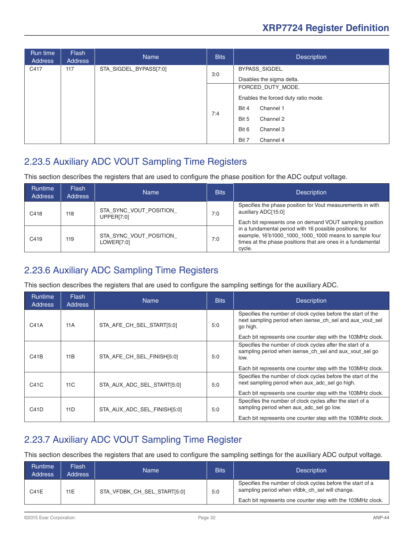<span id="page-31-0"></span>

| Run time<br><b>Address</b> | <b>Flash</b><br>Address | <b>Name</b>            | <b>Bits</b> | <b>Description</b>                                                             |
|----------------------------|-------------------------|------------------------|-------------|--------------------------------------------------------------------------------|
| C417                       | 117                     | STA_SIGDEL_BYPASS[7:0] | 3:0         | BYPASS_SIGDEL.                                                                 |
|                            |                         |                        | 7:4         | Disables the sigma delta.                                                      |
|                            |                         |                        |             | FORCED_DUTY_MODE.<br>Enables the forced duty ratio mode.<br>Channel 1<br>Bit 4 |
|                            |                         |                        |             | Channel 2<br>Bit 5                                                             |
|                            |                         |                        |             | Bit 6<br>Channel 3                                                             |
|                            |                         |                        |             | Bit 7<br>Channel 4                                                             |

#### 2.23.5 Auxiliary ADC VOUT Sampling Time Registers

This section describes the registers that are used to configure the phase position for the ADC output voltage.

| <b>Runtime</b><br><b>Address</b> | Flash<br><b>Address</b> | Name                                        | <b>Bits</b> | <b>Description</b>                                                                                                                                                                        |
|----------------------------------|-------------------------|---------------------------------------------|-------------|-------------------------------------------------------------------------------------------------------------------------------------------------------------------------------------------|
| C418                             | 118                     | STA SYNC VOUT POSITION<br><b>UPPER[7:0]</b> | 7:0         | Specifies the phase position for Vout measurements in with<br>auxiliary ADC[15:0]<br>Each bit represents one on demand VOUT sampling position                                             |
| C419                             | 119                     | STA_SYNC_VOUT_POSITION_<br>LOWER[7:0]       | 7:0         | in a fundamental period with 16 possible positions; for<br>example, 16'b1000_1000_1000_1000 means to sample four<br>times at the phase positions that are ones in a fundamental<br>cycle. |

#### 2.23.6 Auxiliary ADC Sampling Time Registers

This section describes the registers that are used to configure the sampling settings for the auxiliary ADC.

| <b>Runtime</b><br><b>Address</b> | <b>Flash</b><br><b>Address</b> | <b>Name</b>                 | <b>Bits</b> | <b>Description</b>                                                                                                                                                                         |
|----------------------------------|--------------------------------|-----------------------------|-------------|--------------------------------------------------------------------------------------------------------------------------------------------------------------------------------------------|
| C41A                             | 11A                            | STA AFE CH SEL START[5:0]   | 5:0         | Specifies the number of clock cycles before the start of the<br>next sampling period when isense ch sel and aux yout sel<br>go high.                                                       |
|                                  |                                |                             |             | Each bit represents one counter step with the 103MHz clock.                                                                                                                                |
| C41B                             | 11B                            | STA AFE CH SEL FINISH[5:0]  | 5:0         | Specifies the number of clock cycles after the start of a<br>sampling period when isense ch sel and aux yout sel go<br>low.<br>Each bit represents one counter step with the 103MHz clock. |
|                                  |                                |                             |             | Specifies the number of clock cycles before the start of the                                                                                                                               |
| C41C                             | 11C                            | STA_AUX_ADC_SEL_START[5:0]  | 5:0         | next sampling period when aux_adc_sel go high.                                                                                                                                             |
|                                  |                                |                             |             | Each bit represents one counter step with the 103MHz clock.                                                                                                                                |
| C41D                             | 11D                            | STA AUX ADC SEL FINISH[5:0] | 5:0         | Specifies the number of clock cycles after the start of a<br>sampling period when aux adc sel go low.                                                                                      |
|                                  |                                |                             |             | Each bit represents one counter step with the 103MHz clock.                                                                                                                                |

#### 2.23.7 Auxiliary ADC VOUT Sampling Time Register

This section describes the registers that are used to configure the sampling settings for the auxiliary ADC output voltage.

| Runtime<br><b>Address</b> | Flash<br><b>Address</b> | <b>Name</b>                 | <b>Bits</b> | <b>Description</b>                                                                                           |
|---------------------------|-------------------------|-----------------------------|-------------|--------------------------------------------------------------------------------------------------------------|
| C41E                      | 11E                     | STA VFDBK CH SEL START[5:0] | 5:0         | Specifies the number of clock cycles before the start of a<br>sampling period when yidbk ch sel will change. |
|                           |                         |                             |             | Each bit represents one counter step with the 103MHz clock.                                                  |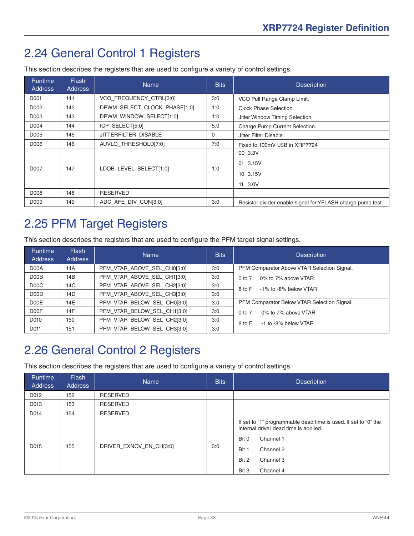## <span id="page-32-0"></span>2.24 General Control 1 Registers

| <b>Runtime</b><br><b>Address</b> | <b>Flash</b><br><b>Address</b> | <b>Name</b>                  | <b>Bits</b> | <b>Description</b>                                          |
|----------------------------------|--------------------------------|------------------------------|-------------|-------------------------------------------------------------|
| D001                             | 141                            | VCO FREQUENCY CTRL[3:0]      | 3:0         | VCO Pull Range Clamp Limit.                                 |
| D002                             | 142                            | DPWM SELECT CLOCK PHASE[1:0] | 1:0         | Clock Phase Selection.                                      |
| D003                             | 143                            | DPWM WINDOW SELECT[1:0]      | 1:0         | Jitter Window Timing Selection.                             |
| D004                             | 144                            | ICP SELECT[5:0]              | 5:0         | Charge Pump Current Selection.                              |
| D005                             | 145                            | JITTERFILTER DISABLE         | 0           | Jitter Filter Disable.                                      |
| D006                             | 146                            | AUVLO THRESHOLD[7:0]         | 7:0         | Fixed to 100mV LSB in XRP7724                               |
| D <sub>007</sub>                 | 147                            | LDOB LEVEL SELECT[1:0]       | 1:0         | 00 3.3V<br>01 3.15V<br>10 3.15V<br>11 3.0V                  |
| D008                             | 148                            | <b>RESERVED</b>              |             |                                                             |
| D <sub>009</sub>                 | 149                            | ADC AFE DIV CON[3:0]         | 3:0         | Resistor divider enable signal for YFLASH charge pump test. |

This section describes the registers that are used to configure a variety of control settings.

## 2.25 PFM Target Registers

This section describes the registers that are used to configure the PFM target signal settings.

| Runtime<br><b>Address</b>     | Flash<br><b>Address</b> | <b>Name</b>                 | <b>Bits</b> | <b>Description</b>                          |
|-------------------------------|-------------------------|-----------------------------|-------------|---------------------------------------------|
| D <sub>00</sub> A             | 14A                     | PFM VTAR ABOVE SEL CH0[3:0] | 3:0         | PFM Comparator Above VTAR Selection Signal. |
| D00B                          | 14B                     | PFM VTAR ABOVE SEL CH1[3:0] | 3:0         | 0% to 7% above VTAR<br>$0$ to $7$           |
| D00C                          | 14C                     | PFM VTAR ABOVE SEL CH2[3:0] | 3:0         | -1% to -8% below VTAR<br>8 to F             |
| D <sub>0</sub> O <sub>D</sub> | 14D                     | PFM VTAR ABOVE SEL CH3[3:0] | 3:0         |                                             |
| D <sub>0</sub> OE             | 14E                     | PFM VTAR BELOW SEL CH0[3:0] | 3:0         | PFM Comparator Below VTAR Selection Signal. |
| D <sub>0</sub> OF             | 14F                     | PFM VTAR BELOW SEL CH1[3:0] | 3:0         | 0% to 7% above VTAR<br>0 <sub>to</sub> 7    |
| D010                          | 150                     | PFM VTAR BELOW SEL CH2[3:0] | 3:0         | 8 to F<br>-1 to -8% below VTAR              |
| D011                          | 151                     | PFM VTAR BELOW SEL CH3[3:0] | 3:0         |                                             |

## 2.26 General Control 2 Registers

This section describes the registers that are used to configure a variety of control settings.

| Runtime<br>Address | Flash<br><b>Address</b> | <b>Name</b>             | <b>Bits</b> | <b>Description</b>                                                                                                                                                                               |
|--------------------|-------------------------|-------------------------|-------------|--------------------------------------------------------------------------------------------------------------------------------------------------------------------------------------------------|
| D012               | 152                     | <b>RESERVED</b>         |             |                                                                                                                                                                                                  |
| D013               | 153                     | <b>RESERVED</b>         |             |                                                                                                                                                                                                  |
| D014               | 154                     | <b>RESERVED</b>         |             |                                                                                                                                                                                                  |
| D015               | 155                     | DRIVER_EXNOV_EN_CH[3:0] | 3:0         | If set to "1" programmable dead time is used. If set to "0" the<br>internal driver dead time is applied.<br>Channel 1<br>Bit 0<br>Bit 1<br>Channel 2<br>Bit 2<br>Channel 3<br>Bit 3<br>Channel 4 |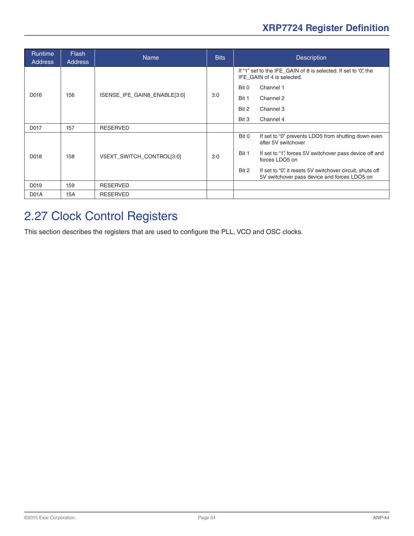<span id="page-33-0"></span>

| <b>Runtime</b><br><b>Address</b> | <b>Flash</b><br><b>Address</b> | <b>Name</b>                  | <b>Bits</b>        | <b>Description</b>                                                                                                |
|----------------------------------|--------------------------------|------------------------------|--------------------|-------------------------------------------------------------------------------------------------------------------|
|                                  |                                |                              |                    | If "1" set to the IFE_GAIN of 8 is selected. If set to '0", the<br>IFE GAIN of 4 is selected.                     |
|                                  |                                |                              |                    | Channel 1<br>Bit 0                                                                                                |
| D016                             | 156                            | ISENSE_IFE_GAIN8_ENABLE[3:0] | 3:0                | Bit 1<br>Channel 2                                                                                                |
|                                  |                                |                              |                    | Bit 2<br>Channel 3                                                                                                |
|                                  |                                |                              | Bit 3<br>Channel 4 |                                                                                                                   |
| D017                             | 157                            | <b>RESERVED</b>              |                    |                                                                                                                   |
|                                  |                                |                              |                    | Bit 0<br>If set to "0" prevents LDO5 from shutting down even<br>after 5V switchover                               |
| D018                             | 158                            | V5EXT SWITCH CONTROL[3:0]    | 3:0                | Bit 1<br>If set to "1", forces 5V switchover pass device off and<br>forces LDO5 on                                |
|                                  |                                |                              |                    | Bit 2<br>If set to "0" it resets 5V switchover circuit, shuts off<br>5V switchover pass device and forces LDO5 on |
| D019                             | 159                            | <b>RESERVED</b>              |                    |                                                                                                                   |
| D <sub>0</sub> 1A                | 15A                            | <b>RESERVED</b>              |                    |                                                                                                                   |

## 2.27 Clock Control Registers

This section describes the registers that are used to configure the PLL, VCO and OSC clocks.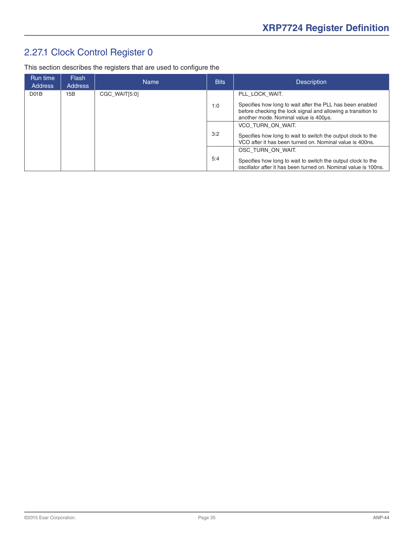## <span id="page-34-0"></span>2.27.1 Clock Control Register 0

This section describes the registers that are used to configure the

| Run time<br><b>Address</b> | <b>Flash</b><br><b>Address</b>                                                                                                  | <b>Name</b>                                                                                                              | <b>Bits</b> | <b>Description</b>                                                                                                                                                 |
|----------------------------|---------------------------------------------------------------------------------------------------------------------------------|--------------------------------------------------------------------------------------------------------------------------|-------------|--------------------------------------------------------------------------------------------------------------------------------------------------------------------|
| DO1B                       | 15B                                                                                                                             | CGC WAIT[5:0]                                                                                                            |             | PLL LOCK WAIT.                                                                                                                                                     |
|                            |                                                                                                                                 |                                                                                                                          | 1:0         | Specifies how long to wait after the PLL has been enabled<br>before checking the lock signal and allowing a transition to<br>another mode. Nominal value is 400us. |
|                            |                                                                                                                                 |                                                                                                                          |             | VCO TURN ON WAIT.                                                                                                                                                  |
|                            | 3:2                                                                                                                             | Specifies how long to wait to switch the output clock to the<br>VCO after it has been turned on. Nominal value is 400ns. |             |                                                                                                                                                                    |
|                            |                                                                                                                                 |                                                                                                                          |             | OSC TURN ON WAIT.                                                                                                                                                  |
| 5:4                        | Specifies how long to wait to switch the output clock to the<br>oscillator after it has been turned on. Nominal value is 100ns. |                                                                                                                          |             |                                                                                                                                                                    |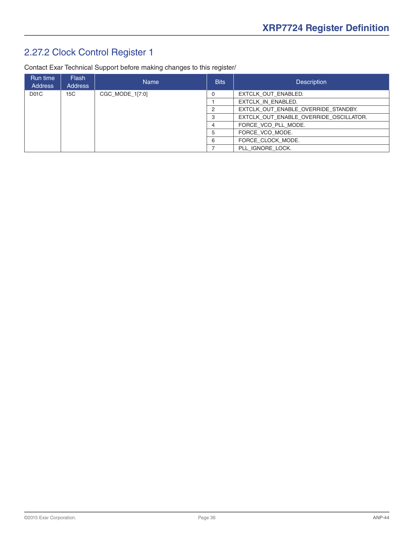## <span id="page-35-0"></span>2.27.2 Clock Control Register 1

Contact Exar Technical Support before making changes to this register/

| Run time<br><b>Address</b> | Flash<br><b>Address</b> | <b>Name</b>     | <b>Bits</b>    | <b>Description</b>                     |
|----------------------------|-------------------------|-----------------|----------------|----------------------------------------|
| D <sub>0</sub> 1C          | 15C                     | CGC_MODE_1[7:0] |                | EXTCLK OUT ENABLED.                    |
|                            |                         |                 |                | EXTCLK IN ENABLED.                     |
|                            |                         |                 |                | EXTCLK OUT ENABLE OVERRIDE STANDBY.    |
|                            |                         |                 |                | EXTCLK OUT ENABLE OVERRIDE OSCILLATOR. |
|                            |                         |                 | $\overline{a}$ | FORCE VCO PLL MODE.                    |
|                            |                         |                 | 5              | FORCE VCO MODE.                        |
|                            |                         |                 | 6              | FORCE CLOCK MODE.                      |
|                            |                         |                 |                | PLL IGNORE LOCK.                       |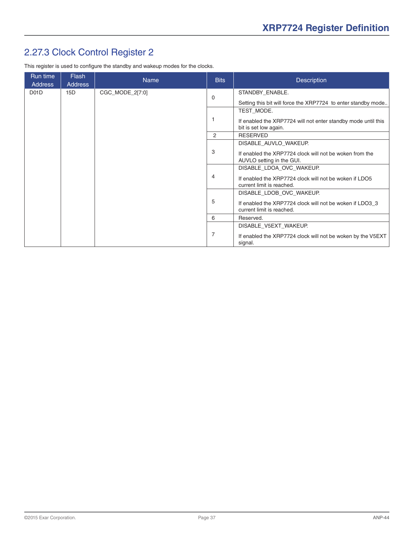## <span id="page-36-0"></span>2.27.3 Clock Control Register 2

This register is used to configure the standby and wakeup modes for the clocks.

| Run time<br><b>Address</b> | <b>Flash</b><br><b>Address</b> | <b>Name</b>     | <b>Bits</b>    | <b>Description</b>                                                                     |
|----------------------------|--------------------------------|-----------------|----------------|----------------------------------------------------------------------------------------|
| D <sub>01</sub> D          | 15D                            | CGC_MODE_2[7:0] | $\Omega$       | STANDBY_ENABLE.                                                                        |
|                            |                                |                 |                | Setting this bit will force the XRP7724 to enter standby mode                          |
|                            |                                |                 |                | TEST MODE.                                                                             |
|                            |                                |                 |                | If enabled the XRP7724 will not enter standby mode until this<br>bit is set low again. |
|                            |                                |                 | 2              | <b>RESERVED</b>                                                                        |
|                            |                                |                 |                | DISABLE_AUVLO_WAKEUP.                                                                  |
|                            |                                |                 | 3              | If enabled the XRP7724 clock will not be woken from the<br>AUVLO setting in the GUI.   |
|                            |                                |                 |                | DISABLE LDOA OVC WAKEUP.                                                               |
|                            |                                |                 | 4              | If enabled the XRP7724 clock will not be woken if LDO5<br>current limit is reached.    |
|                            |                                |                 |                | DISABLE_LDOB_OVC_WAKEUP.                                                               |
|                            |                                |                 | 5              | If enabled the XRP7724 clock will not be woken if LDO3 3<br>current limit is reached.  |
|                            |                                |                 | 6              | Reserved.                                                                              |
|                            |                                |                 |                | DISABLE V5EXT WAKEUP.                                                                  |
|                            |                                |                 | $\overline{7}$ | If enabled the XRP7724 clock will not be woken by the V5EXT<br>signal.                 |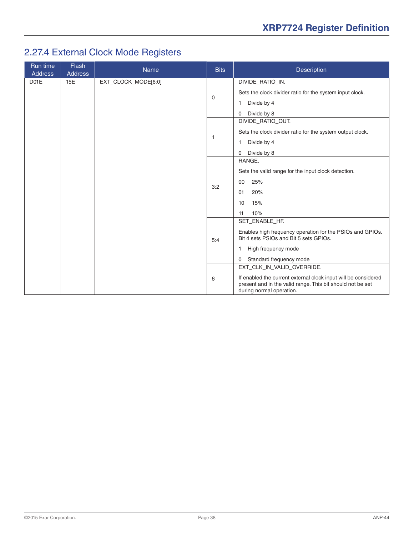## <span id="page-37-0"></span>2.27.4 External Clock Mode Registers

| Run time<br><b>Address</b> | <b>Flash</b><br><b>Address</b> | <b>Name</b>         | <b>Bits</b>                                         | Description                                                                                                                                              |
|----------------------------|--------------------------------|---------------------|-----------------------------------------------------|----------------------------------------------------------------------------------------------------------------------------------------------------------|
| DO1E                       | 15E                            | EXT_CLOCK_MODE[6:0] |                                                     | DIVIDE_RATIO_IN.                                                                                                                                         |
|                            |                                |                     |                                                     | Sets the clock divider ratio for the system input clock.                                                                                                 |
|                            |                                |                     | 0                                                   | Divide by 4<br>1                                                                                                                                         |
|                            |                                |                     |                                                     | Divide by 8<br>$\mathbf{0}$                                                                                                                              |
|                            |                                |                     |                                                     | DIVIDE_RATIO_OUT.                                                                                                                                        |
|                            |                                |                     |                                                     | Sets the clock divider ratio for the system output clock.                                                                                                |
|                            |                                |                     | -1                                                  | Divide by 4<br>1                                                                                                                                         |
|                            |                                |                     |                                                     | Divide by 8<br>0                                                                                                                                         |
|                            |                                |                     |                                                     | RANGE.                                                                                                                                                   |
|                            |                                |                     | Sets the valid range for the input clock detection. |                                                                                                                                                          |
|                            |                                |                     | 3:2                                                 | 25%<br>00                                                                                                                                                |
|                            |                                |                     |                                                     | 01<br>20%                                                                                                                                                |
|                            |                                |                     |                                                     | 15%<br>10                                                                                                                                                |
|                            |                                |                     |                                                     | 10%<br>11                                                                                                                                                |
|                            |                                |                     |                                                     | SET_ENABLE_HF.                                                                                                                                           |
|                            |                                |                     | 5:4                                                 | Enables high frequency operation for the PSIOs and GPIOs.<br>Bit 4 sets PSIOs and Bit 5 sets GPIOs.                                                      |
|                            |                                |                     |                                                     | High frequency mode<br>1                                                                                                                                 |
|                            |                                |                     |                                                     | Standard frequency mode<br>0                                                                                                                             |
|                            |                                |                     |                                                     | EXT_CLK_IN_VALID_OVERRIDE.                                                                                                                               |
|                            |                                |                     | 6                                                   | If enabled the current external clock input will be considered<br>present and in the valid range. This bit should not be set<br>during normal operation. |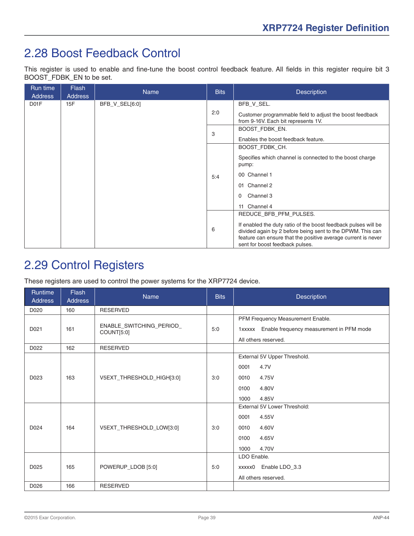## <span id="page-38-0"></span>2.28 Boost Feedback Control

This register is used to enable and fine-tune the boost control feedback feature. All fields in this register require bit 3 BOOST\_FDBK\_EN to be set.

| Run time<br><b>Address</b> | <b>Flash</b><br><b>Address</b> | <b>Name</b>    | <b>Bits</b> | <b>Description</b>                                                                                                                                                                                                               |
|----------------------------|--------------------------------|----------------|-------------|----------------------------------------------------------------------------------------------------------------------------------------------------------------------------------------------------------------------------------|
| D <sub>01</sub> F          | 15F                            | BFB_V_SEL[6:0] |             | BFB_V_SEL.                                                                                                                                                                                                                       |
|                            |                                |                | 2:0         | Customer programmable field to adjust the boost feedback<br>from 9-16V. Each bit represents 1V.                                                                                                                                  |
|                            |                                |                | 3           | BOOST FDBK EN.                                                                                                                                                                                                                   |
|                            |                                |                |             | Enables the boost feedback feature.                                                                                                                                                                                              |
|                            |                                |                |             | BOOST_FDBK_CH.                                                                                                                                                                                                                   |
|                            |                                |                |             | Specifies which channel is connected to the boost charge<br>pump:                                                                                                                                                                |
|                            |                                |                | 5:4         | 00 Channel 1                                                                                                                                                                                                                     |
|                            |                                |                |             | Channel 2<br>01                                                                                                                                                                                                                  |
|                            |                                |                |             | Channel 3<br>0                                                                                                                                                                                                                   |
|                            |                                |                |             | 11 Channel 4                                                                                                                                                                                                                     |
|                            |                                |                |             | REDUCE_BFB_PFM_PULSES.                                                                                                                                                                                                           |
|                            |                                |                | 6           | If enabled the duty ratio of the boost feedback pulses will be<br>divided again by 2 before being sent to the DPWM. This can<br>feature can ensure that the positive average current is never<br>sent for boost feedback pulses. |

## 2.29 Control Registers

These registers are used to control the power systems for the XRP7724 device.

| Runtime<br><b>Address</b> | Flash<br><b>Address</b> | Name                                   | <b>Bits</b> | <b>Description</b>                                                                                           |
|---------------------------|-------------------------|----------------------------------------|-------------|--------------------------------------------------------------------------------------------------------------|
| D020                      | 160                     | <b>RESERVED</b>                        |             |                                                                                                              |
| D021                      | 161                     | ENABLE_SWITCHING_PERIOD_<br>COUNT[5:0] | 5:0         | PFM Frequency Measurement Enable.<br>1xxxxx Enable frequency measurement in PFM mode<br>All others reserved. |
| D022                      | 162                     | <b>RESERVED</b>                        |             |                                                                                                              |
|                           |                         |                                        |             | External 5V Upper Threshold.                                                                                 |
|                           |                         |                                        |             | 4.7V<br>0001                                                                                                 |
| D023                      | 163                     | V5EXT_THRESHOLD_HIGH[3:0]              | 3:0         | 4.75V<br>0010                                                                                                |
|                           |                         |                                        |             | 0100<br>4.80V                                                                                                |
|                           |                         |                                        |             | 1000<br>4.85V                                                                                                |
|                           |                         |                                        |             | External 5V Lower Threshold:                                                                                 |
|                           |                         |                                        |             | 4.55V<br>0001                                                                                                |
| D024                      | 164                     | V5EXT_THRESHOLD_LOW[3:0]               | 3:0         | 4.60V<br>0010                                                                                                |
|                           |                         |                                        |             | 4.65V<br>0100                                                                                                |
|                           |                         |                                        |             | 4.70V<br>1000                                                                                                |
|                           |                         |                                        |             | LDO Enable.                                                                                                  |
| D025                      | 165                     | POWERUP_LDOB [5:0]                     | 5:0         | Enable LDO_3.3<br>xxxxx0                                                                                     |
|                           |                         |                                        |             | All others reserved.                                                                                         |
| D026                      | 166                     | <b>RESERVED</b>                        |             |                                                                                                              |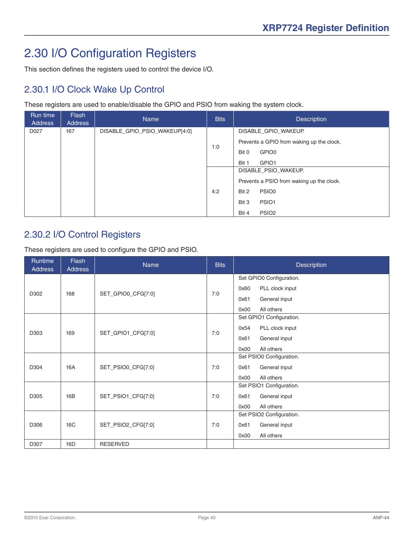# <span id="page-39-0"></span>2.30 I/O Configuration Registers

This section defines the registers used to control the device I/O.

#### 2.30.1 I/O Clock Wake Up Control

These registers are used to enable/disable the GPIO and PSIO from waking the system clock.

| Run time<br><b>Address</b> | Flash<br><b>Address</b> | <b>Name</b>                   | <b>Bits</b> | <b>Description</b>                        |
|----------------------------|-------------------------|-------------------------------|-------------|-------------------------------------------|
| D027                       | 167                     | DISABLE_GPIO_PSIO_WAKEUP[4:0] |             | DISABLE_GPIO_WAKEUP.                      |
|                            |                         |                               | 1:0         | Prevents a GPIO from waking up the clock. |
|                            |                         |                               |             | GPIO0<br>Bit 0                            |
|                            |                         |                               |             | Bit 1<br>GPIO1                            |
|                            |                         |                               |             | DISABLE PSIO WAKEUP.                      |
|                            |                         |                               |             | Prevents a PSIO from waking up the clock. |
|                            |                         |                               | 4:2         | PSIO <sub>0</sub><br>Bit 2                |
|                            |                         |                               |             | Bit 3<br>PSIO1                            |
|                            |                         |                               |             | PSIO <sub>2</sub><br>Bit 4                |

#### 2.30.2 I/O Control Registers

These registers are used to configure the GPIO and PSIO.

| <b>Runtime</b><br><b>Address</b> | <b>Flash</b><br><b>Address</b> | <b>Name</b>        | <b>Bits</b> | <b>Description</b>       |
|----------------------------------|--------------------------------|--------------------|-------------|--------------------------|
|                                  |                                |                    |             | Set GPIO0 Configuration. |
|                                  |                                |                    |             | 0x60<br>PLL clock input  |
| D302                             | 168                            | SET_GPIO0_CFG[7:0] | 7:0         | General input<br>0x61    |
|                                  |                                |                    |             | 0x00<br>All others       |
|                                  |                                |                    |             | Set GPIO1 Configuration. |
|                                  |                                |                    |             | 0x54<br>PLL clock input  |
| D303                             | 169                            | SET_GPIO1_CFG[7:0] | 7:0         | General input<br>0x61    |
|                                  |                                |                    |             | 0x00<br>All others       |
|                                  |                                |                    |             | Set PSIO0 Configuration. |
| D304                             | 16A                            | SET_PSIO0_CFG[7:0] | 7:0         | General input<br>0x61    |
|                                  |                                |                    |             | 0x00<br>All others       |
|                                  |                                |                    |             | Set PSIO1 Configuration. |
| D305                             | 16B                            | SET_PSIO1_CFG[7:0] | 7:0         | General input<br>0x61    |
|                                  |                                |                    |             | 0x00<br>All others       |
|                                  |                                |                    |             | Set PSIO2 Configuration. |
| D306                             | 16C                            | SET_PSIO2_CFG[7:0] | 7:0         | 0x61<br>General input    |
|                                  |                                |                    |             | All others<br>0x00       |
| D307                             | 16D                            | <b>RESERVED</b>    |             |                          |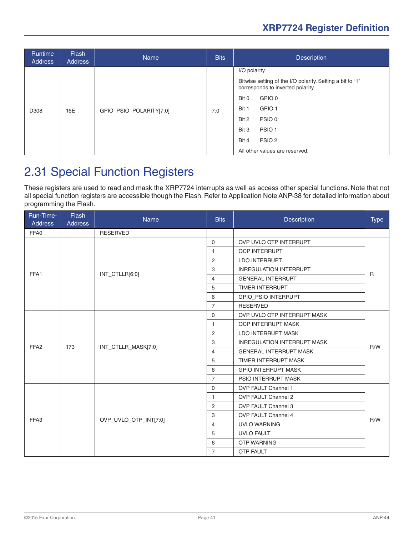<span id="page-40-0"></span>

| <b>Address</b> | Flash<br>Address | <b>Name</b>             | <b>Bits</b> | <b>Description</b>                                                                                                                                                                                                                                                                |
|----------------|------------------|-------------------------|-------------|-----------------------------------------------------------------------------------------------------------------------------------------------------------------------------------------------------------------------------------------------------------------------------------|
| D308<br>16E    |                  | GPIO_PSIO_POLARITY[7:0] | 7:0         | I/O polarity.<br>Bitwise setting of the I/O polarity. Setting a bit to "1"<br>corresponds to inverted polarity.<br>GPIO 0<br>Bit 0<br>GPIO <sub>1</sub><br>Bit 1<br>PSIO 0<br>Bit 2<br>Bit 3<br>PSIO <sub>1</sub><br>PSIO <sub>2</sub><br>Bit 4<br>All other values are reserved. |

## 2.31 Special Function Registers

These registers are used to read and mask the XRP7724 interrupts as well as access other special functions. Note that not all special function registers are accessible though the Flash. Refer to Application Note ANP-38 for detailed information about programming the Flash.

| Run-Time-<br><b>Address</b> | <b>Flash</b><br><b>Address</b> | <b>Name</b>           | <b>Bits</b>    | Description                        | <b>Type</b>  |
|-----------------------------|--------------------------------|-----------------------|----------------|------------------------------------|--------------|
| FFA0                        |                                | <b>RESERVED</b>       |                |                                    |              |
|                             |                                |                       | $\Omega$       | OVP UVLO OTP INTERRUPT             |              |
|                             |                                |                       | $\mathbf{1}$   | <b>OCP INTERRUPT</b>               |              |
|                             |                                |                       | 2              | <b>LDO INTERRUPT</b>               |              |
| FFA1                        |                                |                       | 3              | <b>INREGULATION INTERRUPT</b>      | $\mathsf{R}$ |
|                             |                                | INT_CTLLR[6:0]        | 4              | <b>GENERAL INTERRUPT</b>           |              |
|                             |                                |                       | 5              | <b>TIMER INTERRUPT</b>             |              |
|                             |                                |                       | 6              | GPIO_PSIO INTERRUPT                |              |
|                             |                                |                       | $\overline{7}$ | <b>RESERVED</b>                    |              |
|                             | 173                            | INT_CTLLR_MASK[7:0]   | $\mathbf{0}$   | OVP UVLO OTP INTERRUPT MASK        |              |
|                             |                                |                       | 1              | <b>OCP INTERRUPT MASK</b>          | R/W          |
|                             |                                |                       | 2              | <b>LDO INTERRUPT MASK</b>          |              |
| FFA <sub>2</sub>            |                                |                       | 3              | <b>INREGULATION INTERRUPT MASK</b> |              |
|                             |                                |                       | 4              | <b>GENERAL INTERRUPT MASK</b>      |              |
|                             |                                |                       | 5              | <b>TIMER INTERRUPT MASK</b>        |              |
|                             |                                |                       | 6              | <b>GPIO INTERRUPT MASK</b>         |              |
|                             |                                |                       | $\overline{7}$ | <b>PSIO INTERRUPT MASK</b>         |              |
|                             |                                |                       | $\mathbf 0$    | <b>OVP FAULT Channel 1</b>         |              |
|                             |                                |                       | $\mathbf{1}$   | <b>OVP FAULT Channel 2</b>         | R/W          |
|                             |                                |                       | 2              | <b>OVP FAULT Channel 3</b>         |              |
| FFA3                        |                                |                       | 3              | <b>OVP FAULT Channel 4</b>         |              |
|                             |                                | OVP_UVLO_OTP_INT[7:0] | 4              | <b>UVLO WARNING</b>                |              |
|                             |                                |                       | 5              | <b>UVLO FAULT</b>                  |              |
|                             |                                |                       | 6              | <b>OTP WARNING</b>                 |              |
|                             |                                |                       | $\overline{7}$ | <b>OTP FAULT</b>                   |              |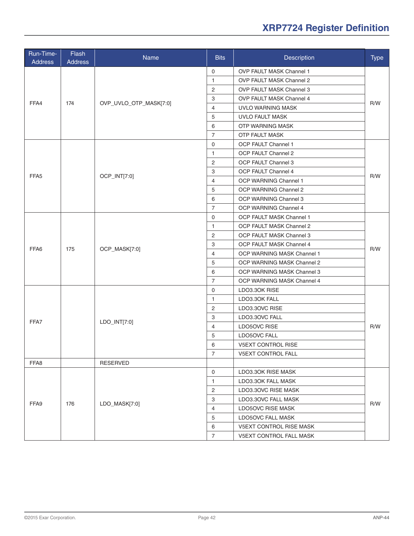| Run-Time-<br><b>Address</b>                              | Flash<br><b>Address</b> | Name                   | <b>Bits</b>    | <b>Description</b>              | <b>Type</b> |
|----------------------------------------------------------|-------------------------|------------------------|----------------|---------------------------------|-------------|
|                                                          |                         |                        | $\mathbf 0$    | OVP FAULT MASK Channel 1        |             |
| FFA4<br>FFA <sub>5</sub><br>FFA6<br>FFA7<br>FFA8<br>FFA9 |                         |                        | $\mathbf{1}$   | <b>OVP FAULT MASK Channel 2</b> |             |
|                                                          |                         |                        | $\overline{c}$ | OVP FAULT MASK Channel 3        |             |
|                                                          |                         |                        | 3              | <b>OVP FAULT MASK Channel 4</b> |             |
|                                                          | 174                     | OVP_UVLO_OTP_MASK[7:0] | $\overline{4}$ | UVLO WARNING MASK               | R/W         |
|                                                          |                         |                        | 5              | <b>UVLO FAULT MASK</b>          |             |
|                                                          |                         |                        | 6              | OTP WARNING MASK                |             |
|                                                          |                         |                        | $\overline{7}$ | <b>OTP FAULT MASK</b>           |             |
|                                                          |                         |                        | $\mathbf 0$    | OCP FAULT Channel 1             |             |
|                                                          |                         |                        | $\mathbf{1}$   | OCP FAULT Channel 2             |             |
|                                                          |                         |                        | $\overline{2}$ | OCP FAULT Channel 3             |             |
|                                                          |                         |                        | 3              | OCP FAULT Channel 4             |             |
|                                                          |                         | OCP_INT[7:0]           | $\overline{4}$ | OCP WARNING Channel 1           | R/W         |
|                                                          |                         |                        | 5              | OCP WARNING Channel 2           |             |
|                                                          |                         |                        | 6              | OCP WARNING Channel 3           |             |
|                                                          |                         |                        | $\overline{7}$ | OCP WARNING Channel 4           |             |
|                                                          |                         | OCP_MASK[7:0]          | $\mathbf 0$    | OCP FAULT MASK Channel 1        | R/W         |
|                                                          |                         |                        | $\mathbf{1}$   | OCP FAULT MASK Channel 2        |             |
|                                                          |                         |                        | $\overline{2}$ | OCP FAULT MASK Channel 3        |             |
|                                                          | 175                     |                        | 3              | OCP FAULT MASK Channel 4        |             |
|                                                          |                         |                        | $\overline{4}$ | OCP WARNING MASK Channel 1      |             |
|                                                          |                         |                        | 5              | OCP WARNING MASK Channel 2      |             |
|                                                          |                         |                        | 6              | OCP WARNING MASK Channel 3      |             |
|                                                          |                         |                        | $\overline{7}$ | OCP WARNING MASK Channel 4      |             |
|                                                          |                         |                        | $\mathbf 0$    | LDO3.30K RISE                   |             |
|                                                          |                         |                        | $\mathbf{1}$   | LDO3.30K FALL                   |             |
|                                                          |                         |                        | 2              | LDO3.30VC RISE                  |             |
|                                                          |                         |                        | 3              | LDO3.30VC FALL                  |             |
|                                                          |                         | LDO_INT[7:0]           | 4              | LDO5OVC RISE                    | R/W         |
|                                                          |                         |                        | 5              | LDO5OVC FALL                    |             |
|                                                          |                         |                        | 6              | V5EXT CONTROL RISE              |             |
|                                                          |                         |                        | 7              | V5EXT CONTROL FALL              |             |
|                                                          |                         | <b>RESERVED</b>        |                |                                 |             |
|                                                          |                         |                        | $\mathbf 0$    | LDO3.3OK RISE MASK              |             |
|                                                          |                         |                        | $\mathbf{1}$   | LDO3.30K FALL MASK              |             |
|                                                          |                         |                        | 2              | LDO3.30VC RISE MASK             |             |
|                                                          |                         |                        | 3              | LDO3.3OVC FALL MASK             | R/W         |
|                                                          | 176                     | LDO_MASK[7:0]          | $\overline{4}$ | LDO5OVC RISE MASK               |             |
|                                                          |                         |                        | 5              | LDO5OVC FALL MASK               |             |
|                                                          |                         |                        | 6              | V5EXT CONTROL RISE MASK         |             |
|                                                          |                         |                        | $\overline{7}$ | V5EXT CONTROL FALL MASK         |             |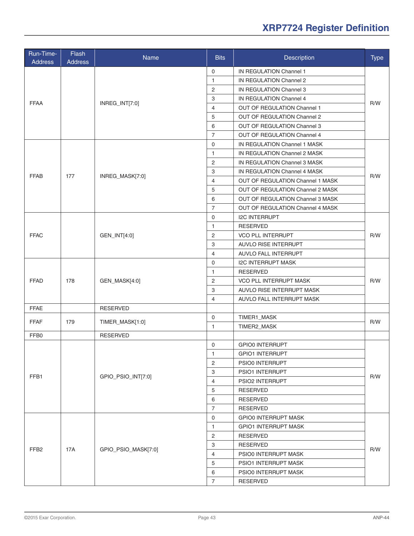| Run-Time-<br><b>Address</b> | Flash<br><b>Address</b> | Name                | <b>Bits</b>    | <b>Description</b>               | <b>Type</b> |
|-----------------------------|-------------------------|---------------------|----------------|----------------------------------|-------------|
|                             |                         |                     | 0              | IN REGULATION Channel 1          |             |
|                             |                         |                     | $\mathbf{1}$   | IN REGULATION Channel 2          |             |
|                             |                         |                     | $\overline{c}$ | IN REGULATION Channel 3          | R/W         |
|                             |                         |                     | 3              | IN REGULATION Channel 4          |             |
| <b>FFAA</b>                 |                         | INREG_INT[7:0]      | $\overline{4}$ | OUT OF REGULATION Channel 1      |             |
|                             |                         |                     | 5              | OUT OF REGULATION Channel 2      |             |
|                             |                         |                     | 6              | OUT OF REGULATION Channel 3      |             |
|                             |                         |                     | $\overline{7}$ | OUT OF REGULATION Channel 4      |             |
|                             |                         |                     | $\mathbf 0$    | IN REGULATION Channel 1 MASK     |             |
|                             |                         |                     | $\mathbf{1}$   | IN REGULATION Channel 2 MASK     |             |
|                             |                         |                     | $\overline{2}$ | IN REGULATION Channel 3 MASK     |             |
|                             |                         |                     | 3              | IN REGULATION Channel 4 MASK     |             |
| <b>FFAB</b>                 | 177                     | INREG_MASK[7:0]     | $\overline{4}$ | OUT OF REGULATION Channel 1 MASK | R/W         |
|                             |                         |                     | 5              | OUT OF REGULATION Channel 2 MASK |             |
|                             |                         |                     | 6              | OUT OF REGULATION Channel 3 MASK |             |
|                             |                         |                     | $\overline{7}$ | OUT OF REGULATION Channel 4 MASK |             |
|                             |                         |                     | $\mathbf 0$    | <b>I2C INTERRUPT</b>             |             |
|                             |                         | GEN_INT[4:0]        | 1              | <b>RESERVED</b>                  | R/W         |
| <b>FFAC</b>                 |                         |                     | 2              | <b>VCO PLL INTERRUPT</b>         |             |
|                             |                         |                     |                |                                  |             |
|                             |                         |                     | 3              | AUVLO RISE INTERRUPT             |             |
|                             |                         |                     | 4              | AUVLO FALL INTERRUPT             |             |
|                             | 178                     | GEN_MASK[4:0]       | $\mathbf 0$    | <b>I2C INTERRUPT MASK</b>        | R/W         |
|                             |                         |                     | 1              | <b>RESERVED</b>                  |             |
| <b>FFAD</b>                 |                         |                     | 2              | VCO PLL INTERRUPT MASK           |             |
|                             |                         |                     | 3              | AUVLO RISE INTERRUPT MASK        |             |
|                             |                         |                     | 4              | AUVLO FALL INTERRUPT MASK        |             |
| <b>FFAE</b>                 |                         | <b>RESERVED</b>     |                |                                  |             |
| <b>FFAF</b>                 | 179                     | TIMER_MASK[1:0]     | $\mathbf 0$    | TIMER1_MASK                      | R/W         |
|                             |                         |                     | $\mathbf{1}$   | TIMER2_MASK                      |             |
| FFB0                        |                         | <b>RESERVED</b>     |                |                                  |             |
|                             |                         | GPIO_PSIO_INT[7:0]  | $\Omega$       | <b>GPIO0 INTERRUPT</b>           | R/W         |
|                             |                         |                     | 1              | <b>GPIO1 INTERRUPT</b>           |             |
|                             |                         |                     | $\overline{2}$ | PSIO0 INTERRUPT                  |             |
| FFB1                        |                         |                     | 3              | PSIO1 INTERRUPT                  |             |
|                             |                         |                     | 4              | PSIO2 INTERRUPT                  |             |
|                             |                         |                     | 5              | <b>RESERVED</b>                  |             |
|                             |                         |                     | 6              | <b>RESERVED</b>                  |             |
|                             |                         |                     | $\overline{7}$ | RESERVED                         |             |
|                             |                         |                     | 0              | <b>GPIO0 INTERRUPT MASK</b>      |             |
|                             | 17A                     | GPIO_PSIO_MASK[7:0] | 1              | <b>GPIO1 INTERRUPT MASK</b>      | R/W         |
|                             |                         |                     | $\overline{2}$ | <b>RESERVED</b>                  |             |
|                             |                         |                     | 3              | RESERVED                         |             |
| FFB <sub>2</sub>            |                         |                     | 4              | PSIO0 INTERRUPT MASK             |             |
|                             |                         |                     | 5              | PSIO1 INTERRUPT MASK             |             |
|                             |                         |                     | 6              | PSIO0 INTERRUPT MASK             |             |
|                             |                         |                     | $\overline{7}$ | <b>RESERVED</b>                  |             |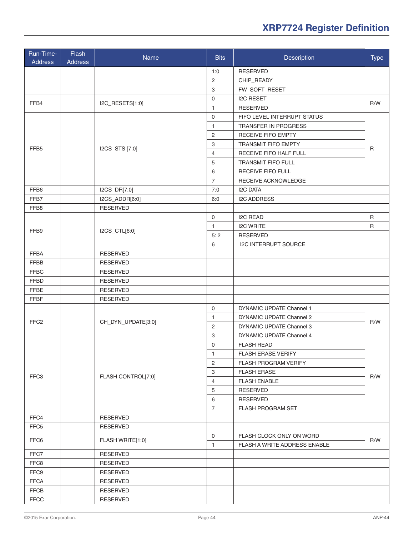| Run-Time-<br><b>Address</b> | Flash<br><b>Address</b> | Name               | <b>Bits</b>               | Description                  | <b>Type</b>  |
|-----------------------------|-------------------------|--------------------|---------------------------|------------------------------|--------------|
|                             |                         |                    | 1:0                       | <b>RESERVED</b>              |              |
|                             |                         |                    | $\overline{c}$            | CHIP_READY                   |              |
|                             |                         |                    | 3                         | FW_SOFT_RESET                |              |
|                             |                         |                    | 0                         | <b>I2C RESET</b>             |              |
| FFB4                        |                         | I2C_RESETS[1:0]    | $\mathbf{1}$              | <b>RESERVED</b>              | R/W          |
|                             |                         |                    | $\mathbf 0$               | FIFO LEVEL INTERRUPT STATUS  |              |
|                             |                         |                    | $\mathbf{1}$              | <b>TRANSFER IN PROGRESS</b>  |              |
|                             |                         |                    | $\overline{2}$            | RECEIVE FIFO EMPTY           |              |
|                             |                         |                    | 3                         | <b>TRANSMIT FIFO EMPTY</b>   |              |
| FFB <sub>5</sub>            |                         | I2CS_STS [7:0]     | $\overline{4}$            | RECEIVE FIFO HALF FULL       | $\mathsf{R}$ |
|                             |                         |                    | 5                         | <b>TRANSMIT FIFO FULL</b>    |              |
|                             |                         |                    | 6                         | <b>RECEIVE FIFO FULL</b>     |              |
|                             |                         |                    | $\overline{7}$            | RECEIVE ACKNOWLEDGE          |              |
| FFB6                        |                         | I2CS_DR[7:0]       | 7:0                       | <b>I2C DATA</b>              |              |
| FFB7                        |                         | I2CS_ADDR[6:0]     | 6:0                       | <b>I2C ADDRESS</b>           |              |
| FFB8                        |                         | <b>RESERVED</b>    |                           |                              |              |
|                             |                         |                    | $\mathbf 0$               | <b>I2C READ</b>              | $\mathsf{R}$ |
|                             |                         | I2CS_CTL[6:0]      | $\mathbf{1}$              | <b>I2C WRITE</b>             | $\mathsf{R}$ |
| FFB9                        |                         |                    | 5:2                       | <b>RESERVED</b>              |              |
|                             |                         |                    | 6                         | <b>I2C INTERRUPT SOURCE</b>  |              |
| <b>FFBA</b>                 |                         | <b>RESERVED</b>    |                           |                              |              |
| <b>FFBB</b>                 |                         | <b>RESERVED</b>    |                           |                              |              |
| <b>FFBC</b>                 |                         | <b>RESERVED</b>    |                           |                              |              |
| <b>FFBD</b>                 |                         | <b>RESERVED</b>    |                           |                              |              |
| <b>FFBE</b>                 |                         | <b>RESERVED</b>    |                           |                              |              |
| FFBF                        |                         | <b>RESERVED</b>    |                           |                              |              |
|                             |                         |                    | $\mathbf 0$               | DYNAMIC UPDATE Channel 1     |              |
| FFC <sub>2</sub>            |                         | CH_DYN_UPDATE[3:0] | $\mathbf{1}$              | DYNAMIC UPDATE Channel 2     | R/W          |
|                             |                         |                    | $\overline{c}$            | DYNAMIC UPDATE Channel 3     |              |
|                             |                         |                    | $\ensuremath{\mathsf{3}}$ | DYNAMIC UPDATE Channel 4     |              |
|                             |                         | FLASH CONTROL[7:0] | $\mathbf 0$               | <b>FLASH READ</b>            |              |
|                             |                         |                    | 1                         | FLASH ERASE VERIFY           |              |
|                             |                         |                    | 2                         | <b>FLASH PROGRAM VERIFY</b>  |              |
| FFC3                        |                         |                    | 3                         | <b>FLASH ERASE</b>           | R/W          |
|                             |                         |                    | $\overline{4}$            | <b>FLASH ENABLE</b>          |              |
|                             |                         |                    | 5                         | <b>RESERVED</b>              |              |
|                             |                         |                    | 6                         | RESERVED                     |              |
|                             |                         |                    | $\overline{7}$            | <b>FLASH PROGRAM SET</b>     |              |
| FFC4                        |                         | <b>RESERVED</b>    |                           |                              |              |
| FFC5                        |                         | <b>RESERVED</b>    |                           |                              |              |
| FFC6                        |                         | FLASH WRITE[1:0]   | 0                         | FLASH CLOCK ONLY ON WORD     | R/W          |
|                             |                         |                    | $\mathbf{1}$              | FLASH A WRITE ADDRESS ENABLE |              |
| FFC7                        |                         | <b>RESERVED</b>    |                           |                              |              |
| FFC8                        |                         | <b>RESERVED</b>    |                           |                              |              |
| FFC9                        |                         | <b>RESERVED</b>    |                           |                              |              |
| <b>FFCA</b>                 |                         | <b>RESERVED</b>    |                           |                              |              |
| <b>FFCB</b>                 |                         | <b>RESERVED</b>    |                           |                              |              |
| <b>FFCC</b>                 |                         | <b>RESERVED</b>    |                           |                              |              |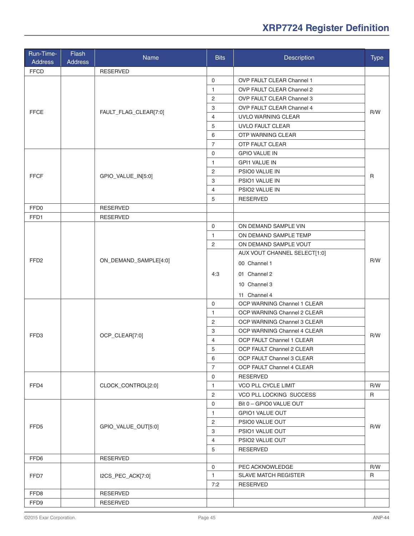| Run-Time-<br><b>Address</b> | Flash<br><b>Address</b> | Name                  | <b>Bits</b>    | Description                    | <b>Type</b>  |
|-----------------------------|-------------------------|-----------------------|----------------|--------------------------------|--------------|
| <b>FFCD</b>                 |                         | <b>RESERVED</b>       |                |                                |              |
|                             |                         |                       | $\mathbf 0$    | OVP FAULT CLEAR Channel 1      |              |
|                             |                         |                       | $\mathbf{1}$   | OVP FAULT CLEAR Channel 2      |              |
|                             |                         |                       | 2              | OVP FAULT CLEAR Channel 3      |              |
| <b>FFCE</b>                 |                         |                       | 3              | OVP FAULT CLEAR Channel 4      |              |
|                             |                         | FAULT_FLAG_CLEAR[7:0] | $\overline{4}$ | UVLO WARNING CLEAR             | R/W          |
|                             |                         |                       | 5              | UVLO FAULT CLEAR               |              |
|                             |                         |                       | 6              | <b>OTP WARNING CLEAR</b>       |              |
|                             |                         |                       | $\overline{7}$ | <b>OTP FAULT CLEAR</b>         |              |
|                             |                         |                       | $\mathbf 0$    | <b>GPIO VALUE IN</b>           |              |
|                             |                         |                       | $\mathbf{1}$   | <b>GPI1 VALUE IN</b>           |              |
|                             |                         |                       | 2              | PSIO0 VALUE IN                 |              |
| <b>FFCF</b>                 |                         | GPIO_VALUE_IN[5:0]    | 3              | PSIO1 VALUE IN                 | $\mathsf{R}$ |
|                             |                         |                       | $\overline{4}$ | PSIO2 VALUE IN                 |              |
|                             |                         |                       | 5              | <b>RESERVED</b>                |              |
| FFD0                        |                         | <b>RESERVED</b>       |                |                                |              |
| FFD1                        |                         | <b>RESERVED</b>       |                |                                |              |
|                             |                         |                       | $\mathbf 0$    | ON DEMAND SAMPLE VIN           |              |
|                             |                         |                       | $\mathbf{1}$   | ON DEMAND SAMPLE TEMP          |              |
|                             |                         |                       | $\overline{2}$ | ON DEMAND SAMPLE VOUT          |              |
|                             |                         |                       |                | AUX VOUT CHANNEL SELECT[1:0]   |              |
| FFD <sub>2</sub>            |                         | ON_DEMAND_SAMPLE[4:0] |                | 00 Channel 1                   | R/W          |
|                             |                         |                       | 4:3            | 01 Channel 2                   |              |
|                             |                         |                       |                | 10 Channel 3                   |              |
|                             |                         |                       |                | 11 Channel 4                   |              |
|                             |                         |                       | $\mathbf 0$    | OCP WARNING Channel 1 CLEAR    |              |
|                             | OCP_CLEAR[7:0]          |                       | $\mathbf{1}$   | OCP WARNING Channel 2 CLEAR    |              |
|                             |                         |                       | 2              | OCP WARNING Channel 3 CLEAR    |              |
|                             |                         |                       | 3              | OCP WARNING Channel 4 CLEAR    |              |
| FFD3                        |                         |                       | $\overline{4}$ | OCP FAULT Channel 1 CLEAR      | R/W          |
|                             |                         |                       | 5              | OCP FAULT Channel 2 CLEAR      |              |
|                             |                         |                       | 6              | OCP FAULT Channel 3 CLEAR      |              |
|                             |                         |                       | $\overline{7}$ | OCP FAULT Channel 4 CLEAR      |              |
|                             |                         |                       | 0              | <b>RESERVED</b>                |              |
| FFD4                        |                         | CLOCK_CONTROL[2:0]    | $\mathbf{1}$   | VCO PLL CYCLE LIMIT            | R/W          |
|                             |                         |                       | 2              | <b>VCO PLL LOCKING SUCCESS</b> | $\mathsf{R}$ |
|                             |                         |                       | 0              | Bit 0 - GPIO0 VALUE OUT        |              |
|                             |                         |                       | $\mathbf{1}$   | GPIO1 VALUE OUT                |              |
| FFD <sub>5</sub>            |                         | GPIO_VALUE_OUT[5:0]   | 2              | PSIO0 VALUE OUT                |              |
|                             |                         |                       | 3              | PSIO1 VALUE OUT                | R/W          |
|                             |                         |                       | 4              | PSIO2 VALUE OUT                |              |
|                             |                         |                       | 5              | <b>RESERVED</b>                |              |
| FFD6                        |                         | <b>RESERVED</b>       |                |                                |              |
|                             |                         |                       | 0              | PEC ACKNOWLEDGE                | R/W          |
| FFD7                        |                         | I2CS_PEC_ACK[7:0]     | $\mathbf{1}$   | <b>SLAVE MATCH REGISTER</b>    | R            |
|                             |                         |                       | 7:2            | <b>RESERVED</b>                |              |
| FFD8                        |                         | <b>RESERVED</b>       |                |                                |              |
| FFD9                        |                         | <b>RESERVED</b>       |                |                                |              |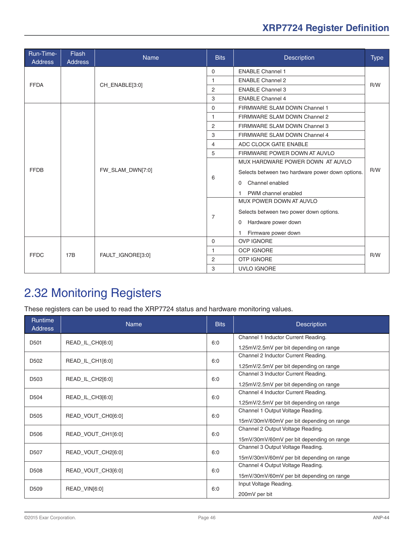<span id="page-45-0"></span>

| Run-Time-<br><b>Address</b> | Flash<br><b>Address</b> | <b>Name</b>       | <b>Bits</b>    | <b>Description</b>                               | <b>Type</b> |  |
|-----------------------------|-------------------------|-------------------|----------------|--------------------------------------------------|-------------|--|
|                             |                         | CH_ENABLE[3:0]    | $\mathbf{0}$   | <b>ENABLE Channel 1</b>                          |             |  |
| <b>FFDA</b>                 |                         |                   | 1              | <b>ENABLE Channel 2</b>                          | R/W         |  |
|                             |                         |                   | 2              | <b>ENABLE Channel 3</b>                          |             |  |
|                             |                         |                   | 3              | <b>ENABLE Channel 4</b>                          |             |  |
|                             |                         | FW_SLAM_DWN[7:0]  | $\Omega$       | FIRMWARE SLAM DOWN Channel 1                     |             |  |
|                             |                         |                   | 1              | FIRMWARE SLAM DOWN Channel 2                     |             |  |
|                             |                         |                   | 2              | FIRMWARE SLAM DOWN Channel 3                     |             |  |
|                             |                         |                   | 3              | FIRMWARE SLAM DOWN Channel 4                     | R/W         |  |
|                             |                         |                   | 4              | ADC CLOCK GATE ENABLE                            |             |  |
|                             |                         |                   | 5              | FIRMWARE POWER DOWN AT AUVLO                     |             |  |
|                             |                         |                   | 6              | MUX HARDWARE POWER DOWN AT AUVLO                 |             |  |
| <b>FFDB</b>                 |                         |                   |                | Selects between two hardware power down options. |             |  |
|                             |                         |                   |                | Channel enabled<br>$\Omega$                      |             |  |
|                             |                         |                   |                | PWM channel enabled<br>1                         |             |  |
|                             |                         |                   | $\overline{7}$ | MUX POWER DOWN AT AUVLO                          |             |  |
|                             |                         |                   |                | Selects between two power down options.          |             |  |
|                             |                         |                   |                | Hardware power down<br>0                         |             |  |
|                             |                         |                   |                | Firmware power down<br>1                         |             |  |
|                             | 17B                     | FAULT IGNORE[3:0] | $\mathbf 0$    | <b>OVP IGNORE</b>                                |             |  |
| <b>FFDC</b>                 |                         |                   | 1              | <b>OCP IGNORE</b>                                | R/W         |  |
|                             |                         |                   | 2              | <b>OTP IGNORE</b>                                |             |  |
|                             |                         |                   | 3              | UVLO IGNORE                                      |             |  |

## 2.32 Monitoring Registers

These registers can be used to read the XRP7724 status and hardware monitoring values.

| <b>Runtime</b><br><b>Address</b> | <b>Name</b>        | <b>Bits</b> | <b>Description</b>                        |
|----------------------------------|--------------------|-------------|-------------------------------------------|
| D <sub>501</sub>                 | READ_IL_CH0[6:0]   | 6:0         | Channel 1 Inductor Current Reading.       |
|                                  |                    |             | 1.25mV/2.5mV per bit depending on range   |
| D <sub>502</sub>                 | READ_IL_CH1[6:0]   | 6:0         | Channel 2 Inductor Current Reading.       |
|                                  |                    |             | 1.25mV/2.5mV per bit depending on range   |
| D <sub>503</sub>                 | READ_IL_CH2[6:0]   | 6:0         | Channel 3 Inductor Current Reading.       |
|                                  |                    |             | 1.25mV/2.5mV per bit depending on range   |
| D504                             | READ_IL_CH3[6:0]   | 6:0         | Channel 4 Inductor Current Reading.       |
|                                  |                    |             | 1.25mV/2.5mV per bit depending on range   |
| D <sub>505</sub>                 | READ_VOUT_CH0[6:0] | 6:0         | Channel 1 Output Voltage Reading.         |
|                                  |                    |             | 15mV/30mV/60mV per bit depending on range |
| D <sub>506</sub>                 | READ_VOUT_CH1[6:0] | 6:0         | Channel 2 Output Voltage Reading.         |
|                                  |                    |             | 15mV/30mV/60mV per bit depending on range |
| D <sub>507</sub>                 | READ_VOUT_CH2[6:0] | 6:0         | Channel 3 Output Voltage Reading.         |
|                                  |                    |             | 15mV/30mV/60mV per bit depending on range |
| D508                             | READ_VOUT_CH3[6:0] | 6:0         | Channel 4 Output Voltage Reading.         |
|                                  |                    |             | 15mV/30mV/60mV per bit depending on range |
| D <sub>509</sub>                 |                    | 6:0         | Input Voltage Reading.                    |
|                                  | READ_VIN[6:0]      |             | 200mV per bit                             |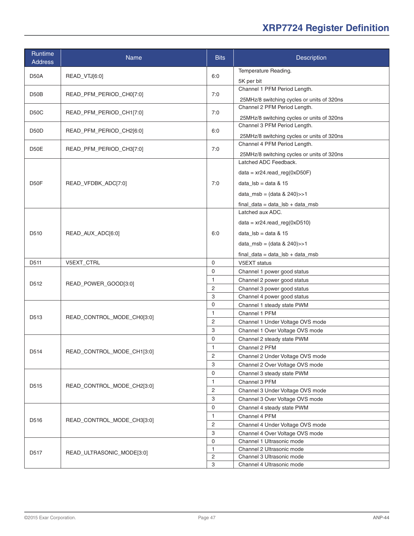| Runtime<br><b>Address</b> | Name                       | <b>Bits</b>                    | Description                                               |
|---------------------------|----------------------------|--------------------------------|-----------------------------------------------------------|
| D50A                      | READ_VTJ[6:0]              | 6:0                            | Temperature Reading.                                      |
|                           |                            |                                | 5K per bit                                                |
| D50B                      | READ_PFM_PERIOD_CH0[7:0]   | 7:0                            | Channel 1 PFM Period Length.                              |
|                           |                            |                                | 25MHz/8 switching cycles or units of 320ns                |
| D50C                      | READ_PFM_PERIOD_CH1[7:0]   | 7:0                            | Channel 2 PFM Period Length.                              |
|                           |                            |                                | 25MHz/8 switching cycles or units of 320ns                |
| D50D                      | READ_PFM_PERIOD_CH2[6:0]   | 6:0                            | Channel 3 PFM Period Length.                              |
|                           |                            |                                | 25MHz/8 switching cycles or units of 320ns                |
| D50E                      | READ_PFM_PERIOD_CH3[7:0]   | 7:0                            | Channel 4 PFM Period Length.                              |
|                           |                            |                                | 25MHz/8 switching cycles or units of 320ns                |
|                           |                            |                                | Latched ADC Feedback.                                     |
|                           |                            |                                | $data = xr24.read_reg(0xD50F)$                            |
| D50F                      | READ_VFDBK_ADC[7:0]        | 7:0                            | data_ $\vert$ sb = data & 15                              |
|                           |                            |                                | data_msb = $(data & 240)$ >>1                             |
|                           |                            |                                |                                                           |
|                           |                            |                                | $final\_data = data\_lsb + data\_msb$<br>Latched aux ADC. |
|                           | READ_AUX_ADC[6:0]          |                                |                                                           |
| D510                      |                            | 6:0                            | $data = xr24.read_reg(0xD510)$                            |
|                           |                            |                                | data_ $\vert$ sb = data & 15                              |
|                           |                            |                                | data_msb = $(data & 240)$ >>1                             |
|                           |                            |                                | $final\_data = data\_lsb + data\_msb$                     |
| D511                      | V5EXT_CTRL                 | $\mathbf 0$                    | V5EXT status                                              |
| D <sub>5</sub> 12         | READ_POWER_GOOD[3:0]       | 0                              | Channel 1 power good status                               |
|                           |                            | 1                              | Channel 2 power good status                               |
|                           |                            | $\overline{c}$                 | Channel 3 power good status                               |
|                           |                            | 3                              | Channel 4 power good status                               |
|                           | READ_CONTROL_MODE_CH0[3:0] | 0                              | Channel 1 steady state PWM                                |
| D513                      |                            | 1<br>2                         | Channel 1 PFM                                             |
|                           |                            | 3                              | Channel 1 Under Voltage OVS mode                          |
|                           |                            | 0                              | Channel 1 Over Voltage OVS mode                           |
|                           | READ_CONTROL_MODE_CH1[3:0] | 1                              | Channel 2 steady state PWM<br>Channel 2 PFM               |
| D514                      |                            | 2                              | Channel 2 Under Voltage OVS mode                          |
|                           |                            | 3                              | Channel 2 Over Voltage OVS mode                           |
|                           |                            | $\mathbf 0$                    | Channel 3 steady state PWM                                |
| D515                      |                            | $\mathbf{1}$                   | Channel 3 PFM                                             |
|                           | READ_CONTROL_MODE_CH2[3:0] | $\overline{2}$                 | Channel 3 Under Voltage OVS mode                          |
|                           |                            | 3                              | Channel 3 Over Voltage OVS mode                           |
|                           |                            | $\mathbf 0$                    | Channel 4 steady state PWM                                |
| D516                      | READ_CONTROL_MODE_CH3[3:0] | $\mathbf{1}$                   | Channel 4 PFM                                             |
|                           |                            | $\sqrt{2}$                     | Channel 4 Under Voltage OVS mode                          |
|                           |                            | 3                              | Channel 4 Over Voltage OVS mode                           |
|                           | READ_ULTRASONIC_MODE[3:0]  | 0                              | Channel 1 Ultrasonic mode                                 |
| D517                      |                            | $\mathbf{1}$                   | Channel 2 Ultrasonic mode                                 |
|                           |                            | $\overline{c}$<br>$\mathbf{3}$ | Channel 3 Ultrasonic mode                                 |
|                           |                            |                                | Channel 4 Ultrasonic mode                                 |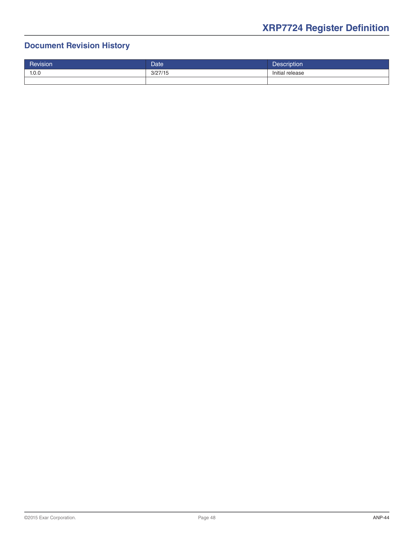#### **Document Revision History**

| Revision | <b>Date</b> | <b>Description</b> |
|----------|-------------|--------------------|
| 1.0.0    | 3/27/15     | Initial release    |
|          |             |                    |